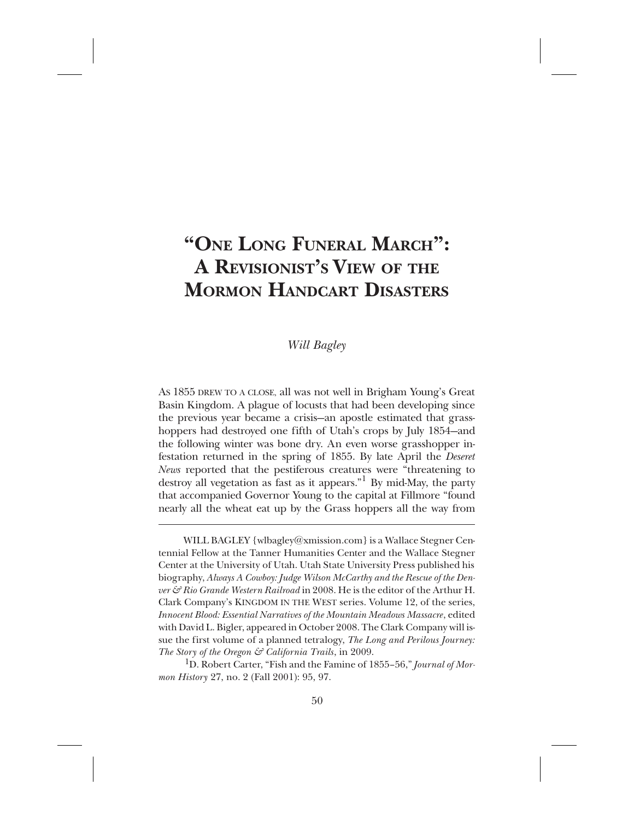# **"ONE LONG FUNERAL MARCH": A REVISIONIST'S VIEW OF THE MORMON HANDCART DISASTERS**

## *Will Bagley*

AS 1855 DREW TO A CLOSE, all was not well in Brigham Young's Great Basin Kingdom. A plague of locusts that had been developing since the previous year became a crisis—an apostle estimated that grasshoppers had destroyed one fifth of Utah's crops by July 1854—and the following winter was bone dry. An even worse grasshopper infestation returned in the spring of 1855. By late April the *Deseret News* reported that the pestiferous creatures were "threatening to destroy all vegetation as fast as it appears."<sup>1</sup> By mid-May, the party that accompanied Governor Young to the capital at Fillmore "found nearly all the wheat eat up by the Grass hoppers all the way from

WILL BAGLEY {wlbagley@xmission.com} is a Wallace Stegner Centennial Fellow at the Tanner Humanities Center and the Wallace Stegner Center at the University of Utah. Utah State University Press published his biography, *Always A Cowboy: Judge Wilson McCarthy and the Rescue of the Denver & Rio Grande Western Railroad* in 2008. He is the editor of the Arthur H. Clark Company's KINGDOM IN THE WEST series. Volume 12, of the series, *Innocent Blood: Essential Narratives of the Mountain Meadows Massacre*, edited with David L. Bigler, appeared in October 2008. The Clark Company will issue the first volume of a planned tetralogy, *The Long and Perilous Journey: The Story of the Oregon & California Trails*, in 2009.

1D. Robert Carter, "Fish and the Famine of 1855–56," *Journal of Mormon History* 27, no. 2 (Fall 2001): 95, 97.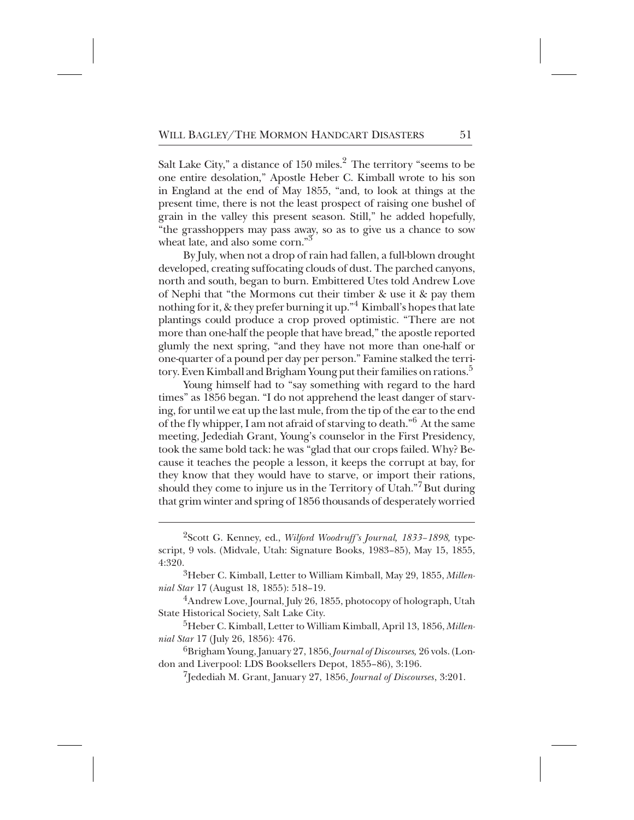Salt Lake City," a distance of  $150$  miles. $^2$  The territory "seems to be one entire desolation," Apostle Heber C. Kimball wrote to his son in England at the end of May 1855, "and, to look at things at the present time, there is not the least prospect of raising one bushel of grain in the valley this present season. Still," he added hopefully, "the grasshoppers may pass away, so as to give us a chance to sow wheat late, and also some corn."<sup>3</sup>

By July, when not a drop of rain had fallen, a full-blown drought developed, creating suffocating clouds of dust. The parched canyons, north and south, began to burn. Embittered Utes told Andrew Love of Nephi that "the Mormons cut their timber & use it & pay them nothing for it, & they prefer burning it up."<sup>4</sup> Kimball's hopes that late plantings could produce a crop proved optimistic. "There are not more than one-half the people that have bread," the apostle reported glumly the next spring, "and they have not more than one-half or one-quarter of a pound per day per person." Famine stalked the territory. Even Kimball and Brigham Young put their families on rations.<sup>5</sup>

Young himself had to "say something with regard to the hard times" as 1856 began. "I do not apprehend the least danger of starving, for until we eat up the last mule, from the tip of the ear to the end of the fly whipper, I am not afraid of starving to death."<sup>6</sup> At the same meeting, Jedediah Grant, Young's counselor in the First Presidency, took the same bold tack: he was "glad that our crops failed. Why? Because it teaches the people a lesson, it keeps the corrupt at bay, for they know that they would have to starve, or import their rations, should they come to injure us in the Territory of Utah." $^7\rm{But}$  during that grim winter and spring of 1856 thousands of desperately worried

+++ 7Jedediah M. Grant, January 27, 1856, *Journal of Discourses*, 3:201.

<sup>&</sup>lt;sup>2</sup>Scott G. Kenney, ed., *Wilford Woodruff's Journal, 1833–1898*, typescript, 9 vols. (Midvale, Utah: Signature Books, 1983–85), May 15, 1855, 4:320.

<sup>&</sup>lt;sup>3</sup>Heber C. Kimball, Letter to William Kimball, May 29, 1855, *Millennial Star* 17 (August 18, 1855): 518–19.

<sup>&</sup>lt;sup>4</sup>Andrew Love, Journal, July 26, 1855, photocopy of holograph, Utah State Historical Society, Salt Lake City.

<sup>&</sup>lt;sup>5</sup>Heber C. Kimball, Letter to William Kimball, April 13, 1856, Millen*nial Star* 17 (July 26, 1856): 476.

<sup>++</sup> 6Brigham Young, January 27, 1856, *Journal of Discourses,* 26 vols. (London and Liverpool: LDS Booksellers Depot, 1855–86), 3:196.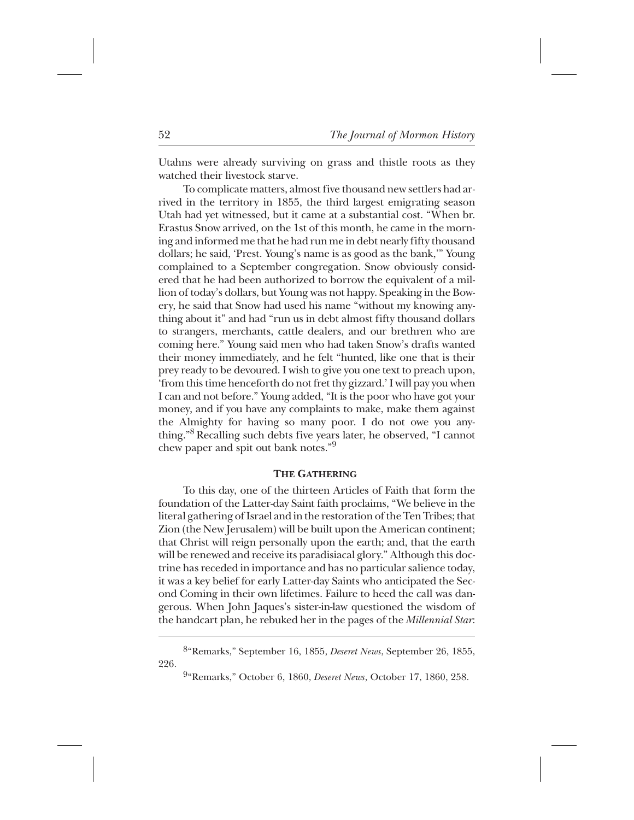Utahns were already surviving on grass and thistle roots as they watched their livestock starve.

To complicate matters, almost five thousand new settlers had arrived in the territory in 1855, the third largest emigrating season Utah had yet witnessed, but it came at a substantial cost. "When br. Erastus Snow arrived, on the 1st of this month, he came in the morning and informed me that he had run me in debt nearly fifty thousand dollars; he said, 'Prest. Young's name is as good as the bank,'" Young complained to a September congregation. Snow obviously considered that he had been authorized to borrow the equivalent of a million of today's dollars, but Young was not happy. Speaking in the Bowery, he said that Snow had used his name "without my knowing anything about it" and had "run us in debt almost fifty thousand dollars to strangers, merchants, cattle dealers, and our brethren who are coming here." Young said men who had taken Snow's drafts wanted their money immediately, and he felt "hunted, like one that is their prey ready to be devoured. I wish to give you one text to preach upon, 'from this time henceforth do not fret thy gizzard.' I will pay you when I can and not before." Young added, "It is the poor who have got your money, and if you have any complaints to make, make them against the Almighty for having so many poor. I do not owe you anything."<sup>8</sup> Recalling such debts five years later, he observed, "I cannot chew paper and spit out bank notes."<sup>9</sup>

#### **THE GATHERING**

To this day, one of the thirteen Articles of Faith that form the foundation of the Latter-day Saint faith proclaims, "We believe in the literal gathering of Israel and in the restoration of the Ten Tribes; that Zion (the New Jerusalem) will be built upon the American continent; that Christ will reign personally upon the earth; and, that the earth will be renewed and receive its paradisiacal glory." Although this doctrine has receded in importance and has no particular salience today, it was a key belief for early Latter-day Saints who anticipated the Second Coming in their own lifetimes. Failure to heed the call was dangerous. When John Jaques's sister-in-law questioned the wisdom of the handcart plan, he rebuked her in the pages of the *Millennial Star*:

<sup>++++</sup> 8"Remarks," September 16, 1855, *Deseret News*, September 26, 1855, 226.

<sup>\*</sup> 9"Remarks," October 6, 1860, *Deseret News*, October 17, 1860, 258.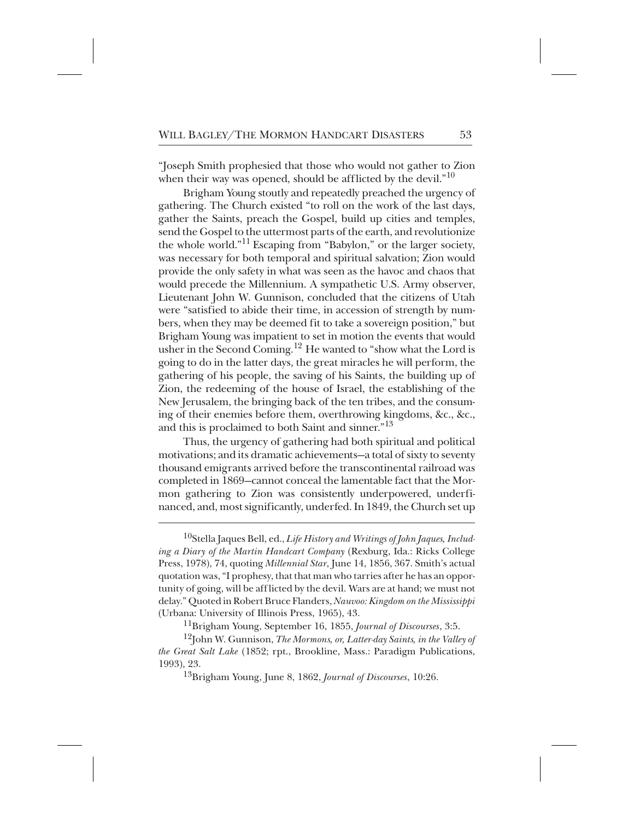"Joseph Smith prophesied that those who would not gather to Zion when their way was opened, should be afflicted by the devil." $^{10}$ 

Brigham Young stoutly and repeatedly preached the urgency of gathering. The Church existed "to roll on the work of the last days, gather the Saints, preach the Gospel, build up cities and temples, send the Gospel to the uttermost parts of the earth, and revolutionize the whole world."<sup>11</sup> Escaping from "Babylon," or the larger society, was necessary for both temporal and spiritual salvation; Zion would provide the only safety in what was seen as the havoc and chaos that would precede the Millennium. A sympathetic U.S. Army observer, Lieutenant John W. Gunnison, concluded that the citizens of Utah were "satisfied to abide their time, in accession of strength by numbers, when they may be deemed fit to take a sovereign position," but Brigham Young was impatient to set in motion the events that would usher in the Second Coming.<sup>12</sup> He wanted to "show what the Lord is going to do in the latter days, the great miracles he will perform, the gathering of his people, the saving of his Saints, the building up of Zion, the redeeming of the house of Israel, the establishing of the New Jerusalem, the bringing back of the ten tribes, and the consuming of their enemies before them, overthrowing kingdoms, &c., &c., and this is proclaimed to both Saint and sinner."<sup>13</sup>

Thus, the urgency of gathering had both spiritual and political motivations; and its dramatic achievements—a total of sixty to seventy thousand emigrants arrived before the transcontinental railroad was completed in 1869—cannot conceal the lamentable fact that the Mormon gathering to Zion was consistently underpowered, underfinanced, and, most significantly, underfed. In 1849, the Church set up

<sup>10</sup>Stella Jaques Bell, ed., *Life History and Writings of John Jaques, Including a Diary of the Martin Handcart Company* (Rexburg, Ida.: Ricks College Press, 1978), 74, quoting *Millennial Star*, June 14, 1856, 367. Smith's actual quotation was, "I prophesy, that that man who tarries after he has an opportunity of going, will be afflicted by the devil. Wars are at hand; we must not delay." Quoted in Robert Bruce Flanders, *Nauvoo: Kingdom on the Mississippi* (Urbana: University of Illinois Press, 1965), 43.

<sup>11</sup>Brigham Young, September 16, 1855, *Journal of Discourses*, 3:5.

<sup>12</sup>John W. Gunnison, *The Mormons, or, Latter-day Saints, in the Valley of the Great Salt Lake* (1852; rpt., Brookline, Mass.: Paradigm Publications, 1993), 23.

<sup>+</sup> 13Brigham Young, June 8, 1862, *Journal of Discourses*, 10:26.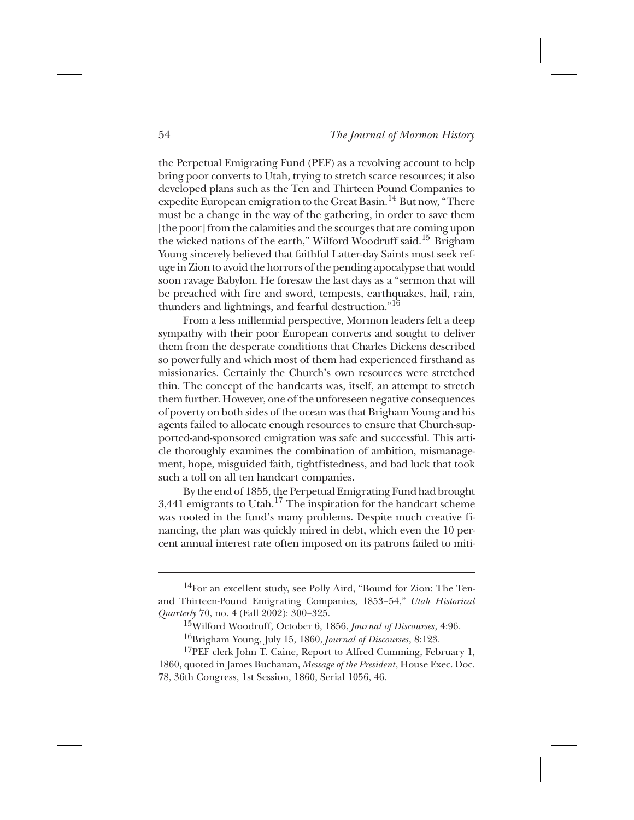the Perpetual Emigrating Fund (PEF) as a revolving account to help bring poor converts to Utah, trying to stretch scarce resources; it also developed plans such as the Ten and Thirteen Pound Companies to expedite European emigration to the Great Basin.<sup>14</sup> But now, "There must be a change in the way of the gathering, in order to save them [the poor] from the calamities and the scourges that are coming upon the wicked nations of the earth," Wilford Woodruff said.<sup>15</sup> Brigham Young sincerely believed that faithful Latter-day Saints must seek refuge in Zion to avoid the horrors of the pending apocalypse that would soon ravage Babylon. He foresaw the last days as a "sermon that will be preached with fire and sword, tempests, earthquakes, hail, rain, thunders and lightnings, and fearful destruction." $16$ 

From a less millennial perspective, Mormon leaders felt a deep sympathy with their poor European converts and sought to deliver them from the desperate conditions that Charles Dickens described so powerfully and which most of them had experienced firsthand as missionaries. Certainly the Church's own resources were stretched thin. The concept of the handcarts was, itself, an attempt to stretch them further. However, one of the unforeseen negative consequences of poverty on both sides of the ocean was that Brigham Young and his agents failed to allocate enough resources to ensure that Church-supported-and-sponsored emigration was safe and successful. This article thoroughly examines the combination of ambition, mismanagement, hope, misguided faith, tightfistedness, and bad luck that took such a toll on all ten handcart companies.

By the end of 1855, the Perpetual Emigrating Fund had brought 3,441 emigrants to Utah.<sup>17</sup> The inspiration for the handcart scheme was rooted in the fund's many problems. Despite much creative financing, the plan was quickly mired in debt, which even the 10 percent annual interest rate often imposed on its patrons failed to miti-

 $^{14}$ For an excellent study, see Polly Aird, "Bound for Zion: The Tenand Thirteen-Pound Emigrating Companies, 1853–54," *Utah Historical Quarterly* 70, no. 4 (Fall 2002): 300–325.

<sup>&</sup>lt;sup>15</sup>Wilford Woodruff, October 6, 1856, *Journal of Discourses*, 4:96.

<sup>&</sup>lt;sup>16</sup>Brigham Young, July 15, 1860, *Journal of Discourses*, 8:123.

 $17$ PEF clerk John T. Caine, Report to Alfred Cumming, February 1, 1860, quoted in James Buchanan, *Message of the President*, House Exec. Doc. 78, 36th Congress, 1st Session, 1860, Serial 1056, 46.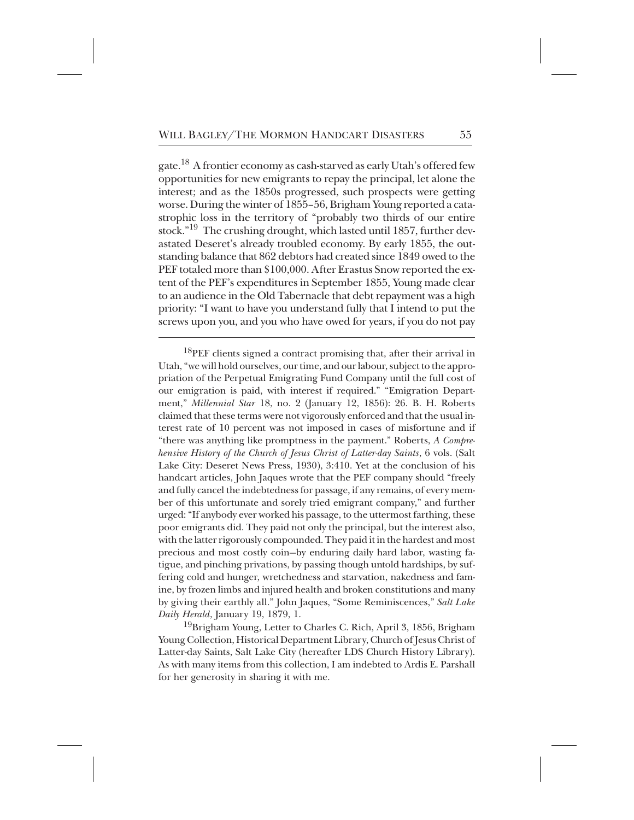gate.<sup>18</sup> A frontier economy as cash-starved as early Utah's offered few opportunities for new emigrants to repay the principal, let alone the interest; and as the 1850s progressed, such prospects were getting worse. During the winter of 1855–56, Brigham Young reported a catastrophic loss in the territory of "probably two thirds of our entire stock."<sup>19</sup> The crushing drought, which lasted until 1857, further devastated Deseret's already troubled economy. By early 1855, the outstanding balance that 862 debtors had created since 1849 owed to the PEF totaled more than \$100,000. After Erastus Snow reported the extent of the PEF's expenditures in September 1855, Young made clear to an audience in the Old Tabernacle that debt repayment was a high priority: "I want to have you understand fully that I intend to put the screws upon you, and you who have owed for years, if you do not pay

 $^{18}$ PEF clients signed a contract promising that, after their arrival in Utah, "we will hold ourselves, our time, and our labour, subject to the appropriation of the Perpetual Emigrating Fund Company until the full cost of our emigration is paid, with interest if required." "Emigration Department," *Millennial Star* 18, no. 2 (January 12, 1856): 26. B. H. Roberts claimed that these terms were not vigorously enforced and that the usual interest rate of 10 percent was not imposed in cases of misfortune and if "there was anything like promptness in the payment." Roberts, *A Comprehensive History of the Church of Jesus Christ of Latter-day Saints*, 6 vols. (Salt Lake City: Deseret News Press, 1930), 3:410. Yet at the conclusion of his handcart articles, John Jaques wrote that the PEF company should "freely and fully cancel the indebtedness for passage, if any remains, of every member of this unfortunate and sorely tried emigrant company," and further urged: "If anybody ever worked his passage, to the uttermost farthing, these poor emigrants did. They paid not only the principal, but the interest also, with the latter rigorously compounded. They paid it in the hardest and most precious and most costly coin—by enduring daily hard labor, wasting fatigue, and pinching privations, by passing though untold hardships, by suffering cold and hunger, wretchedness and starvation, nakedness and famine, by frozen limbs and injured health and broken constitutions and many by giving their earthly all." John Jaques, "Some Reminiscences," *Salt Lake Daily Herald*, January 19, 1879, 1.

<sup>19</sup>Brigham Young, Letter to Charles C. Rich, April 3, 1856, Brigham Young Collection, Historical Department Library, Church of Jesus Christ of Latter-day Saints, Salt Lake City (hereafter LDS Church History Library). As with many items from this collection, I am indebted to Ardis E. Parshall for her generosity in sharing it with me.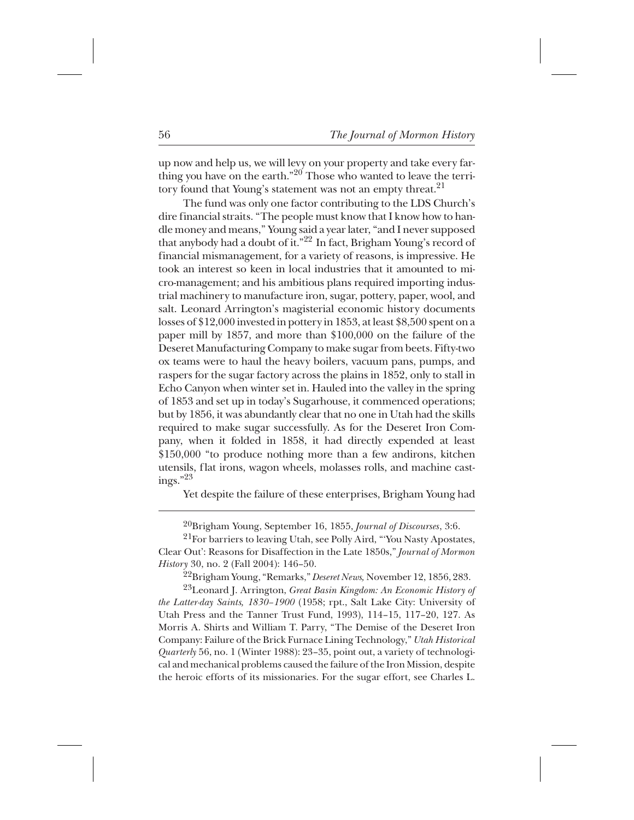up now and help us, we will levy on your property and take every farthing you have on the earth." $^{20}$  Those who wanted to leave the territory found that Young's statement was not an empty threat.<sup>21</sup>

The fund was only one factor contributing to the LDS Church's dire financial straits. "The people must know that I know how to handle money and means," Young said a year later, "and I never supposed that anybody had a doubt of it." $^{22}$  In fact, Brigham Young's record of financial mismanagement, for a variety of reasons, is impressive. He took an interest so keen in local industries that it amounted to micro-management; and his ambitious plans required importing industrial machinery to manufacture iron, sugar, pottery, paper, wool, and salt. Leonard Arrington's magisterial economic history documents losses of \$12,000 invested in pottery in 1853, at least \$8,500 spent on a paper mill by 1857, and more than \$100,000 on the failure of the Deseret Manufacturing Company to make sugar from beets. Fifty-two ox teams were to haul the heavy boilers, vacuum pans, pumps, and raspers for the sugar factory across the plains in 1852, only to stall in Echo Canyon when winter set in. Hauled into the valley in the spring of 1853 and set up in today's Sugarhouse, it commenced operations; but by 1856, it was abundantly clear that no one in Utah had the skills required to make sugar successfully. As for the Deseret Iron Company, when it folded in 1858, it had directly expended at least \$150,000 "to produce nothing more than a few andirons, kitchen utensils, flat irons, wagon wheels, molasses rolls, and machine castings." $^{23}$ 

Yet despite the failure of these enterprises, Brigham Young had

<sup>20</sup>Brigham Young, September 16, 1855, *Journal of Discourses*, 3:6.

<sup>21</sup>For barriers to leaving Utah, see Polly Aird, "'You Nasty Apostates, Clear Out': Reasons for Disaffection in the Late 1850s," *Journal of Mormon History* 30, no. 2 (Fall 2004): 146–50.

++ 22Brigham Young, "Remarks," *Deseret News,* November 12, 1856, 283.

<sup>23</sup>Leonard J. Arrington, *Great Basin Kingdom: An Economic History of the Latter-day Saints, 1830–1900* (1958; rpt., Salt Lake City: University of Utah Press and the Tanner Trust Fund, 1993), 114–15, 117–20, 127. As Morris A. Shirts and William T. Parry, "The Demise of the Deseret Iron Company: Failure of the Brick Furnace Lining Technology," *Utah Historical Quarterly* 56, no. 1 (Winter 1988): 23–35, point out, a variety of technological and mechanical problems caused the failure of the Iron Mission, despite the heroic efforts of its missionaries. For the sugar effort, see Charles L.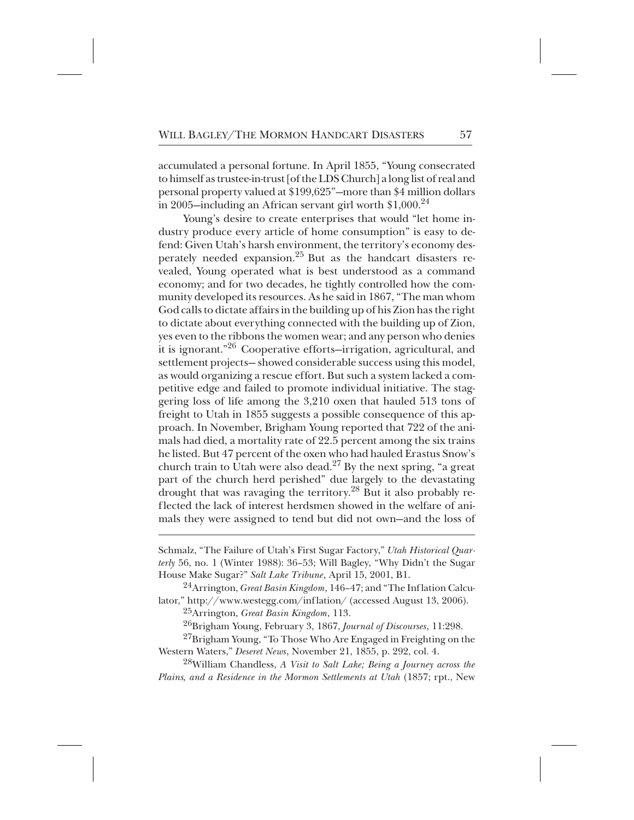accumulated a personal fortune. In April 1855, "Young consecrated to himself as trustee-in-trust [of the LDS Church] a long list of real and personal property valued at \$199,625"—more than \$4 million dollars in 2005—including an African servant girl worth  $$1,000.<sup>24</sup>$ 

Young's desire to create enterprises that would "let home industry produce every article of home consumption" is easy to defend: Given Utah's harsh environment, the territory's economy desperately needed expansion.<sup>25</sup> But as the handcart disasters revealed, Young operated what is best understood as a command economy; and for two decades, he tightly controlled how the community developed its resources. As he said in 1867, "The man whom God calls to dictate affairs in the building up of his Zion has the right to dictate about everything connected with the building up of Zion, yes even to the ribbons the women wear; and any person who denies it is ignorant."<sup>26</sup> Cooperative efforts–irrigation, agricultural, and settlement projects— showed considerable success using this model, as would organizing a rescue effort. But such a system lacked a competitive edge and failed to promote individual initiative. The staggering loss of life among the 3,210 oxen that hauled 513 tons of freight to Utah in 1855 suggests a possible consequence of this approach. In November, Brigham Young reported that 722 of the animals had died, a mortality rate of 22.5 percent among the six trains he listed. But 47 percent of the oxen who had hauled Erastus Snow's church train to Utah were also dead. $^{27}$  By the next spring, "a great part of the church herd perished" due largely to the devastating drought that was ravaging the territory.<sup>28</sup> But it also probably reflected the lack of interest herdsmen showed in the welfare of animals they were assigned to tend but did not own—and the loss of

<sup>24</sup>Arrington, *Great Basin Kingdom*, 146–47; and "The Inflation Calculator," http://www.westegg.com/inflation/ (accessed August 13, 2006).

<sup>25</sup>Arrington, *Great Basin Kingdom*, 113.

<sup>26</sup>Brigham Young, February 3, 1867, *Journal of Discourses*, 11:298.

 $^{27}$ Brigham Young, "To Those Who Are Engaged in Freighting on the Western Waters," *Deseret News*, November 21, 1855, p. 292, col. 4.

<sup>28</sup>William Chandless, *A Visit to Salt Lake; Being a Journey across the Plains, and a Residence in the Mormon Settlements at Utah* (1857; rpt., New

Schmalz, "The Failure of Utah's First Sugar Factory," *Utah Historical Quarterly* 56, no. 1 (Winter 1988): 36–53; Will Bagley, "Why Didn't the Sugar House Make Sugar?" *Salt Lake Tribune*, April 15, 2001, B1.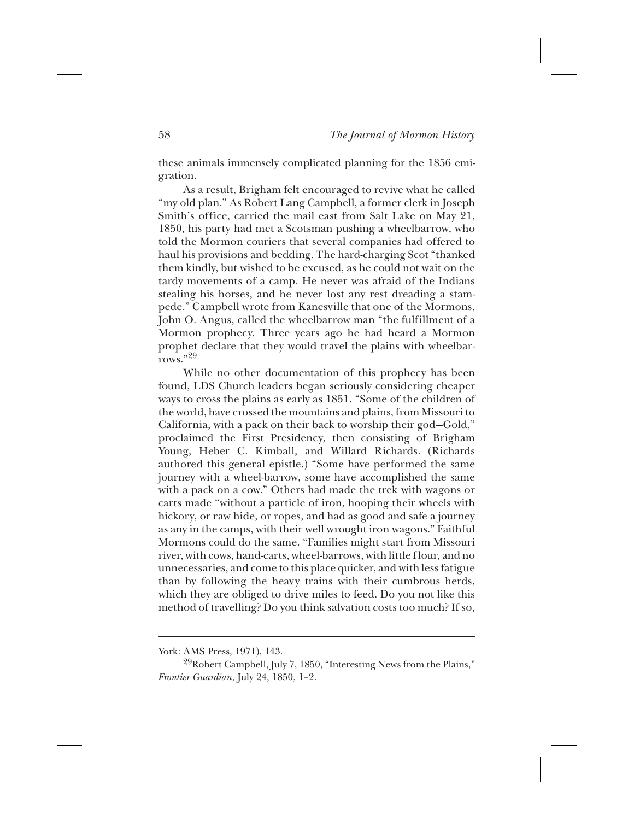these animals immensely complicated planning for the 1856 emigration.

As a result, Brigham felt encouraged to revive what he called "my old plan." As Robert Lang Campbell, a former clerk in Joseph Smith's office, carried the mail east from Salt Lake on May 21, 1850, his party had met a Scotsman pushing a wheelbarrow, who told the Mormon couriers that several companies had offered to haul his provisions and bedding. The hard-charging Scot "thanked them kindly, but wished to be excused, as he could not wait on the tardy movements of a camp. He never was afraid of the Indians stealing his horses, and he never lost any rest dreading a stampede." Campbell wrote from Kanesville that one of the Mormons, John O. Angus, called the wheelbarrow man "the fulfillment of a Mormon prophecy. Three years ago he had heard a Mormon prophet declare that they would travel the plains with wheelbarrows." $^{29}$ 

While no other documentation of this prophecy has been found, LDS Church leaders began seriously considering cheaper ways to cross the plains as early as 1851. "Some of the children of the world, have crossed the mountains and plains, from Missouri to California, with a pack on their back to worship their god—Gold," proclaimed the First Presidency, then consisting of Brigham Young, Heber C. Kimball, and Willard Richards. (Richards authored this general epistle.) "Some have performed the same journey with a wheel-barrow, some have accomplished the same with a pack on a cow." Others had made the trek with wagons or carts made "without a particle of iron, hooping their wheels with hickory, or raw hide, or ropes, and had as good and safe a journey as any in the camps, with their well wrought iron wagons." Faithful Mormons could do the same. "Families might start from Missouri river, with cows, hand-carts, wheel-barrows, with little f lour, and no unnecessaries, and come to this place quicker, and with less fatigue than by following the heavy trains with their cumbrous herds, which they are obliged to drive miles to feed. Do you not like this method of travelling? Do you think salvation costs too much? If so,

York: AMS Press, 1971), 143.

 $^{29}$ Robert Campbell, July 7, 1850, "Interesting News from the Plains," *Frontier Guardian*, July 24, 1850, 1–2.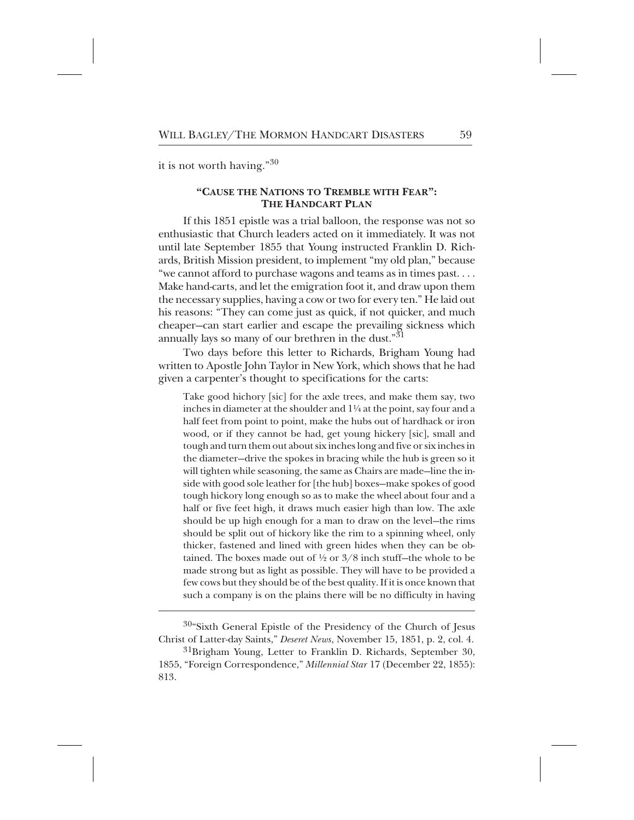it is not worth having." $30$ 

## **"CAUSE THE NATIONS TO TREMBLE WITH FEAR": THE HANDCART PLAN**

If this 1851 epistle was a trial balloon, the response was not so enthusiastic that Church leaders acted on it immediately. It was not until late September 1855 that Young instructed Franklin D. Richards, British Mission president, to implement "my old plan," because "we cannot afford to purchase wagons and teams as in times past. . . . Make hand-carts, and let the emigration foot it, and draw upon them the necessary supplies, having a cow or two for every ten." He laid out his reasons: "They can come just as quick, if not quicker, and much cheaper—can start earlier and escape the prevailing sickness which annually lays so many of our brethren in the dust." $31$ 

Two days before this letter to Richards, Brigham Young had written to Apostle John Taylor in New York, which shows that he had given a carpenter's thought to specifications for the carts:

Take good hichory [sic] for the axle trees, and make them say, two inches in diameter at the shoulder and 1¼ at the point, say four and a half feet from point to point, make the hubs out of hardhack or iron wood, or if they cannot be had, get young hickery [sic], small and tough and turn them out about six inches long and five or six inches in the diameter—drive the spokes in bracing while the hub is green so it will tighten while seasoning, the same as Chairs are made—line the inside with good sole leather for [the hub] boxes—make spokes of good tough hickory long enough so as to make the wheel about four and a half or five feet high, it draws much easier high than low. The axle should be up high enough for a man to draw on the level—the rims should be split out of hickory like the rim to a spinning wheel, only thicker, fastened and lined with green hides when they can be obtained. The boxes made out of  $\frac{1}{2}$  or  $\frac{3}{8}$  inch stuff-the whole to be made strong but as light as possible. They will have to be provided a few cows but they should be of the best quality. If it is once known that such a company is on the plains there will be no difficulty in having

 $30$ "Sixth General Epistle of the Presidency of the Church of Jesus Christ of Latter-day Saints," *Deseret News*, November 15, 1851, p. 2, col. 4.

 ${}^{31}$ Brigham Young, Letter to Franklin D. Richards, September 30, 1855, "Foreign Correspondence," *Millennial Star* 17 (December 22, 1855): 813.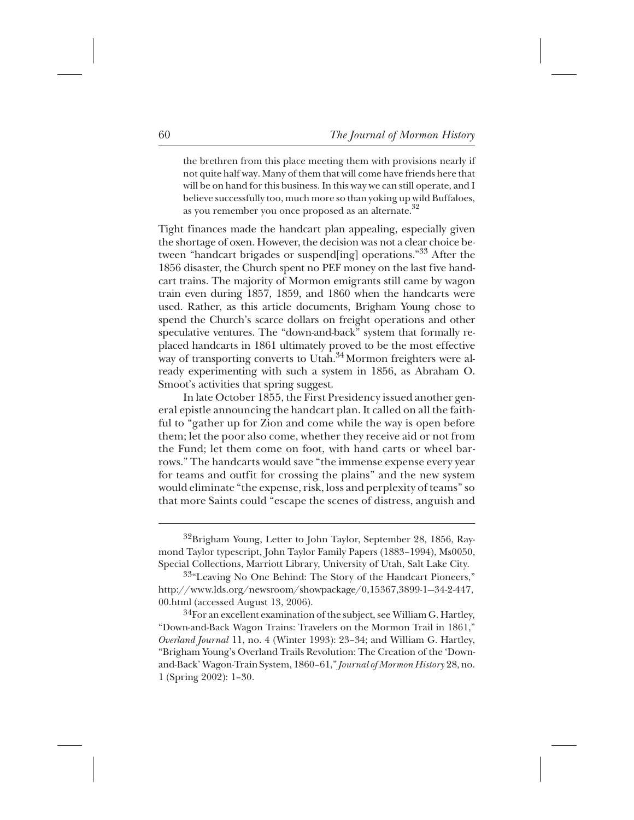the brethren from this place meeting them with provisions nearly if not quite half way. Many of them that will come have friends here that will be on hand for this business. In this way we can still operate, and I believe successfully too, much more so than yoking up wild Buffaloes, as you remember you once proposed as an alternate. $32$ 

Tight finances made the handcart plan appealing, especially given the shortage of oxen. However, the decision was not a clear choice between "handcart brigades or suspend[ing] operations."<sup>33</sup> After the 1856 disaster, the Church spent no PEF money on the last five handcart trains. The majority of Mormon emigrants still came by wagon train even during 1857, 1859, and 1860 when the handcarts were used. Rather, as this article documents, Brigham Young chose to spend the Church's scarce dollars on freight operations and other speculative ventures. The "down-and-back" system that formally replaced handcarts in 1861 ultimately proved to be the most effective way of transporting converts to Utah.<sup>34</sup> Mormon freighters were already experimenting with such a system in 1856, as Abraham O. Smoot's activities that spring suggest.

In late October 1855, the First Presidency issued another general epistle announcing the handcart plan. It called on all the faithful to "gather up for Zion and come while the way is open before them; let the poor also come, whether they receive aid or not from the Fund; let them come on foot, with hand carts or wheel barrows." The handcarts would save "the immense expense every year for teams and outfit for crossing the plains" and the new system would eliminate "the expense, risk, loss and perplexity of teams" so that more Saints could "escape the scenes of distress, anguish and

 $^{34}$ For an excellent examination of the subject, see William G. Hartley, "Down-and-Back Wagon Trains: Travelers on the Mormon Trail in 1861," *Overland Journal* 11, no. 4 (Winter 1993): 23–34; and William G. Hartley, "Brigham Young's Overland Trails Revolution: The Creation of the 'Downand-Back' Wagon-Train System, 1860–61," *Journal of Mormon History* 28, no. 1 (Spring 2002): 1–30.

<sup>&</sup>lt;sup>32</sup>Brigham Young, Letter to John Taylor, September 28, 1856, Raymond Taylor typescript, John Taylor Family Papers (1883–1994), Ms0050, Special Collections, Marriott Library, University of Utah, Salt Lake City.

<sup>&</sup>lt;sup>33</sup>"Leaving No One Behind: The Story of the Handcart Pioneers," http://www.lds.org/newsroom/showpackage/0,15367,3899-1—34-2-447, 00.html (accessed August 13, 2006).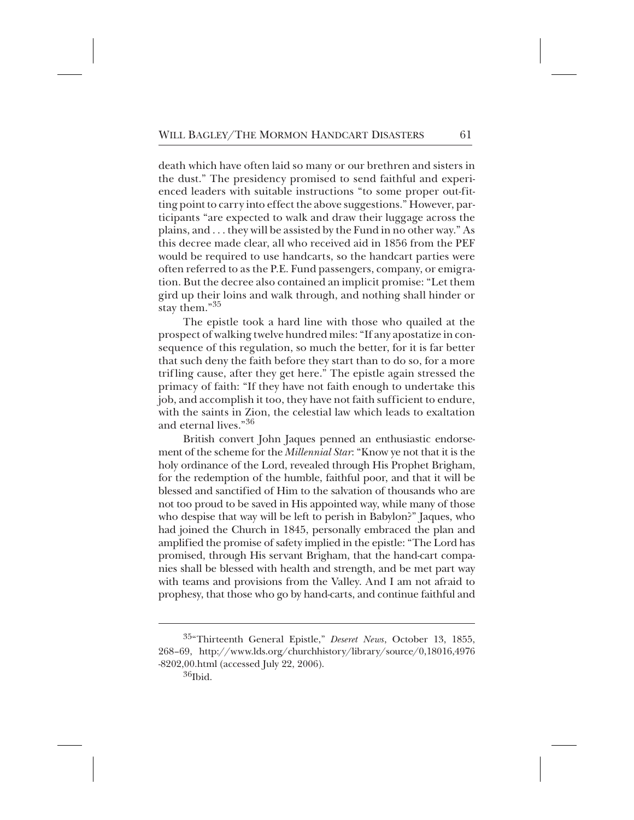death which have often laid so many or our brethren and sisters in the dust." The presidency promised to send faithful and experienced leaders with suitable instructions "to some proper out-fitting point to carry into effect the above suggestions." However, participants "are expected to walk and draw their luggage across the plains, and . . . they will be assisted by the Fund in no other way." As this decree made clear, all who received aid in 1856 from the PEF would be required to use handcarts, so the handcart parties were often referred to as the P.E. Fund passengers, company, or emigration. But the decree also contained an implicit promise: "Let them gird up their loins and walk through, and nothing shall hinder or stay them."35

The epistle took a hard line with those who quailed at the prospect of walking twelve hundred miles: "If any apostatize in consequence of this regulation, so much the better, for it is far better that such deny the faith before they start than to do so, for a more trif ling cause, after they get here." The epistle again stressed the primacy of faith: "If they have not faith enough to undertake this job, and accomplish it too, they have not faith sufficient to endure, with the saints in Zion, the celestial law which leads to exaltation and eternal lives."36

British convert John Jaques penned an enthusiastic endorsement of the scheme for the *Millennial Star*: "Know ye not that it is the holy ordinance of the Lord, revealed through His Prophet Brigham, for the redemption of the humble, faithful poor, and that it will be blessed and sanctified of Him to the salvation of thousands who are not too proud to be saved in His appointed way, while many of those who despise that way will be left to perish in Babylon?" Jaques, who had joined the Church in 1845, personally embraced the plan and amplified the promise of safety implied in the epistle: "The Lord has promised, through His servant Brigham, that the hand-cart companies shall be blessed with health and strength, and be met part way with teams and provisions from the Valley. And I am not afraid to prophesy, that those who go by hand-carts, and continue faithful and

<sup>&</sup>lt;sup>35</sup>"Thirteenth General Epistle," *Deseret News*, October 13, 1855, 268–69, http://www.lds.org/churchhistory/library/source/0,18016,4976 -8202,00.html (accessed July 22, 2006).

 ${}^{36}$ Ibid.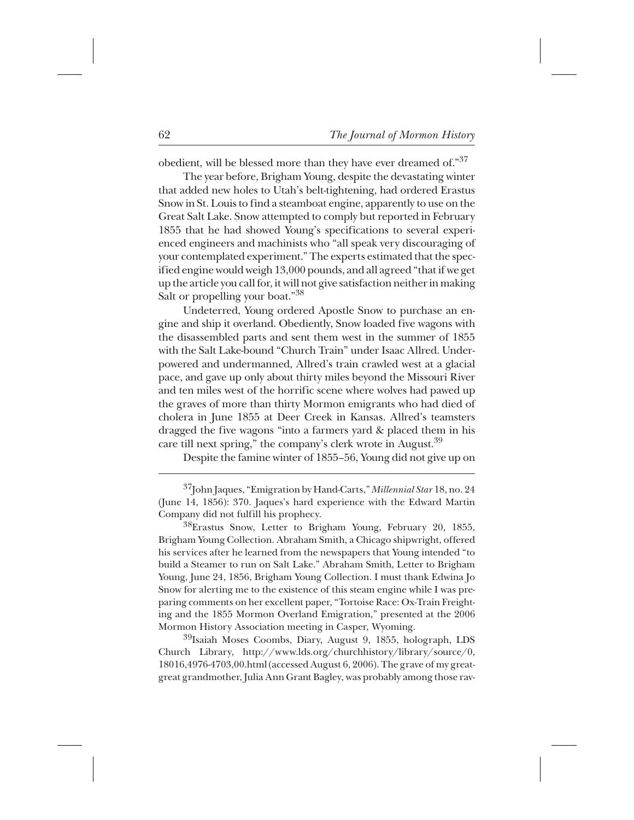obedient, will be blessed more than they have ever dreamed of."<sup>37</sup>

The year before, Brigham Young, despite the devastating winter that added new holes to Utah's belt-tightening, had ordered Erastus Snow in St. Louis to find a steamboat engine, apparently to use on the Great Salt Lake. Snow attempted to comply but reported in February 1855 that he had showed Young's specifications to several experienced engineers and machinists who "all speak very discouraging of your contemplated experiment." The experts estimated that the specified engine would weigh 13,000 pounds, and all agreed "that if we get up the article you call for, it will not give satisfaction neither in making Salt or propelling your boat."<sup>38</sup>

Undeterred, Young ordered Apostle Snow to purchase an engine and ship it overland. Obediently, Snow loaded five wagons with the disassembled parts and sent them west in the summer of 1855 with the Salt Lake-bound "Church Train" under Isaac Allred. Underpowered and undermanned, Allred's train crawled west at a glacial pace, and gave up only about thirty miles beyond the Missouri River and ten miles west of the horrific scene where wolves had pawed up the graves of more than thirty Mormon emigrants who had died of cholera in June 1855 at Deer Creek in Kansas. Allred's teamsters dragged the five wagons "into a farmers yard & placed them in his care till next spring," the company's clerk wrote in August.<sup>39</sup>

Despite the famine winter of 1855–56, Young did not give up on

 $^{38}$ Erastus Snow, Letter to Brigham Young, February 20, 1855, Brigham Young Collection. Abraham Smith, a Chicago shipwright, offered his services after he learned from the newspapers that Young intended "to build a Steamer to run on Salt Lake." Abraham Smith, Letter to Brigham Young, June 24, 1856, Brigham Young Collection. I must thank Edwina Jo Snow for alerting me to the existence of this steam engine while I was preparing comments on her excellent paper, "Tortoise Race: Ox-Train Freighting and the 1855 Mormon Overland Emigration," presented at the 2006 Mormon History Association meeting in Casper, Wyoming.

 $^{39}$ Isaiah Moses Coombs, Diary, August 9, 1855, holograph, LDS Church Library, http://www.lds.org/churchhistory/library/source/0, 18016,4976-4703,00.html (accessed August 6, 2006). The grave of my greatgreat grandmother, Julia Ann Grant Bagley, was probably among those rav-

<sup>+</sup> 37John Jaques, "Emigration by Hand-Carts," *Millennial Star* 18, no. 24 (June 14, 1856): 370. Jaques's hard experience with the Edward Martin Company did not fulfill his prophecy.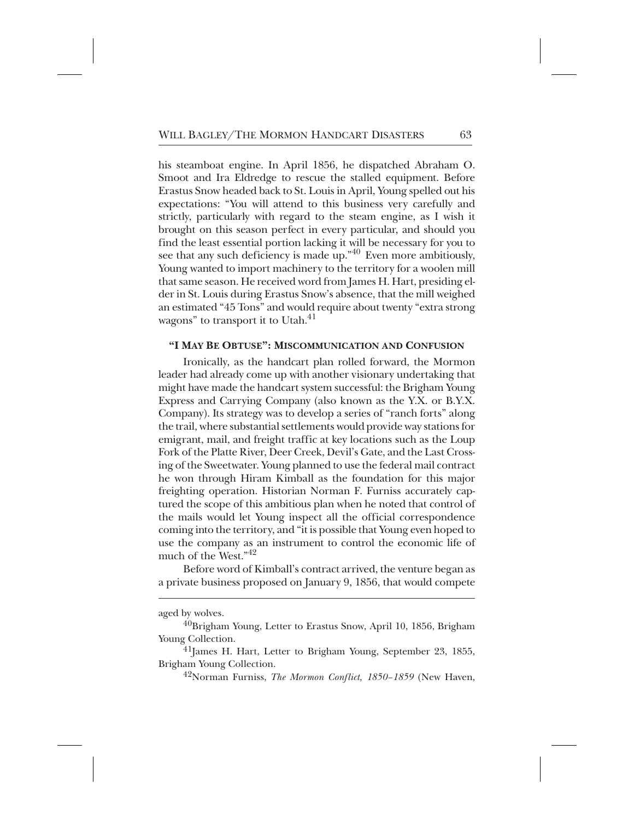his steamboat engine. In April 1856, he dispatched Abraham O. Smoot and Ira Eldredge to rescue the stalled equipment. Before Erastus Snow headed back to St. Louis in April, Young spelled out his expectations: "You will attend to this business very carefully and strictly, particularly with regard to the steam engine, as I wish it brought on this season perfect in every particular, and should you find the least essential portion lacking it will be necessary for you to see that any such deficiency is made up."<sup>40</sup> Even more ambitiously, Young wanted to import machinery to the territory for a woolen mill that same season. He received word from James H. Hart, presiding elder in St. Louis during Erastus Snow's absence, that the mill weighed an estimated "45 Tons" and would require about twenty "extra strong wagons" to transport it to Utah. $41$ 

## **"I MAY BE OBTUSE": MISCOMMUNICATION AND CONFUSION**

Ironically, as the handcart plan rolled forward, the Mormon leader had already come up with another visionary undertaking that might have made the handcart system successful: the Brigham Young Express and Carrying Company (also known as the Y.X. or B.Y.X. Company). Its strategy was to develop a series of "ranch forts" along the trail, where substantial settlements would provide way stations for emigrant, mail, and freight traffic at key locations such as the Loup Fork of the Platte River, Deer Creek, Devil's Gate, and the Last Crossing of the Sweetwater. Young planned to use the federal mail contract he won through Hiram Kimball as the foundation for this major freighting operation. Historian Norman F. Furniss accurately captured the scope of this ambitious plan when he noted that control of the mails would let Young inspect all the official correspondence coming into the territory, and "it is possible that Young even hoped to use the company as an instrument to control the economic life of much of the West." $42^*$ 

Before word of Kimball's contract arrived, the venture began as a private business proposed on January 9, 1856, that would compete

aged by wolves.

<sup>42</sup>Norman Furniss, *The Mormon Conflict, 1850–1859* (New Haven,

 $^{40}$ Brigham Young, Letter to Erastus Snow, April 10, 1856, Brigham Young Collection.

 $^{41}$ James H. Hart, Letter to Brigham Young, September 23, 1855, Brigham Young Collection.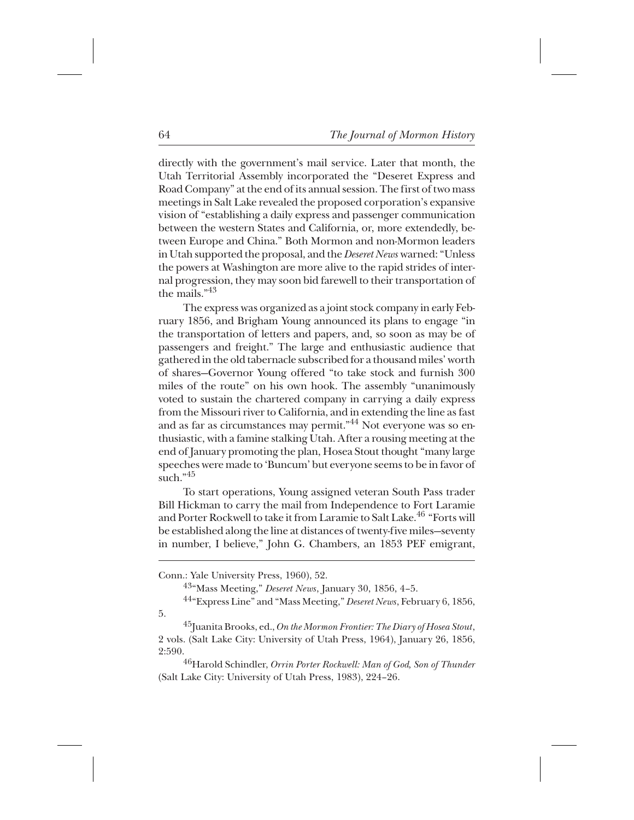directly with the government's mail service. Later that month, the Utah Territorial Assembly incorporated the "Deseret Express and Road Company" at the end of its annual session. The first of two mass meetings in Salt Lake revealed the proposed corporation's expansive vision of "establishing a daily express and passenger communication between the western States and California, or, more extendedly, between Europe and China." Both Mormon and non-Mormon leaders in Utah supported the proposal, and the *Deseret News* warned: "Unless the powers at Washington are more alive to the rapid strides of internal progression, they may soon bid farewell to their transportation of the mails." $^{43}$ 

The express was organized as a joint stock company in early February 1856, and Brigham Young announced its plans to engage "in the transportation of letters and papers, and, so soon as may be of passengers and freight." The large and enthusiastic audience that gathered in the old tabernacle subscribed for a thousand miles' worth of shares—Governor Young offered "to take stock and furnish 300 miles of the route" on his own hook. The assembly "unanimously voted to sustain the chartered company in carrying a daily express from the Missouri river to California, and in extending the line as fast and as far as circumstances may permit."<sup>44</sup> Not everyone was so enthusiastic, with a famine stalking Utah. After a rousing meeting at the end of January promoting the plan, Hosea Stout thought "many large speeches were made to 'Buncum' but everyone seems to be in favor of  $\sin$ ch."<sup>45</sup>

To start operations, Young assigned veteran South Pass trader Bill Hickman to carry the mail from Independence to Fort Laramie and Porter Rockwell to take it from Laramie to Salt Lake.<sup>46</sup> "Forts will be established along the line at distances of twenty-five miles—seventy in number, I believe," John G. Chambers, an 1853 PEF emigrant,

<sup>46</sup> Harold Schindler, *Orrin Porter Rockwell: Man of God, Son of Thunder* (Salt Lake City: University of Utah Press, 1983), 224–26.

Conn.: Yale University Press, 1960), 52.

<sup>&</sup>lt;sup>43</sup>"Mass Meeting," *Deseret News*, January 30, 1856, 4-5.

<sup>&</sup>lt;sup>44</sup>"Express Line" and "Mass Meeting," *Deseret News*, February 6, 1856, 5.

<sup>+</sup> 45Juanita Brooks, ed., *On the Mormon Frontier: The Diary of Hosea Stout*, 2 vols. (Salt Lake City: University of Utah Press, 1964), January 26, 1856, 2:590.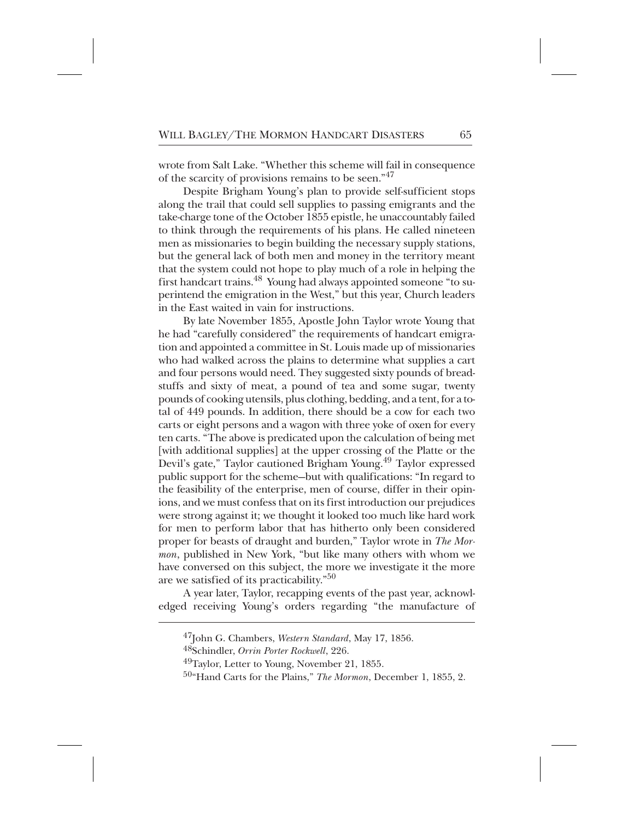wrote from Salt Lake. "Whether this scheme will fail in consequence of the scarcity of provisions remains to be seen."<sup>47</sup>

Despite Brigham Young's plan to provide self-sufficient stops along the trail that could sell supplies to passing emigrants and the take-charge tone of the October 1855 epistle, he unaccountably failed to think through the requirements of his plans. He called nineteen men as missionaries to begin building the necessary supply stations, but the general lack of both men and money in the territory meant that the system could not hope to play much of a role in helping the first handcart trains.<sup>48</sup> Young had always appointed someone "to superintend the emigration in the West," but this year, Church leaders in the East waited in vain for instructions.

By late November 1855, Apostle John Taylor wrote Young that he had "carefully considered" the requirements of handcart emigration and appointed a committee in St. Louis made up of missionaries who had walked across the plains to determine what supplies a cart and four persons would need. They suggested sixty pounds of breadstuffs and sixty of meat, a pound of tea and some sugar, twenty pounds of cooking utensils, plus clothing, bedding, and a tent, for a total of 449 pounds. In addition, there should be a cow for each two carts or eight persons and a wagon with three yoke of oxen for every ten carts. "The above is predicated upon the calculation of being met [with additional supplies] at the upper crossing of the Platte or the Devil's gate," Taylor cautioned Brigham Young.<sup>49</sup> Taylor expressed public support for the scheme—but with qualifications: "In regard to the feasibility of the enterprise, men of course, differ in their opinions, and we must confess that on its first introduction our prejudices were strong against it; we thought it looked too much like hard work for men to perform labor that has hitherto only been considered proper for beasts of draught and burden," Taylor wrote in *The Mormon*, published in New York, "but like many others with whom we have conversed on this subject, the more we investigate it the more are we satisfied of its practicability." $50^{\circ}$ 

A year later, Taylor, recapping events of the past year, acknowledged receiving Young's orders regarding "the manufacture of

++++ 48Schindler, *Orrin Porter Rockwell*, 226.

<sup>&</sup>lt;sup>47</sup>John G. Chambers, *Western Standard*, May 17, 1856.

 $49$ Taylor, Letter to Young, November 21, 1855.

<sup>&</sup>lt;sup>50</sup>"Hand Carts for the Plains," *The Mormon*, December 1, 1855, 2.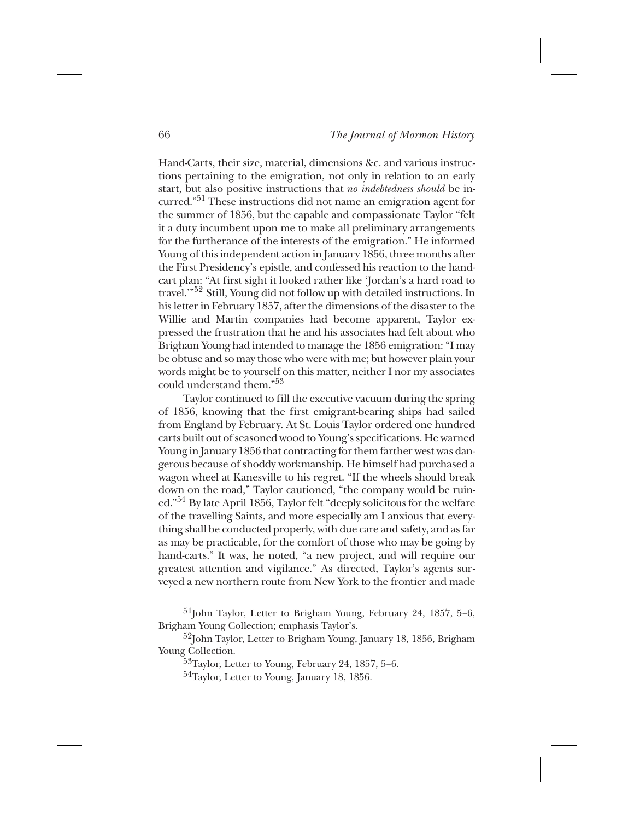Hand-Carts, their size, material, dimensions &c. and various instructions pertaining to the emigration, not only in relation to an early start, but also positive instructions that *no indebtedness should* be incurred."<sup>51</sup> These instructions did not name an emigration agent for the summer of 1856, but the capable and compassionate Taylor "felt it a duty incumbent upon me to make all preliminary arrangements for the furtherance of the interests of the emigration." He informed Young of this independent action in January 1856, three months after the First Presidency's epistle, and confessed his reaction to the handcart plan: "At first sight it looked rather like 'Jordan's a hard road to travel.'"<sup>52</sup> Still, Young did not follow up with detailed instructions. In his letter in February 1857, after the dimensions of the disaster to the Willie and Martin companies had become apparent, Taylor expressed the frustration that he and his associates had felt about who Brigham Young had intended to manage the 1856 emigration: "I may be obtuse and so may those who were with me; but however plain your words might be to yourself on this matter, neither I nor my associates could understand them."53+

Taylor continued to fill the executive vacuum during the spring of 1856, knowing that the first emigrant-bearing ships had sailed from England by February. At St. Louis Taylor ordered one hundred carts built out of seasoned wood to Young's specifications. He warned Young in January 1856 that contracting for them farther west was dangerous because of shoddy workmanship. He himself had purchased a wagon wheel at Kanesville to his regret. "If the wheels should break down on the road," Taylor cautioned, "the company would be ruined."<sup>54</sup> By late April 1856, Taylor felt "deeply solicitous for the welfare of the travelling Saints, and more especially am I anxious that everything shall be conducted properly, with due care and safety, and as far as may be practicable, for the comfort of those who may be going by hand-carts." It was, he noted, "a new project, and will require our greatest attention and vigilance." As directed, Taylor's agents surveyed a new northern route from New York to the frontier and made

 $^{51}$ John Taylor, Letter to Brigham Young, February 24, 1857, 5–6, Brigham Young Collection; emphasis Taylor's.

<sup>&</sup>lt;sup>52</sup>John Taylor, Letter to Brigham Young, January 18, 1856, Brigham Young Collection.

 $53$ Taylor, Letter to Young, February 24, 1857, 5–6.

 $54$ Taylor, Letter to Young, January 18, 1856.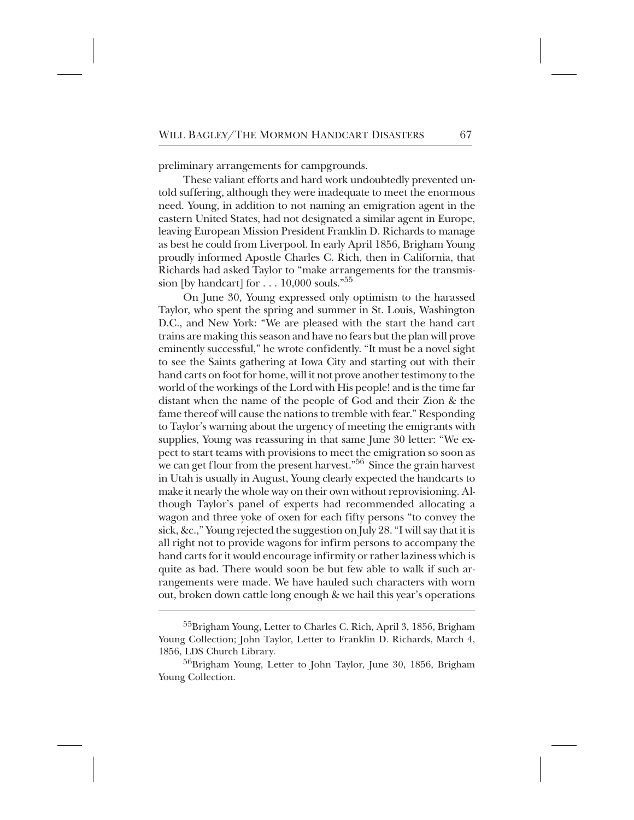preliminary arrangements for campgrounds.

These valiant efforts and hard work undoubtedly prevented untold suffering, although they were inadequate to meet the enormous need. Young, in addition to not naming an emigration agent in the eastern United States, had not designated a similar agent in Europe, leaving European Mission President Franklin D. Richards to manage as best he could from Liverpool. In early April 1856, Brigham Young proudly informed Apostle Charles C. Rich, then in California, that Richards had asked Taylor to "make arrangements for the transmission [by handcart] for  $\dots$  10,000 souls."<sup>55</sup>

On June 30, Young expressed only optimism to the harassed Taylor, who spent the spring and summer in St. Louis, Washington D.C., and New York: "We are pleased with the start the hand cart trains are making this season and have no fears but the plan will prove eminently successful," he wrote confidently. "It must be a novel sight to see the Saints gathering at Iowa City and starting out with their hand carts on foot for home, will it not prove another testimony to the world of the workings of the Lord with His people! and is the time far distant when the name of the people of God and their Zion & the fame thereof will cause the nations to tremble with fear." Responding to Taylor's warning about the urgency of meeting the emigrants with supplies, Young was reassuring in that same June 30 letter: "We expect to start teams with provisions to meet the emigration so soon as we can get flour from the present harvest." $^{56}$  Since the grain harvest in Utah is usually in August, Young clearly expected the handcarts to make it nearly the whole way on their own without reprovisioning. Although Taylor's panel of experts had recommended allocating a wagon and three yoke of oxen for each fifty persons "to convey the sick, &c.," Young rejected the suggestion on July 28. "I will say that it is all right not to provide wagons for infirm persons to accompany the hand carts for it would encourage infirmity or rather laziness which is quite as bad. There would soon be but few able to walk if such arrangements were made. We have hauled such characters with worn out, broken down cattle long enough & we hail this year's operations

<sup>&</sup>lt;sup>55</sup>Brigham Young, Letter to Charles C. Rich, April 3, 1856, Brigham Young Collection; John Taylor, Letter to Franklin D. Richards, March 4, 1856, LDS Church Library.

<sup>56</sup>Brigham Young, Letter to John Taylor, June 30, 1856, Brigham Young Collection.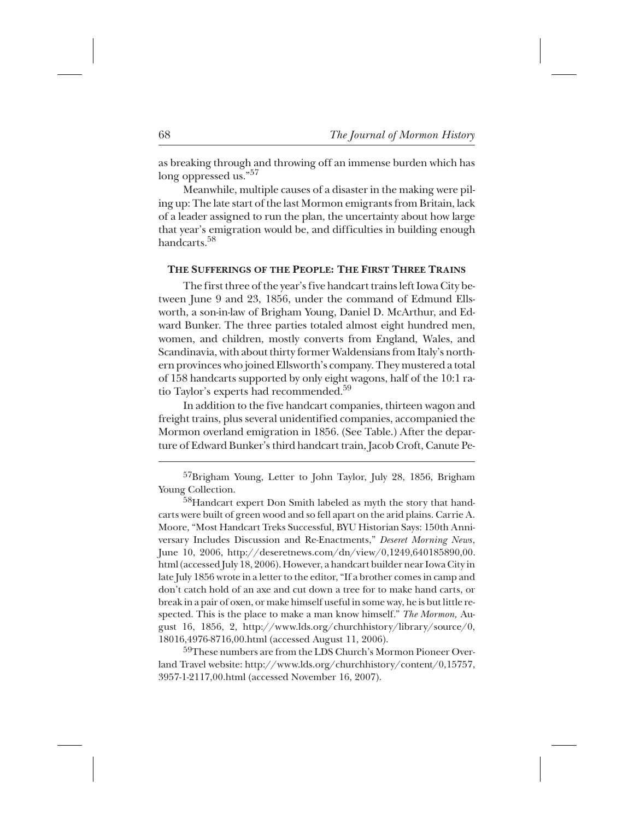as breaking through and throwing off an immense burden which has long oppressed us."<sup>57</sup>

Meanwhile, multiple causes of a disaster in the making were piling up: The late start of the last Mormon emigrants from Britain, lack of a leader assigned to run the plan, the uncertainty about how large that year's emigration would be, and difficulties in building enough handcarts<sup>58</sup>

## **THE SUFFERINGS OF THE PEOPLE: THE FIRST THREE TRAINS**

The first three of the year's five handcart trains left Iowa City between June 9 and 23, 1856, under the command of Edmund Ellsworth, a son-in-law of Brigham Young, Daniel D. McArthur, and Edward Bunker. The three parties totaled almost eight hundred men, women, and children, mostly converts from England, Wales, and Scandinavia, with about thirty former Waldensians from Italy's northern provinces who joined Ellsworth's company. They mustered a total of 158 handcarts supported by only eight wagons, half of the 10:1 ratio Taylor's experts had recommended.<sup>59</sup>

In addition to the five handcart companies, thirteen wagon and freight trains, plus several unidentified companies, accompanied the Mormon overland emigration in 1856. (See Table.) After the departure of Edward Bunker's third handcart train, Jacob Croft, Canute Pe-

59These numbers are from the LDS Church's Mormon Pioneer Overland Travel website: http://www.lds.org/churchhistory/content/0,15757, 3957-1-2117,00.html (accessed November 16, 2007).

<sup>&</sup>lt;sup>57</sup>Brigham Young, Letter to John Taylor, July 28, 1856, Brigham Young Collection.

<sup>58</sup>Handcart expert Don Smith labeled as myth the story that handcarts were built of green wood and so fell apart on the arid plains. Carrie A. Moore, "Most Handcart Treks Successful, BYU Historian Says: 150th Anniversary Includes Discussion and Re-Enactments," *Deseret Morning News*, June 10, 2006, http://deseretnews.com/dn/view/0,1249,640185890,00. html (accessed July 18, 2006). However, a handcart builder near Iowa City in late July 1856 wrote in a letter to the editor, "If a brother comes in camp and don't catch hold of an axe and cut down a tree for to make hand carts, or break in a pair of oxen, or make himself useful in some way, he is but little respected. This is the place to make a man know himself." *The Mormon,* August 16, 1856, 2, http://www.lds.org/churchhistory/library/source/0, 18016,4976-8716,00.html (accessed August 11, 2006).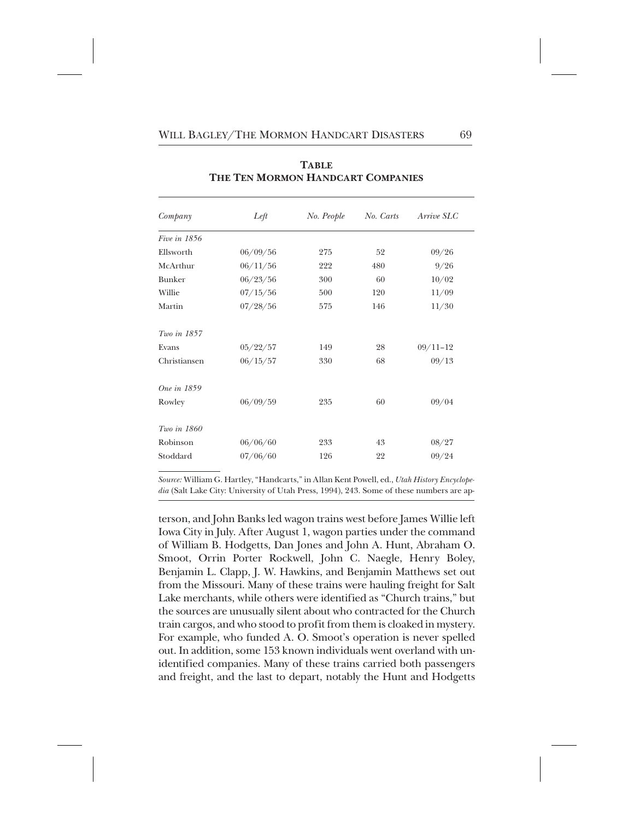| Company       | Left     | No. People | No. Carts | Arrive SLC   |
|---------------|----------|------------|-----------|--------------|
| Five in 1856  |          |            |           |              |
| Ellsworth     | 06/09/56 | 275        | 52        | 09/26        |
| McArthur      | 06/11/56 | 222        | 480       | 9/26         |
| <b>Bunker</b> | 06/23/56 | 300        | 60        | 10/02        |
| Willie        | 07/15/56 | 500        | 120       | 11/09        |
| Martin        | 07/28/56 | 575        | 146       | 11/30        |
| Two in 1857   |          |            |           |              |
| Evans         | 05/22/57 | 149        | 28        | $09/11 - 12$ |
| Christiansen  | 06/15/57 | 330        | 68        | 09/13        |
| One in 1859   |          |            |           |              |
| Rowley        | 06/09/59 | 235        | 60        | 09/04        |
| Two in 1860   |          |            |           |              |
| Robinson      | 06/06/60 | 233        | 43        | 08/27        |
| Stoddard      | 07/06/60 | 126        | 22        | 09/24        |

**TABLE THE TEN MORMON HANDCART COMPANIES**

*Source:* William G. Hartley, "Handcarts," in Allan Kent Powell, ed., *Utah History Encyclopedia* (Salt Lake City: University of Utah Press, 1994), 243. Some of these numbers are ap-

terson, and John Banks led wagon trains west before James Willie left Iowa City in July. After August 1, wagon parties under the command of William B. Hodgetts, Dan Jones and John A. Hunt, Abraham O. Smoot, Orrin Porter Rockwell, John C. Naegle, Henry Boley, Benjamin L. Clapp, J. W. Hawkins, and Benjamin Matthews set out from the Missouri. Many of these trains were hauling freight for Salt Lake merchants, while others were identified as "Church trains," but the sources are unusually silent about who contracted for the Church train cargos, and who stood to profit from them is cloaked in mystery. For example, who funded A. O. Smoot's operation is never spelled out. In addition, some 153 known individuals went overland with unidentified companies. Many of these trains carried both passengers and freight, and the last to depart, notably the Hunt and Hodgetts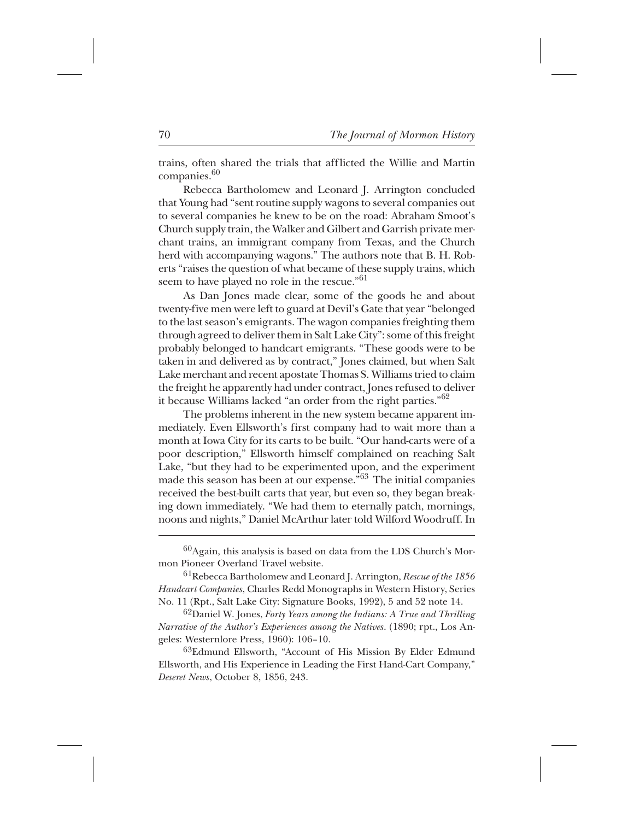trains, often shared the trials that afflicted the Willie and Martin companies.<sup>60</sup>

Rebecca Bartholomew and Leonard J. Arrington concluded that Young had "sent routine supply wagons to several companies out to several companies he knew to be on the road: Abraham Smoot's Church supply train, the Walker and Gilbert and Garrish private merchant trains, an immigrant company from Texas, and the Church herd with accompanying wagons." The authors note that B. H. Roberts "raises the question of what became of these supply trains, which seem to have played no role in the rescue."<sup>61</sup>

As Dan Jones made clear, some of the goods he and about twenty-five men were left to guard at Devil's Gate that year "belonged to the last season's emigrants. The wagon companies freighting them through agreed to deliver them in Salt Lake City": some of this freight probably belonged to handcart emigrants. "These goods were to be taken in and delivered as by contract," Jones claimed, but when Salt Lake merchant and recent apostate Thomas S. Williams tried to claim the freight he apparently had under contract, Jones refused to deliver it because Williams lacked "an order from the right parties."<sup>62</sup>

The problems inherent in the new system became apparent immediately. Even Ellsworth's first company had to wait more than a month at Iowa City for its carts to be built. "Our hand-carts were of a poor description," Ellsworth himself complained on reaching Salt Lake, "but they had to be experimented upon, and the experiment made this season has been at our expense."<sup>63</sup> The initial companies received the best-built carts that year, but even so, they began breaking down immediately. "We had them to eternally patch, mornings, noons and nights," Daniel McArthur later told Wilford Woodruff. In

<sup>62</sup>Daniel W. Jones, *Forty Years among the Indians: A True and Thrilling Narrative of the Author's Experiences among the Natives*. (1890; rpt., Los Angeles: Westernlore Press, 1960): 106–10.

63Edmund Ellsworth, "Account of His Mission By Elder Edmund Ellsworth, and His Experience in Leading the First Hand-Cart Company," *Deseret News*, October 8, 1856, 243.

 $^{60}$ Again, this analysis is based on data from the LDS Church's Mormon Pioneer Overland Travel website.

<sup>+</sup> 61Rebecca Bartholomew and Leonard J. Arrington, *Rescue of the 1856 Handcart Companies*, Charles Redd Monographs in Western History, Series No. 11 (Rpt., Salt Lake City: Signature Books, 1992), 5 and 52 note 14.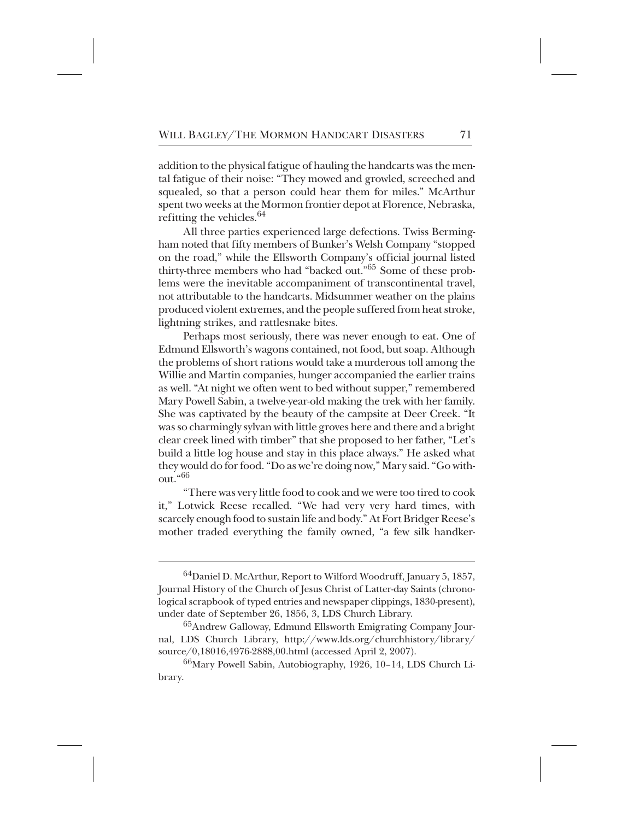addition to the physical fatigue of hauling the handcarts was the mental fatigue of their noise: "They mowed and growled, screeched and squealed, so that a person could hear them for miles." McArthur spent two weeks at the Mormon frontier depot at Florence, Nebraska, refitting the vehicles.  $64$ 

All three parties experienced large defections. Twiss Bermingham noted that fifty members of Bunker's Welsh Company "stopped on the road," while the Ellsworth Company's official journal listed thirty-three members who had "backed out."<sup>65</sup> Some of these problems were the inevitable accompaniment of transcontinental travel, not attributable to the handcarts. Midsummer weather on the plains produced violent extremes, and the people suffered from heat stroke, lightning strikes, and rattlesnake bites.

Perhaps most seriously, there was never enough to eat. One of Edmund Ellsworth's wagons contained, not food, but soap. Although the problems of short rations would take a murderous toll among the Willie and Martin companies, hunger accompanied the earlier trains as well. "At night we often went to bed without supper," remembered Mary Powell Sabin, a twelve-year-old making the trek with her family. She was captivated by the beauty of the campsite at Deer Creek. "It was so charmingly sylvan with little groves here and there and a bright clear creek lined with timber" that she proposed to her father, "Let's build a little log house and stay in this place always." He asked what they would do for food. "Do as we're doing now," Mary said. "Go without. $66^{\circ}$ 

"There was very little food to cook and we were too tired to cook it," Lotwick Reese recalled. "We had very very hard times, with scarcely enough food to sustain life and body." At Fort Bridger Reese's mother traded everything the family owned, "a few silk handker-

 $^{64}$ Daniel D. McArthur, Report to Wilford Woodruff, January 5, 1857, Journal History of the Church of Jesus Christ of Latter-day Saints (chronological scrapbook of typed entries and newspaper clippings, 1830-present), under date of September 26, 1856, 3, LDS Church Library.

<sup>&</sup>lt;sup>65</sup>Andrew Galloway, Edmund Ellsworth Emigrating Company Journal, LDS Church Library, http://www.lds.org/churchhistory/library/ source/0,18016,4976-2888,00.html (accessed April 2, 2007).

<sup>&</sup>lt;sup>66</sup>Mary Powell Sabin, Autobiography, 1926, 10–14, LDS Church Library.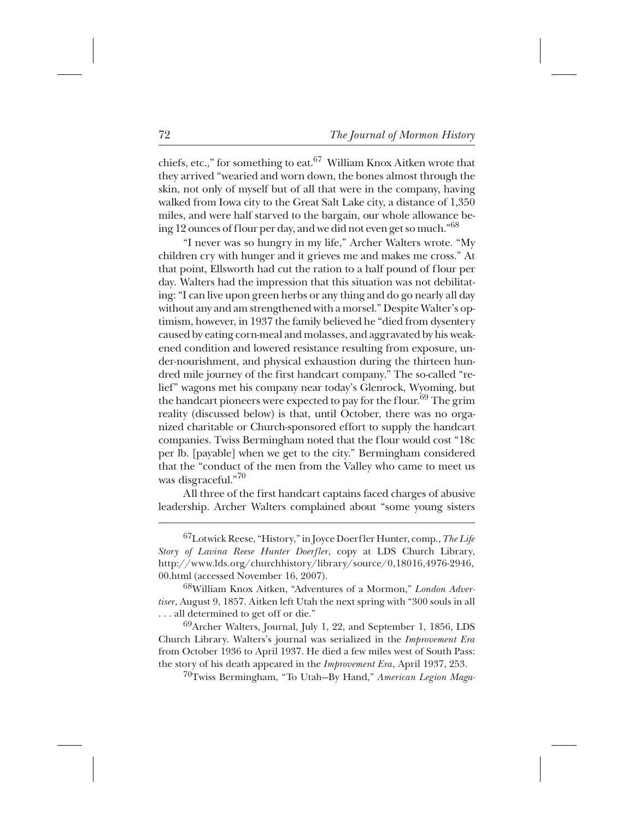chiefs, etc.," for something to eat. $^{67}$  William Knox Aitken wrote that they arrived "wearied and worn down, the bones almost through the skin, not only of myself but of all that were in the company, having walked from Iowa city to the Great Salt Lake city, a distance of 1,350 miles, and were half starved to the bargain, our whole allowance being 12 ounces of flour per day, and we did not even get so much."<sup>68</sup>

"I never was so hungry in my life," Archer Walters wrote. "My children cry with hunger and it grieves me and makes me cross." At that point, Ellsworth had cut the ration to a half pound of flour per day. Walters had the impression that this situation was not debilitating: "I can live upon green herbs or any thing and do go nearly all day without any and am strengthened with a morsel." Despite Walter's optimism, however, in 1937 the family believed he "died from dysentery caused by eating corn-meal and molasses, and aggravated by his weakened condition and lowered resistance resulting from exposure, under-nourishment, and physical exhaustion during the thirteen hundred mile journey of the first handcart company." The so-called "relief" wagons met his company near today's Glenrock, Wyoming, but the handcart pioneers were expected to pay for the flour.<sup>69</sup> The grim reality (discussed below) is that, until October, there was no organized charitable or Church-sponsored effort to supply the handcart companies. Twiss Bermingham noted that the flour would cost "18c per lb. [payable] when we get to the city." Bermingham considered that the "conduct of the men from the Valley who came to meet us was disgraceful."<sup>70</sup>

All three of the first handcart captains faced charges of abusive leadership. Archer Walters complained about "some young sisters

++ 70Twiss Bermingham, "To Utah—By Hand," *American Legion Maga-*

<sup>&</sup>lt;sup>67</sup>Lotwick Reese, "History," in Joyce Doerfler Hunter, comp., *The Life Story of Lavina Reese Hunter Doerfler*, copy at LDS Church Library, http://www.lds.org/churchhistory/library/source/0,18016,4976-2946, 00.html (accessed November 16, 2007).

 $^{68}$ William Knox Aitken, "Adventures of a Mormon," *London Advertiser*, August 9, 1857. Aitken left Utah the next spring with "300 souls in all . . . all determined to get off or die."

 $^{69}$ Archer Walters, Journal, July 1, 22, and September 1, 1856, LDS Church Library. Walters's journal was serialized in the *Improvement Era* from October 1936 to April 1937. He died a few miles west of South Pass: the story of his death appeared in the *Improvement Era*, April 1937, 253.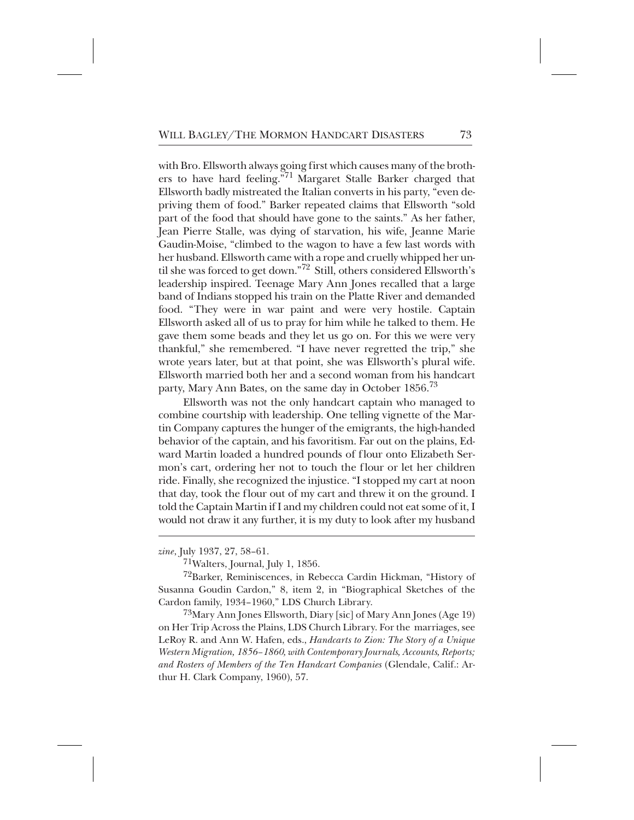with Bro. Ellsworth always going first which causes many of the brothers to have hard feeling."<sup>71</sup> Margaret Stalle Barker charged that Ellsworth badly mistreated the Italian converts in his party, "even depriving them of food." Barker repeated claims that Ellsworth "sold part of the food that should have gone to the saints." As her father, Jean Pierre Stalle, was dying of starvation, his wife, Jeanne Marie Gaudin-Moise, "climbed to the wagon to have a few last words with her husband. Ellsworth came with a rope and cruelly whipped her until she was forced to get down."<sup>72</sup> Still, others considered Ellsworth's leadership inspired. Teenage Mary Ann Jones recalled that a large band of Indians stopped his train on the Platte River and demanded food. "They were in war paint and were very hostile. Captain Ellsworth asked all of us to pray for him while he talked to them. He gave them some beads and they let us go on. For this we were very thankful," she remembered. "I have never regretted the trip," she wrote years later, but at that point, she was Ellsworth's plural wife. Ellsworth married both her and a second woman from his handcart party, Mary Ann Bates, on the same day in October 1856.<sup>73</sup>

Ellsworth was not the only handcart captain who managed to combine courtship with leadership. One telling vignette of the Martin Company captures the hunger of the emigrants, the high-handed behavior of the captain, and his favoritism. Far out on the plains, Edward Martin loaded a hundred pounds of flour onto Elizabeth Sermon's cart, ordering her not to touch the flour or let her children ride. Finally, she recognized the injustice. "I stopped my cart at noon that day, took the flour out of my cart and threw it on the ground. I told the Captain Martin if I and my children could not eat some of it, I would not draw it any further, it is my duty to look after my husband

 $^{73}$ Mary Ann Jones Ellsworth, Diary [sic] of Mary Ann Jones (Age 19) on Her Trip Across the Plains, LDS Church Library. For the marriages, see LeRoy R. and Ann W. Hafen, eds., *Handcarts to Zion: The Story of a Unique Western Migration, 1856–1860, with Contemporary Journals, Accounts, Reports; and Rosters of Members of the Ten Handcart Companies* (Glendale, Calif.: Arthur H. Clark Company, 1960), 57.

*zine*, July 1937, 27, 58–61.

 $71$ Walters, Journal, July 1, 1856.

<sup>72</sup>Barker, Reminiscences, in Rebecca Cardin Hickman, "History of Susanna Goudin Cardon," 8, item 2, in "Biographical Sketches of the Cardon family, 1934–1960," LDS Church Library.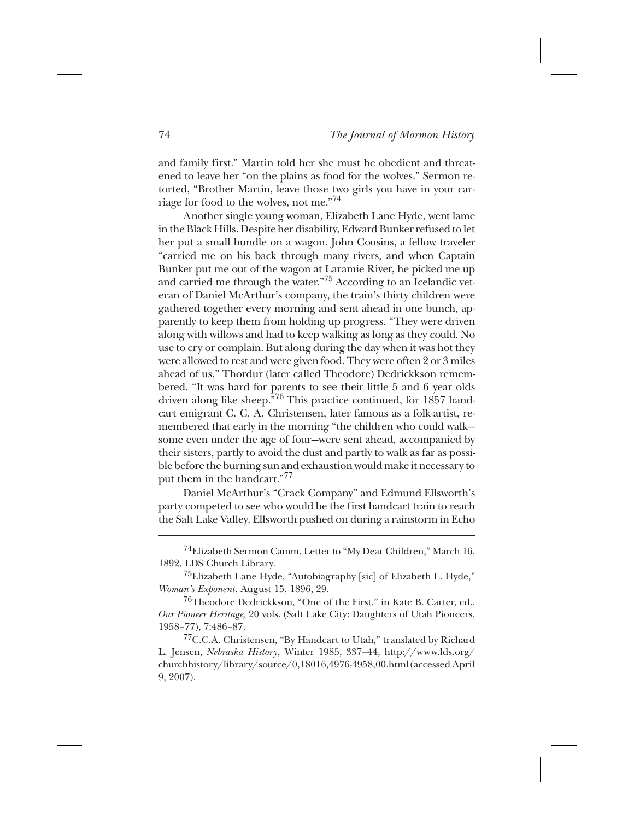and family first." Martin told her she must be obedient and threatened to leave her "on the plains as food for the wolves." Sermon retorted, "Brother Martin, leave those two girls you have in your carriage for food to the wolves, not me."<sup>74</sup>

Another single young woman, Elizabeth Lane Hyde, went lame in the Black Hills. Despite her disability, Edward Bunker refused to let her put a small bundle on a wagon. John Cousins, a fellow traveler "carried me on his back through many rivers, and when Captain Bunker put me out of the wagon at Laramie River, he picked me up and carried me through the water."<sup>75</sup> According to an Icelandic veteran of Daniel McArthur's company, the train's thirty children were gathered together every morning and sent ahead in one bunch, apparently to keep them from holding up progress. "They were driven along with willows and had to keep walking as long as they could. No use to cry or complain. But along during the day when it was hot they were allowed to rest and were given food. They were often 2 or 3 miles ahead of us," Thordur (later called Theodore) Dedrickkson remembered. "It was hard for parents to see their little 5 and 6 year olds driven along like sheep."<sup>76</sup> This practice continued, for 1857 handcart emigrant C. C. A. Christensen, later famous as a folk-artist, remembered that early in the morning "the children who could walk some even under the age of four—were sent ahead, accompanied by their sisters, partly to avoid the dust and partly to walk as far as possible before the burning sun and exhaustion would make it necessary to put them in the handcart."<sup>77</sup>

Daniel McArthur's "Crack Company" and Edmund Ellsworth's party competed to see who would be the first handcart train to reach the Salt Lake Valley. Ellsworth pushed on during a rainstorm in Echo

<sup>&</sup>lt;sup>74</sup>Elizabeth Sermon Camm, Letter to "My Dear Children," March 16, 1892, LDS Church Library.

 $^{75}$ Elizabeth Lane Hyde, "Autobiagraphy [sic] of Elizabeth L. Hyde," *Woman's Exponent*, August 15, 1896, 29.

 $^{76}$ Theodore Dedrickkson, "One of the First," in Kate B. Carter, ed., *Our Pioneer Heritage,* 20 vols. (Salt Lake City: Daughters of Utah Pioneers, 1958–77), 7:486–87.

<sup>&</sup>lt;sup>77</sup>C.C.A. Christensen, "By Handcart to Utah," translated by Richard L. Jensen, *Nebraska History*, Winter 1985, 337–44, http://www.lds.org/ churchhistory/library/source/0,18016,4976-4958,00.html (accessed April 9, 2007).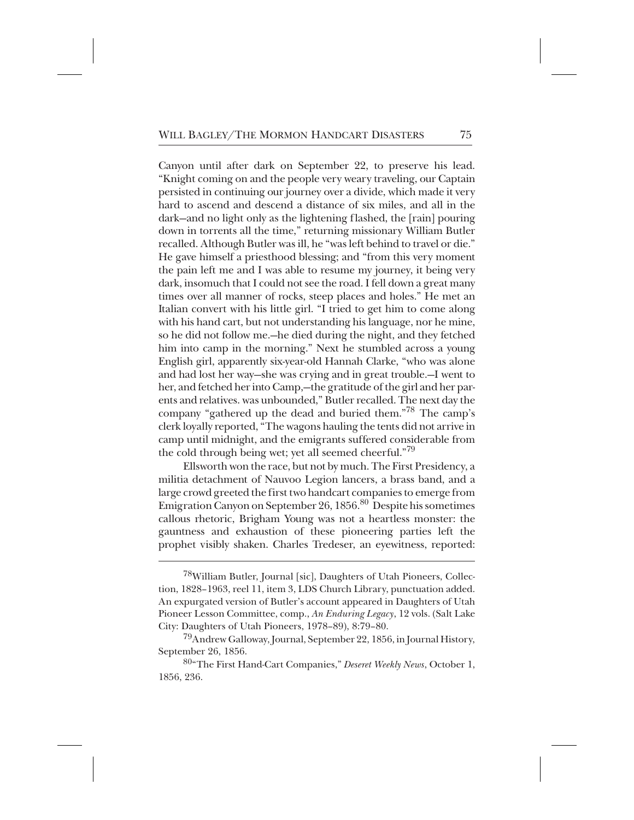Canyon until after dark on September 22, to preserve his lead. "Knight coming on and the people very weary traveling, our Captain persisted in continuing our journey over a divide, which made it very hard to ascend and descend a distance of six miles, and all in the dark—and no light only as the lightening flashed, the [rain] pouring down in torrents all the time," returning missionary William Butler recalled. Although Butler was ill, he "was left behind to travel or die." He gave himself a priesthood blessing; and "from this very moment the pain left me and I was able to resume my journey, it being very dark, insomuch that I could not see the road. I fell down a great many times over all manner of rocks, steep places and holes." He met an Italian convert with his little girl. "I tried to get him to come along with his hand cart, but not understanding his language, nor he mine, so he did not follow me.—he died during the night, and they fetched him into camp in the morning." Next he stumbled across a young English girl, apparently six-year-old Hannah Clarke, "who was alone and had lost her way—she was crying and in great trouble.—I went to her, and fetched her into Camp,—the gratitude of the girl and her parents and relatives. was unbounded," Butler recalled. The next day the company "gathered up the dead and buried them."<sup>78</sup> The camp's clerk loyally reported, "The wagons hauling the tents did not arrive in camp until midnight, and the emigrants suffered considerable from the cold through being wet; yet all seemed cheerful."<sup>79</sup>

Ellsworth won the race, but not by much. The First Presidency, a militia detachment of Nauvoo Legion lancers, a brass band, and a large crowd greeted the first two handcart companies to emerge from Emigration Canyon on September 26, 1856.<sup>80</sup> Despite his sometimes callous rhetoric, Brigham Young was not a heartless monster: the gauntness and exhaustion of these pioneering parties left the prophet visibly shaken. Charles Tredeser, an eyewitness, reported:

<sup>&</sup>lt;sup>78</sup>William Butler, Journal [sic], Daughters of Utah Pioneers, Collection, 1828–1963, reel 11, item 3, LDS Church Library, punctuation added. An expurgated version of Butler's account appeared in Daughters of Utah Pioneer Lesson Committee, comp., *An Enduring Legacy*, 12 vols. (Salt Lake City: Daughters of Utah Pioneers, 1978–89), 8:79–80.

<sup>&</sup>lt;sup>79</sup>Andrew Galloway, Journal, September 22, 1856, in Journal History, September 26, 1856.

<sup>++++</sup> 80"The First Hand-Cart Companies," *Deseret Weekly News*, October 1, 1856, 236.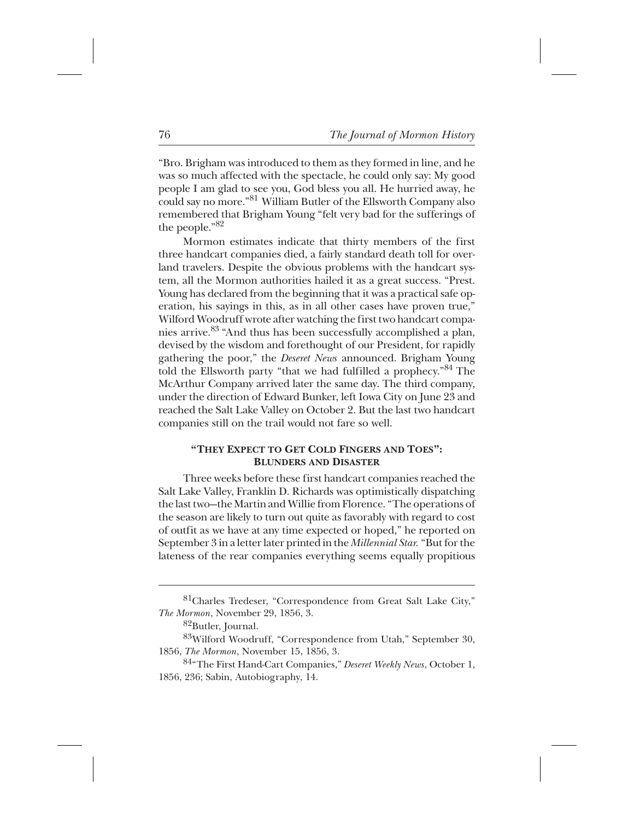"Bro. Brigham was introduced to them as they formed in line, and he was so much affected with the spectacle, he could only say: My good people I am glad to see you, God bless you all. He hurried away, he could say no more."<sup>81</sup> William Butler of the Ellsworth Company also remembered that Brigham Young "felt very bad for the sufferings of the people." $82^*$ 

Mormon estimates indicate that thirty members of the first three handcart companies died, a fairly standard death toll for overland travelers. Despite the obvious problems with the handcart system, all the Mormon authorities hailed it as a great success. "Prest. Young has declared from the beginning that it was a practical safe operation, his sayings in this, as in all other cases have proven true," Wilford Woodruff wrote after watching the first two handcart companies arrive.<sup>83</sup> "And thus has been successfully accomplished a plan, devised by the wisdom and forethought of our President, for rapidly gathering the poor," the *Deseret News* announced. Brigham Young told the Ellsworth party "that we had fulfilled a prophecy."84 The McArthur Company arrived later the same day. The third company, under the direction of Edward Bunker, left Iowa City on June 23 and reached the Salt Lake Valley on October 2. But the last two handcart companies still on the trail would not fare so well.

## **"THEY EXPECT TO GET COLD FINGERS AND TOES": BLUNDERS AND DISASTER**

Three weeks before these first handcart companies reached the Salt Lake Valley, Franklin D. Richards was optimistically dispatching the last two—the Martin and Willie from Florence. "The operations of the season are likely to turn out quite as favorably with regard to cost of outfit as we have at any time expected or hoped," he reported on September 3 in a letter later printed in the *Millennial Star.* "But for the lateness of the rear companies everything seems equally propitious

<sup>&</sup>lt;sup>81</sup>Charles Tredeser, "Correspondence from Great Salt Lake City," *The Mormon*, November 29, 1856, 3.

<sup>&</sup>lt;sup>82</sup>Butler, Journal.

<sup>&</sup>lt;sup>83</sup>Wilford Woodruff, "Correspondence from Utah," September 30, 1856, *The Mormon*, November 15, 1856, 3.

<sup>&</sup>lt;sup>84</sup>"The First Hand-Cart Companies," *Deseret Weekly News*, October 1, 1856, 236; Sabin, Autobiography, 14.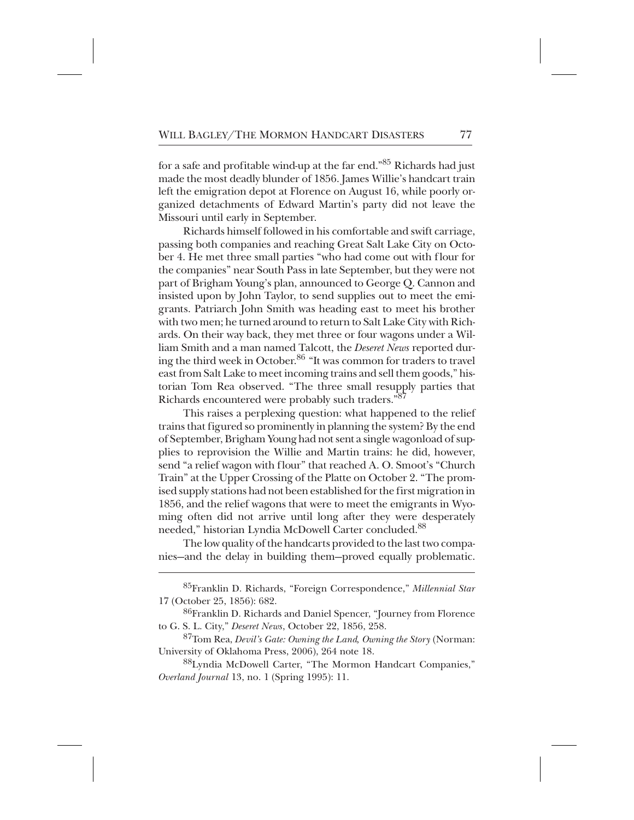for a safe and profitable wind-up at the far end."<sup>85</sup> Richards had just made the most deadly blunder of 1856. James Willie's handcart train left the emigration depot at Florence on August 16, while poorly organized detachments of Edward Martin's party did not leave the Missouri until early in September.

Richards himself followed in his comfortable and swift carriage, passing both companies and reaching Great Salt Lake City on October 4. He met three small parties "who had come out with flour for the companies" near South Pass in late September, but they were not part of Brigham Young's plan, announced to George Q. Cannon and insisted upon by John Taylor, to send supplies out to meet the emigrants. Patriarch John Smith was heading east to meet his brother with two men; he turned around to return to Salt Lake City with Richards. On their way back, they met three or four wagons under a William Smith and a man named Talcott, the *Deseret News* reported during the third week in October.<sup>86</sup> "It was common for traders to travel east from Salt Lake to meet incoming trains and sell them goods," historian Tom Rea observed. "The three small resupply parties that Richards encountered were probably such traders."<sup>87</sup>

This raises a perplexing question: what happened to the relief trains that figured so prominently in planning the system? By the end of September, Brigham Young had not sent a single wagonload of supplies to reprovision the Willie and Martin trains: he did, however, send "a relief wagon with flour" that reached A. O. Smoot's "Church Train" at the Upper Crossing of the Platte on October 2. "The promised supply stations had not been established for the first migration in 1856, and the relief wagons that were to meet the emigrants in Wyoming often did not arrive until long after they were desperately needed," historian Lyndia McDowell Carter concluded.<sup>88</sup>

The low quality of the handcarts provided to the last two companies—and the delay in building them—proved equally problematic.

<sup>+</sup> 85Franklin D. Richards, "Foreign Correspondence," *Millennial Star* 17 (October 25, 1856): 682.

<sup>&</sup>lt;sup>86</sup>Franklin D. Richards and Daniel Spencer, "Journey from Florence to G. S. L. City," *Deseret News*, October 22, 1856, 258.

<sup>+++</sup> 87Tom Rea, *Devil's Gate: Owning the Land, Owning the Story* (Norman: University of Oklahoma Press, 2006), 264 note 18.

<sup>&</sup>lt;sup>88</sup>Lyndia McDowell Carter, "The Mormon Handcart Companies," *Overland Journal* 13, no. 1 (Spring 1995): 11.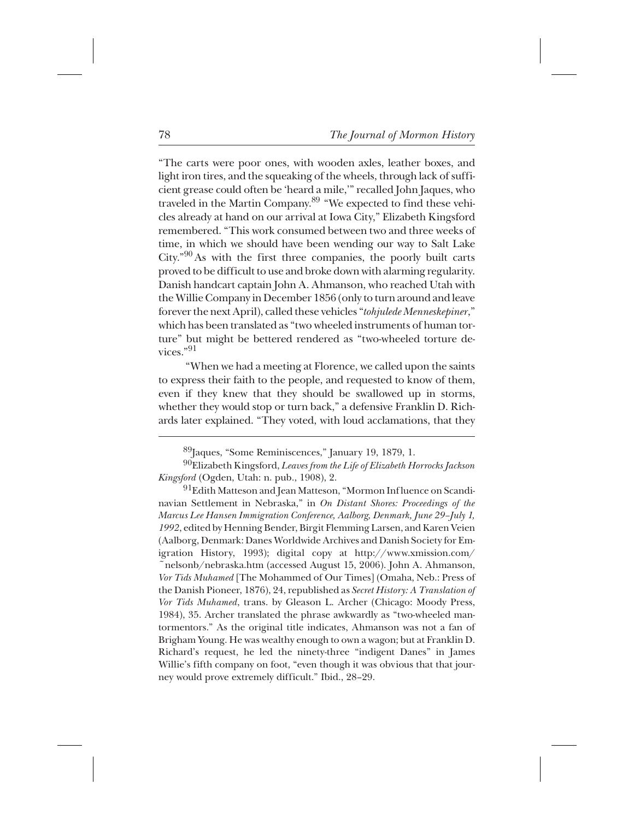"The carts were poor ones, with wooden axles, leather boxes, and light iron tires, and the squeaking of the wheels, through lack of sufficient grease could often be 'heard a mile,'" recalled John Jaques, who traveled in the Martin Company.<sup>89</sup> "We expected to find these vehicles already at hand on our arrival at Iowa City," Elizabeth Kingsford remembered. "This work consumed between two and three weeks of time, in which we should have been wending our way to Salt Lake City."<sup>90</sup> As with the first three companies, the poorly built carts proved to be difficult to use and broke down with alarming regularity. Danish handcart captain John A. Ahmanson, who reached Utah with the Willie Company in December 1856 (only to turn around and leave forever the next April), called these vehicles "*tohjulede Menneskepiner*," which has been translated as "two wheeled instruments of human torture" but might be bettered rendered as "two-wheeled torture devices." $91$ 

"When we had a meeting at Florence, we called upon the saints to express their faith to the people, and requested to know of them, even if they knew that they should be swallowed up in storms, whether they would stop or turn back," a defensive Franklin D. Richards later explained. "They voted, with loud acclamations, that they

<sup>91</sup>Edith Matteson and Jean Matteson, "Mormon Influence on Scandinavian Settlement in Nebraska," in *On Distant Shores: Proceedings of the Marcus Lee Hansen Immigration Conference, Aalborg, Denmark, June 29–July 1, 1992*, edited by Henning Bender, Birgit Flemming Larsen, and Karen Veien (Aalborg, Denmark: Danes Worldwide Archives and Danish Society for Emigration History, 1993); digital copy at http://www.xmission.com/ ~nelsonb/nebraska.htm (accessed August 15, 2006). John A. Ahmanson, *Vor Tids Muhamed* [The Mohammed of Our Times] (Omaha, Neb.: Press of the Danish Pioneer, 1876), 24, republished as *Secret History: A Translation of Vor Tids Muhamed*, trans. by Gleason L. Archer (Chicago: Moody Press, 1984), 35. Archer translated the phrase awkwardly as "two-wheeled mantormentors." As the original title indicates, Ahmanson was not a fan of Brigham Young. He was wealthy enough to own a wagon; but at Franklin D. Richard's request, he led the ninety-three "indigent Danes" in James Willie's fifth company on foot, "even though it was obvious that that journey would prove extremely difficult." Ibid., 28–29.

<sup>&</sup>lt;sup>89</sup>Jaques, "Some Reminiscences," January 19, 1879, 1.

 $^{90}$ Elizabeth Kingsford, *Leaves from the Life of Elizabeth Horrocks Jackson Kingsford* (Ogden, Utah: n. pub., 1908), 2.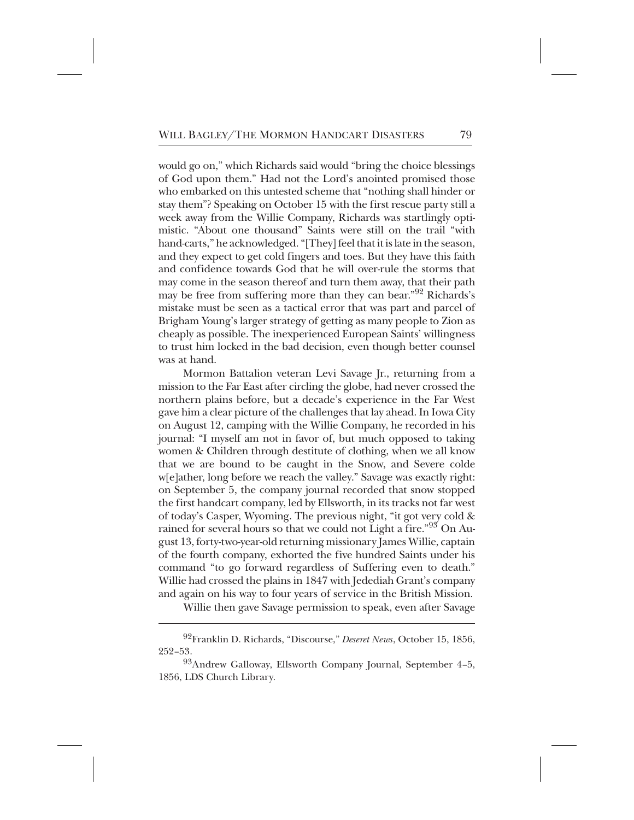would go on," which Richards said would "bring the choice blessings of God upon them." Had not the Lord's anointed promised those who embarked on this untested scheme that "nothing shall hinder or stay them"? Speaking on October 15 with the first rescue party still a week away from the Willie Company, Richards was startlingly optimistic. "About one thousand" Saints were still on the trail "with hand-carts," he acknowledged. "[They] feel that it is late in the season, and they expect to get cold fingers and toes. But they have this faith and confidence towards God that he will over-rule the storms that may come in the season thereof and turn them away, that their path may be free from suffering more than they can bear."<sup>92</sup> Richards's mistake must be seen as a tactical error that was part and parcel of Brigham Young's larger strategy of getting as many people to Zion as cheaply as possible. The inexperienced European Saints' willingness to trust him locked in the bad decision, even though better counsel was at hand.

Mormon Battalion veteran Levi Savage Jr., returning from a mission to the Far East after circling the globe, had never crossed the northern plains before, but a decade's experience in the Far West gave him a clear picture of the challenges that lay ahead. In Iowa City on August 12, camping with the Willie Company, he recorded in his journal: "I myself am not in favor of, but much opposed to taking women & Children through destitute of clothing, when we all know that we are bound to be caught in the Snow, and Severe colde w[e]ather, long before we reach the valley." Savage was exactly right: on September 5, the company journal recorded that snow stopped the first handcart company, led by Ellsworth, in its tracks not far west of today's Casper, Wyoming. The previous night, "it got very cold & rained for several hours so that we could not Light a fire."<sup>93</sup> On August 13, forty-two-year-old returning missionary James Willie, captain of the fourth company, exhorted the five hundred Saints under his command "to go forward regardless of Suffering even to death." Willie had crossed the plains in 1847 with Jedediah Grant's company and again on his way to four years of service in the British Mission.

Willie then gave Savage permission to speak, even after Savage

<sup>&</sup>lt;sup>92</sup>Franklin D. Richards, "Discourse," *Deseret News*, October 15, 1856, 252–53.

 $93A$ ndrew Galloway, Ellsworth Company Journal, September 4–5, 1856, LDS Church Library.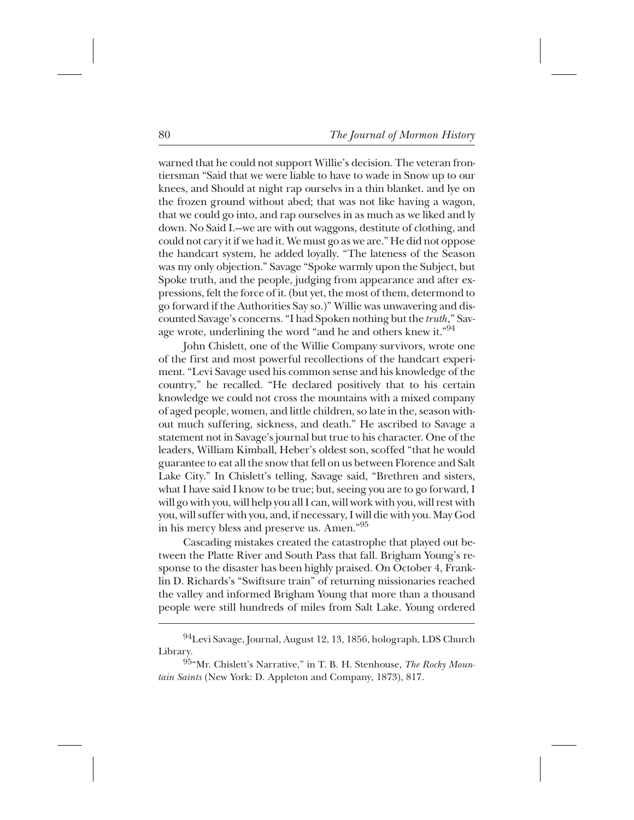warned that he could not support Willie's decision. The veteran frontiersman "Said that we were liable to have to wade in Snow up to our knees, and Should at night rap ourselvs in a thin blanket. and lye on the frozen ground without abed; that was not like having a wagon, that we could go into, and rap ourselves in as much as we liked and ly down. No Said I.—we are with out waggons, destitute of clothing, and could not cary it if we had it. We must go as we are." He did not oppose the handcart system, he added loyally. "The lateness of the Season was my only objection." Savage "Spoke warmly upon the Subject, but Spoke truth, and the people, judging from appearance and after expressions, felt the force of it. (but yet, the most of them, determond to go forward if the Authorities Say so.)" Willie was unwavering and discounted Savage's concerns. "I had Spoken nothing but the *truth*," Savage wrote, underlining the word "and he and others knew it."<sup>94</sup>

John Chislett, one of the Willie Company survivors, wrote one of the first and most powerful recollections of the handcart experiment. "Levi Savage used his common sense and his knowledge of the country," he recalled. "He declared positively that to his certain knowledge we could not cross the mountains with a mixed company of aged people, women, and little children, so late in the, season without much suffering, sickness, and death." He ascribed to Savage a statement not in Savage's journal but true to his character. One of the leaders, William Kimball, Heber's oldest son, scoffed "that he would guarantee to eat all the snow that fell on us between Florence and Salt Lake City." In Chislett's telling, Savage said, "Brethren and sisters, what I have said I know to be true; but, seeing you are to go forward, I will go with you, will help you all I can, will work with you, will rest with you, will suffer with you, and, if necessary, I will die with you. May God in his mercy bless and preserve us. Amen."<sup>95</sup>

Cascading mistakes created the catastrophe that played out between the Platte River and South Pass that fall. Brigham Young's response to the disaster has been highly praised. On October 4, Franklin D. Richards's "Swiftsure train" of returning missionaries reached the valley and informed Brigham Young that more than a thousand people were still hundreds of miles from Salt Lake. Young ordered

 $^{94}$ Levi Savage, Journal, August 12, 13, 1856, holograph, LDS Church Library.

<sup>&</sup>lt;sup>95</sup>"Mr. Chislett's Narrative," in T. B. H. Stenhouse, *The Rocky Mountain Saints* (New York: D. Appleton and Company, 1873), 817.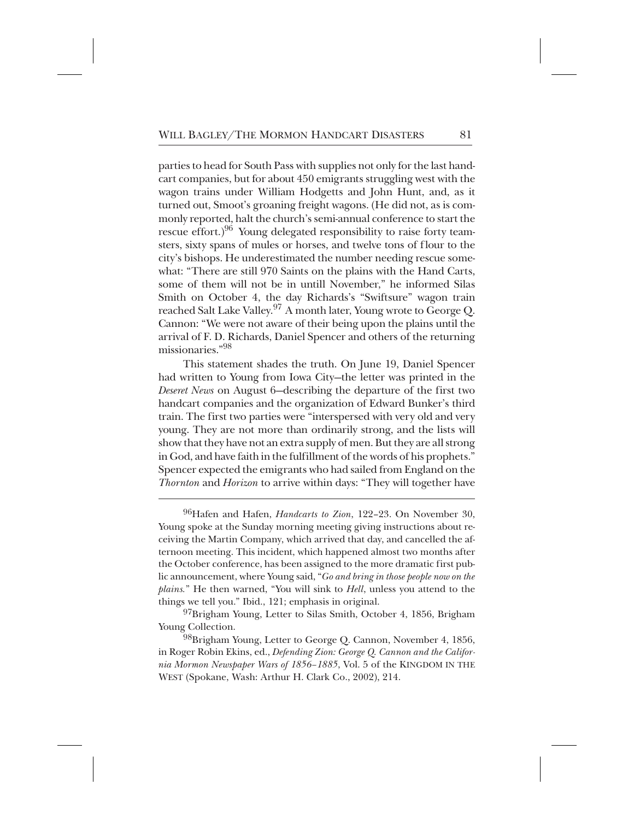parties to head for South Pass with supplies not only for the last handcart companies, but for about 450 emigrants struggling west with the wagon trains under William Hodgetts and John Hunt, and, as it turned out, Smoot's groaning freight wagons. (He did not, as is commonly reported, halt the church's semi-annual conference to start the rescue effort.)<sup>96</sup> Young delegated responsibility to raise forty teamsters, sixty spans of mules or horses, and twelve tons of flour to the city's bishops. He underestimated the number needing rescue somewhat: "There are still 970 Saints on the plains with the Hand Carts, some of them will not be in untill November," he informed Silas Smith on October 4, the day Richards's "Swiftsure" wagon train reached Salt Lake Valley.<sup>97</sup> A month later, Young wrote to George Q. Cannon: "We were not aware of their being upon the plains until the arrival of F. D. Richards, Daniel Spencer and others of the returning missionaries<sup>"98</sup>

This statement shades the truth. On June 19, Daniel Spencer had written to Young from Iowa City—the letter was printed in the *Deseret News* on August 6—describing the departure of the first two handcart companies and the organization of Edward Bunker's third train. The first two parties were "interspersed with very old and very young. They are not more than ordinarily strong, and the lists will show that they have not an extra supply of men. But they are all strong in God, and have faith in the fulfillment of the words of his prophets." Spencer expected the emigrants who had sailed from England on the *Thornton* and *Horizon* to arrive within days: "They will together have

<sup>96</sup>Hafen and Hafen, *Handcarts to Zion*, 122-23. On November 30, Young spoke at the Sunday morning meeting giving instructions about receiving the Martin Company, which arrived that day, and cancelled the afternoon meeting. This incident, which happened almost two months after the October conference, has been assigned to the more dramatic first public announcement, where Young said, "*Go and bring in those people now on the plains.*" He then warned, "You will sink to *Hell*, unless you attend to the things we tell you." Ibid., 121; emphasis in original.

 $^{97}$ Brigham Young, Letter to Silas Smith, October 4, 1856, Brigham Young Collection.

 $^{98}$ Brigham Young, Letter to George Q. Cannon, November 4, 1856, in Roger Robin Ekins, ed., *Defending Zion: George Q. Cannon and the California Mormon Newspaper Wars of 1856–1885*, Vol. 5 of the KINGDOM IN THE WEST (Spokane, Wash: Arthur H. Clark Co., 2002), 214.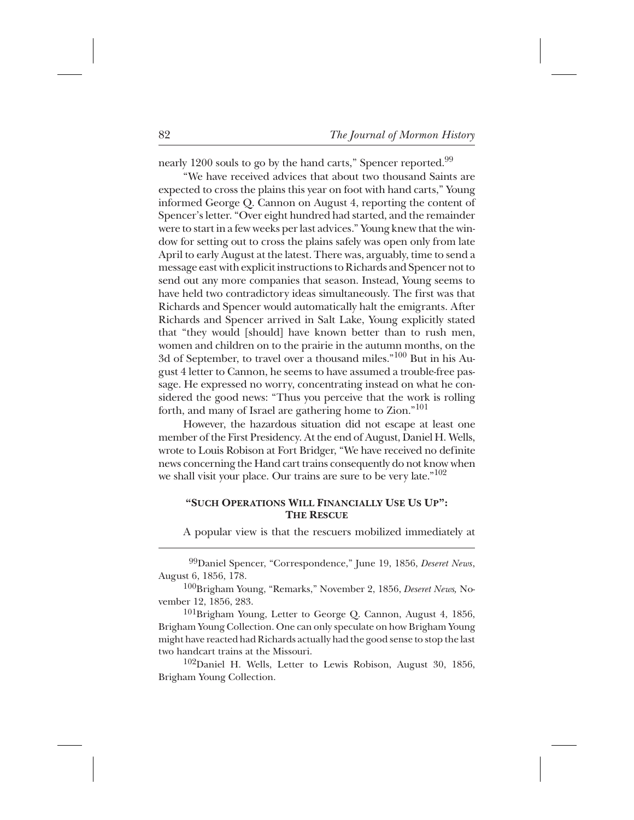nearly  $1200$  souls to go by the hand carts," Spencer reported.<sup>99</sup>

"We have received advices that about two thousand Saints are expected to cross the plains this year on foot with hand carts," Young informed George Q. Cannon on August 4, reporting the content of Spencer's letter. "Over eight hundred had started, and the remainder were to start in a few weeks per last advices." Young knew that the window for setting out to cross the plains safely was open only from late April to early August at the latest. There was, arguably, time to send a message east with explicit instructions to Richards and Spencer not to send out any more companies that season. Instead, Young seems to have held two contradictory ideas simultaneously. The first was that Richards and Spencer would automatically halt the emigrants. After Richards and Spencer arrived in Salt Lake, Young explicitly stated that "they would [should] have known better than to rush men, women and children on to the prairie in the autumn months, on the 3d of September, to travel over a thousand miles."<sup>100</sup> But in his August 4 letter to Cannon, he seems to have assumed a trouble-free passage. He expressed no worry, concentrating instead on what he considered the good news: "Thus you perceive that the work is rolling forth, and many of Israel are gathering home to Zion."<sup>101</sup>

However, the hazardous situation did not escape at least one member of the First Presidency. At the end of August, Daniel H. Wells, wrote to Louis Robison at Fort Bridger, "We have received no definite news concerning the Hand cart trains consequently do not know when we shall visit your place. Our trains are sure to be very late." $102$ 

## **"SUCH OPERATIONS WILL FINANCIALLY USE US UP": THE RESCUE**

A popular view is that the rescuers mobilized immediately at

<sup>99</sup>Daniel Spencer, "Correspondence," June 19, 1856, *Deseret News*, August 6, 1856, 178.

<sup>100</sup>Brigham Young, "Remarks," November 2, 1856, *Deseret News*, November 12, 1856, 283.

 $^{101}$ Brigham Young, Letter to George Q. Cannon, August 4, 1856, Brigham Young Collection. One can only speculate on how Brigham Young might have reacted had Richards actually had the good sense to stop the last two handcart trains at the Missouri.

 $102$ Daniel H. Wells, Letter to Lewis Robison, August 30, 1856, Brigham Young Collection.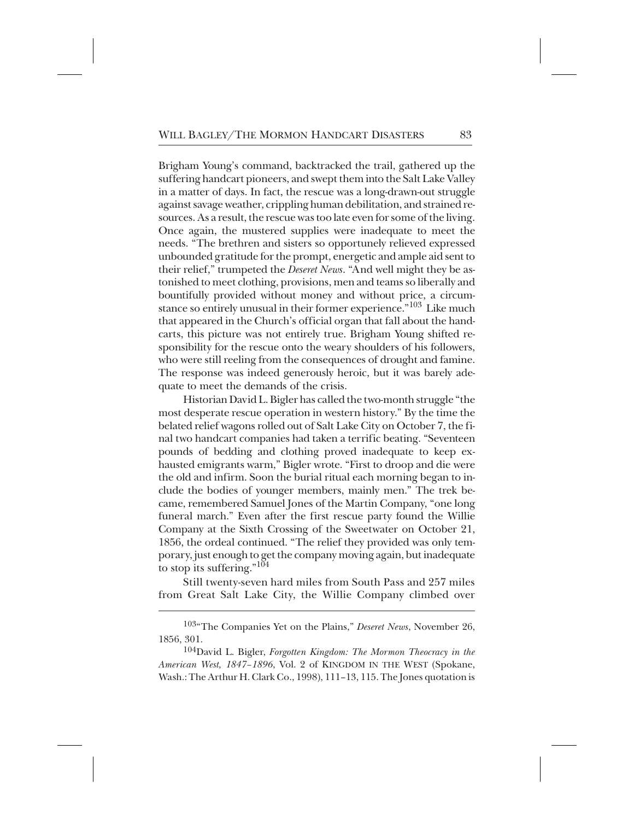Brigham Young's command, backtracked the trail, gathered up the suffering handcart pioneers, and swept them into the Salt Lake Valley in a matter of days. In fact, the rescue was a long-drawn-out struggle against savage weather, crippling human debilitation, and strained resources. As a result, the rescue was too late even for some of the living. Once again, the mustered supplies were inadequate to meet the needs. "The brethren and sisters so opportunely relieved expressed unbounded gratitude for the prompt, energetic and ample aid sent to their relief," trumpeted the *Deseret News*. "And well might they be astonished to meet clothing, provisions, men and teams so liberally and bountifully provided without money and without price, a circumstance so entirely unusual in their former experience."<sup>103</sup> Like much that appeared in the Church's official organ that fall about the handcarts, this picture was not entirely true. Brigham Young shifted responsibility for the rescue onto the weary shoulders of his followers, who were still reeling from the consequences of drought and famine. The response was indeed generously heroic, but it was barely adequate to meet the demands of the crisis.

Historian David L. Bigler has called the two-month struggle "the most desperate rescue operation in western history." By the time the belated relief wagons rolled out of Salt Lake City on October 7, the final two handcart companies had taken a terrific beating. "Seventeen pounds of bedding and clothing proved inadequate to keep exhausted emigrants warm," Bigler wrote. "First to droop and die were the old and infirm. Soon the burial ritual each morning began to include the bodies of younger members, mainly men." The trek became, remembered Samuel Jones of the Martin Company, "one long funeral march." Even after the first rescue party found the Willie Company at the Sixth Crossing of the Sweetwater on October 21, 1856, the ordeal continued. "The relief they provided was only temporary, just enough to get the company moving again, but inadequate to stop its suffering." $104$ 

Still twenty-seven hard miles from South Pass and 257 miles from Great Salt Lake City, the Willie Company climbed over

<sup>104</sup>David L. Bigler, *Forgotten Kingdom: The Mormon Theocracy in the American West, 1847–1896*, Vol. 2 of KINGDOM IN THE WEST (Spokane, Wash.: The Arthur H. Clark Co., 1998), 111–13, 115. The Jones quotation is

<sup>&</sup>lt;sup>103</sup>"The Companies Yet on the Plains," *Deseret News*, November 26, 1856, 301.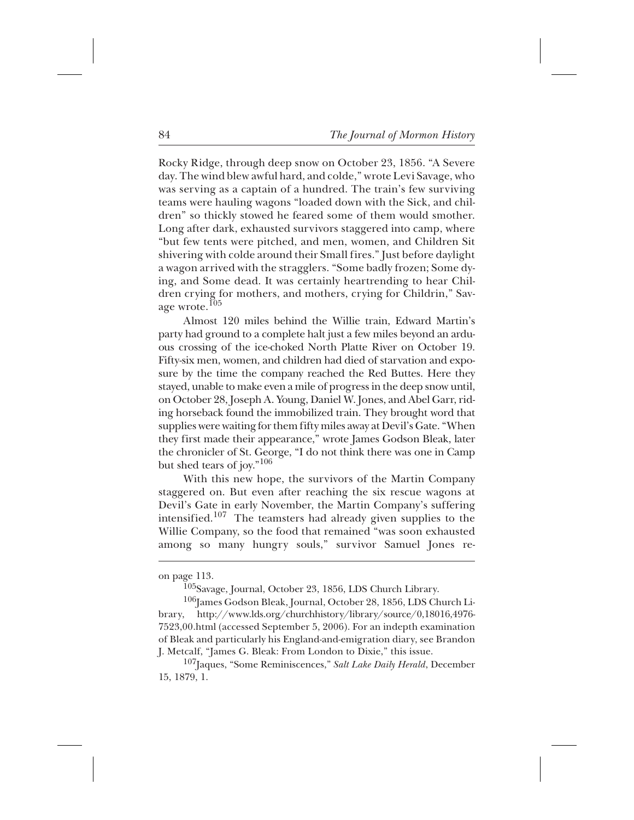Rocky Ridge, through deep snow on October 23, 1856. "A Severe day. The wind blew awful hard, and colde," wrote Levi Savage, who was serving as a captain of a hundred. The train's few surviving teams were hauling wagons "loaded down with the Sick, and children" so thickly stowed he feared some of them would smother. Long after dark, exhausted survivors staggered into camp, where "but few tents were pitched, and men, women, and Children Sit shivering with colde around their Small fires." Just before daylight a wagon arrived with the stragglers. "Some badly frozen; Some dying, and Some dead. It was certainly heartrending to hear Children crying for mothers, and mothers, crying for Childrin," Savage wrote. $^{105}$ 

Almost 120 miles behind the Willie train, Edward Martin's party had ground to a complete halt just a few miles beyond an arduous crossing of the ice-choked North Platte River on October 19. Fifty-six men, women, and children had died of starvation and exposure by the time the company reached the Red Buttes. Here they stayed, unable to make even a mile of progress in the deep snow until, on October 28, Joseph A. Young, Daniel W. Jones, and Abel Garr, riding horseback found the immobilized train. They brought word that supplies were waiting for them fifty miles away at Devil's Gate. "When they first made their appearance," wrote James Godson Bleak, later the chronicler of St. George, "I do not think there was one in Camp but shed tears of joy."<sup>106</sup>

With this new hope, the survivors of the Martin Company staggered on. But even after reaching the six rescue wagons at Devil's Gate in early November, the Martin Company's suffering intensified.<sup>107</sup> The teamsters had already given supplies to the Willie Company, so the food that remained "was soon exhausted among so many hungry souls," survivor Samuel Jones re-

on page 113.

<sup>&</sup>lt;sup>105</sup>Savage, Journal, October 23, 1856, LDS Church Library.

<sup>106</sup>James Godson Bleak, Journal, October 28, 1856, LDS Church Library, http://www.lds.org/churchhistory/library/source/0,18016,4976- 7523,00.html (accessed September 5, 2006). For an indepth examination of Bleak and particularly his England-and-emigration diary, see Brandon J. Metcalf, "James G. Bleak: From London to Dixie," this issue.

<sup>&</sup>lt;sup>107</sup>Jaques, "Some Reminiscences," *Salt Lake Daily Herald*, December 15, 1879, 1.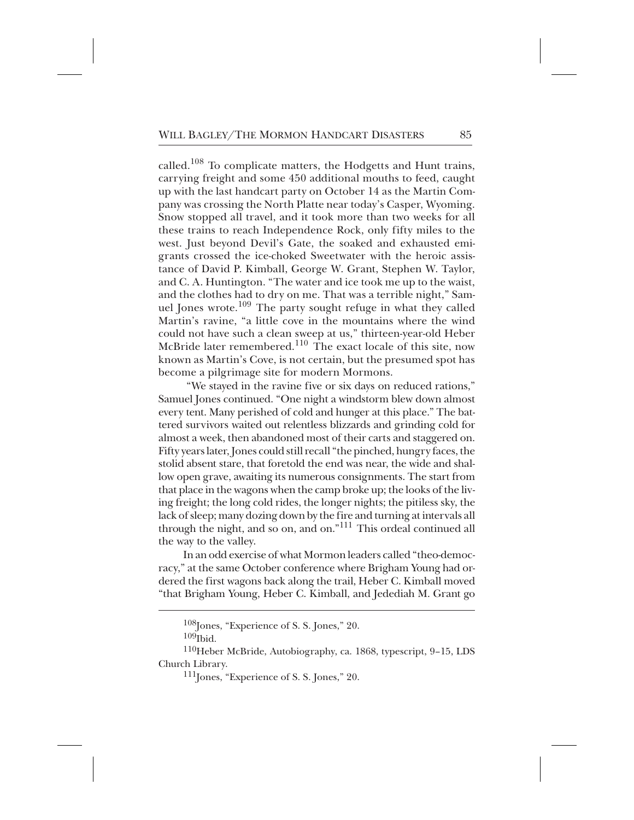called. $^{108}$  To complicate matters, the Hodgetts and Hunt trains, carrying freight and some 450 additional mouths to feed, caught up with the last handcart party on October 14 as the Martin Company was crossing the North Platte near today's Casper, Wyoming. Snow stopped all travel, and it took more than two weeks for all these trains to reach Independence Rock, only fifty miles to the west. Just beyond Devil's Gate, the soaked and exhausted emigrants crossed the ice-choked Sweetwater with the heroic assistance of David P. Kimball, George W. Grant, Stephen W. Taylor, and C. A. Huntington. "The water and ice took me up to the waist, and the clothes had to dry on me. That was a terrible night," Samuel Jones wrote.<sup>109</sup> The party sought refuge in what they called Martin's ravine, "a little cove in the mountains where the wind could not have such a clean sweep at us," thirteen-year-old Heber McBride later remembered.<sup>110</sup> The exact locale of this site, now known as Martin's Cove, is not certain, but the presumed spot has become a pilgrimage site for modern Mormons.

"We stayed in the ravine five or six days on reduced rations," Samuel Jones continued. "One night a windstorm blew down almost every tent. Many perished of cold and hunger at this place." The battered survivors waited out relentless blizzards and grinding cold for almost a week, then abandoned most of their carts and staggered on. Fifty years later, Jones could still recall "the pinched, hungry faces, the stolid absent stare, that foretold the end was near, the wide and shallow open grave, awaiting its numerous consignments. The start from that place in the wagons when the camp broke up; the looks of the living freight; the long cold rides, the longer nights; the pitiless sky, the lack of sleep; many dozing down by the fire and turning at intervals all through the night, and so on, and on."<sup>111</sup> This ordeal continued all the way to the valley.

In an odd exercise of what Mormon leaders called "theo-democracy," at the same October conference where Brigham Young had ordered the first wagons back along the trail, Heber C. Kimball moved "that Brigham Young, Heber C. Kimball, and Jedediah M. Grant go

 $108$ Jones, "Experience of S. S. Jones," 20.

 $109$ Ibid.

<sup>110</sup>Heber McBride, Autobiography, ca. 1868, typescript, 9-15, LDS Church Library.

 $^{111}$ Jones, "Experience of S. S. Jones," 20.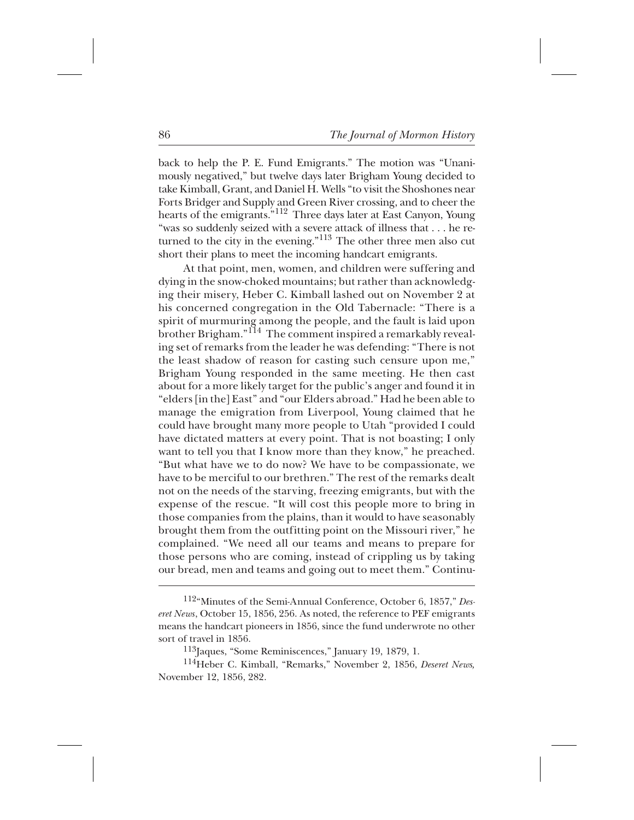back to help the P. E. Fund Emigrants." The motion was "Unanimously negatived," but twelve days later Brigham Young decided to take Kimball, Grant, and Daniel H. Wells "to visit the Shoshones near Forts Bridger and Supply and Green River crossing, and to cheer the hearts of the emigrants."<sup>112</sup> Three days later at East Canyon, Young "was so suddenly seized with a severe attack of illness that . . . he returned to the city in the evening."<sup>113</sup> The other three men also cut short their plans to meet the incoming handcart emigrants.

At that point, men, women, and children were suffering and dying in the snow-choked mountains; but rather than acknowledging their misery, Heber C. Kimball lashed out on November 2 at his concerned congregation in the Old Tabernacle: "There is a spirit of murmuring among the people, and the fault is laid upon brother Brigham."<sup>114</sup> The comment inspired a remarkably revealing set of remarks from the leader he was defending: "There is not the least shadow of reason for casting such censure upon me," Brigham Young responded in the same meeting. He then cast about for a more likely target for the public's anger and found it in "elders [in the] East" and "our Elders abroad." Had he been able to manage the emigration from Liverpool, Young claimed that he could have brought many more people to Utah "provided I could have dictated matters at every point. That is not boasting; I only want to tell you that I know more than they know," he preached. "But what have we to do now? We have to be compassionate, we have to be merciful to our brethren." The rest of the remarks dealt not on the needs of the starving, freezing emigrants, but with the expense of the rescue. "It will cost this people more to bring in those companies from the plains, than it would to have seasonably brought them from the outfitting point on the Missouri river," he complained. "We need all our teams and means to prepare for those persons who are coming, instead of crippling us by taking our bread, men and teams and going out to meet them." Continu-

<sup>&</sup>lt;sup>112</sup>"Minutes of the Semi-Annual Conference, October 6, 1857," *Deseret News*, October 15, 1856, 256. As noted, the reference to PEF emigrants means the handcart pioneers in 1856, since the fund underwrote no other sort of travel in 1856.

 $^{113}$ Jaques, "Some Reminiscences," January 19, 1879, 1.

<sup>&</sup>lt;sup>114</sup>Heber C. Kimball, "Remarks," November 2, 1856, *Deseret News*, November 12, 1856, 282.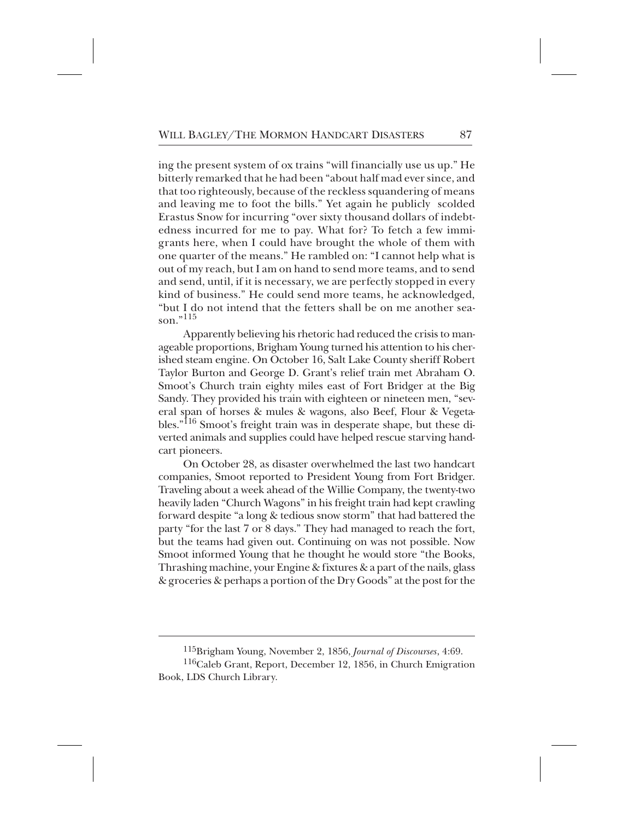ing the present system of ox trains "will financially use us up." He bitterly remarked that he had been "about half mad ever since, and that too righteously, because of the reckless squandering of means and leaving me to foot the bills." Yet again he publicly scolded Erastus Snow for incurring "over sixty thousand dollars of indebtedness incurred for me to pay. What for? To fetch a few immigrants here, when I could have brought the whole of them with one quarter of the means." He rambled on: "I cannot help what is out of my reach, but I am on hand to send more teams, and to send and send, until, if it is necessary, we are perfectly stopped in every kind of business." He could send more teams, he acknowledged, "but I do not intend that the fetters shall be on me another season." $^{115}$ 

Apparently believing his rhetoric had reduced the crisis to manageable proportions, Brigham Young turned his attention to his cherished steam engine. On October 16, Salt Lake County sheriff Robert Taylor Burton and George D. Grant's relief train met Abraham O. Smoot's Church train eighty miles east of Fort Bridger at the Big Sandy. They provided his train with eighteen or nineteen men, "several span of horses & mules & wagons, also Beef, Flour & Vegetables."<sup>116</sup> Smoot's freight train was in desperate shape, but these diverted animals and supplies could have helped rescue starving handcart pioneers.

On October 28, as disaster overwhelmed the last two handcart companies, Smoot reported to President Young from Fort Bridger. Traveling about a week ahead of the Willie Company, the twenty-two heavily laden "Church Wagons" in his freight train had kept crawling forward despite "a long & tedious snow storm" that had battered the party "for the last 7 or 8 days." They had managed to reach the fort, but the teams had given out. Continuing on was not possible. Now Smoot informed Young that he thought he would store "the Books, Thrashing machine, your Engine & fixtures & a part of the nails, glass & groceries & perhaps a portion of the Dry Goods" at the post for the

<sup>\*\*\*</sup> 115Brigham Young, November 2, 1856, *Journal of Discourses*, 4:69.

 $116$ Caleb Grant, Report, December 12, 1856, in Church Emigration Book, LDS Church Library.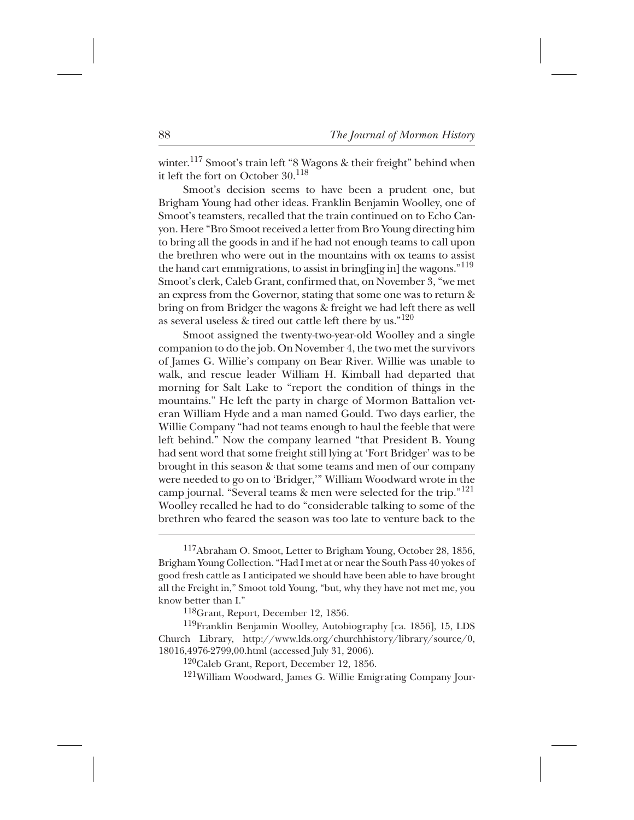winter.<sup>117</sup> Smoot's train left "8 Wagons & their freight" behind when it left the fort on October 30.<sup>118</sup>

Smoot's decision seems to have been a prudent one, but Brigham Young had other ideas. Franklin Benjamin Woolley, one of Smoot's teamsters, recalled that the train continued on to Echo Canyon. Here "Bro Smoot received a letter from Bro Young directing him to bring all the goods in and if he had not enough teams to call upon the brethren who were out in the mountains with ox teams to assist the hand cart emmigrations, to assist in bring [ing in] the wagons."<sup>119</sup> Smoot's clerk, Caleb Grant, confirmed that, on November 3, "we met an express from the Governor, stating that some one was to return & bring on from Bridger the wagons & freight we had left there as well as several useless & tired out cattle left there by us." $120$ 

Smoot assigned the twenty-two-year-old Woolley and a single companion to do the job. On November 4, the two met the survivors of James G. Willie's company on Bear River. Willie was unable to walk, and rescue leader William H. Kimball had departed that morning for Salt Lake to "report the condition of things in the mountains." He left the party in charge of Mormon Battalion veteran William Hyde and a man named Gould. Two days earlier, the Willie Company "had not teams enough to haul the feeble that were left behind." Now the company learned "that President B. Young had sent word that some freight still lying at 'Fort Bridger' was to be brought in this season & that some teams and men of our company were needed to go on to 'Bridger,'" William Woodward wrote in the camp journal. "Several teams & men were selected for the trip."<sup>121</sup> Woolley recalled he had to do "considerable talking to some of the brethren who feared the season was too late to venture back to the

<sup>&</sup>lt;sup>117</sup>Abraham O. Smoot, Letter to Brigham Young, October 28, 1856, Brigham Young Collection. "Had I met at or near the South Pass 40 yokes of good fresh cattle as I anticipated we should have been able to have brought all the Freight in," Smoot told Young, "but, why they have not met me, you know better than I."

 $118$ Grant, Report, December 12, 1856.

 $^{119}$ Franklin Benjamin Woolley, Autobiography [ca. 1856], 15, LDS Church Library, http://www.lds.org/churchhistory/library/source/0, 18016,4976-2799,00.html (accessed July 31, 2006).

 $^{120}$ Caleb Grant, Report, December 12, 1856.

 $121$ William Woodward, James G. Willie Emigrating Company Jour-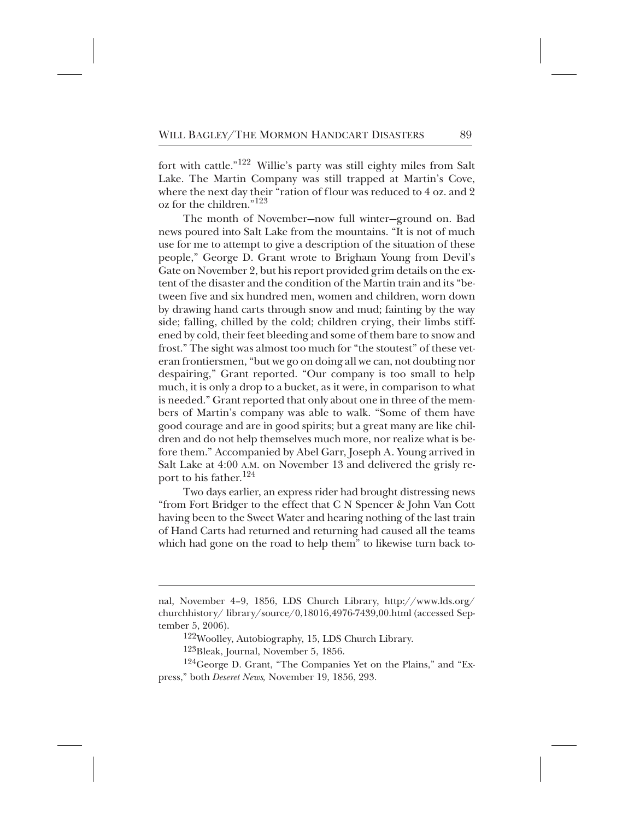fort with cattle."<sup>122</sup> Willie's party was still eighty miles from Salt Lake. The Martin Company was still trapped at Martin's Cove, where the next day their "ration of flour was reduced to 4 oz. and 2 oz for the children." $123$ 

The month of November—now full winter—ground on. Bad news poured into Salt Lake from the mountains. "It is not of much use for me to attempt to give a description of the situation of these people," George D. Grant wrote to Brigham Young from Devil's Gate on November 2, but his report provided grim details on the extent of the disaster and the condition of the Martin train and its "between five and six hundred men, women and children, worn down by drawing hand carts through snow and mud; fainting by the way side; falling, chilled by the cold; children crying, their limbs stiffened by cold, their feet bleeding and some of them bare to snow and frost." The sight was almost too much for "the stoutest" of these veteran frontiersmen, "but we go on doing all we can, not doubting nor despairing," Grant reported. "Our company is too small to help much, it is only a drop to a bucket, as it were, in comparison to what is needed." Grant reported that only about one in three of the members of Martin's company was able to walk. "Some of them have good courage and are in good spirits; but a great many are like children and do not help themselves much more, nor realize what is before them." Accompanied by Abel Garr, Joseph A. Young arrived in Salt Lake at 4:00 A.M. on November 13 and delivered the grisly report to his father.<sup>124</sup>

Two days earlier, an express rider had brought distressing news "from Fort Bridger to the effect that C N Spencer & John Van Cott having been to the Sweet Water and hearing nothing of the last train of Hand Carts had returned and returning had caused all the teams which had gone on the road to help them" to likewise turn back to-

<sup>122</sup>Woolley, Autobiography, 15, LDS Church Library.

 $^{123}$ Bleak, Journal, November 5, 1856.

 $^{124}$ George D. Grant, "The Companies Yet on the Plains," and "Express," both *Deseret News,* November 19, 1856, 293.

nal, November 4–9, 1856, LDS Church Library, http://www.lds.org/ churchhistory/ library/source/0,18016,4976-7439,00.html (accessed September 5, 2006).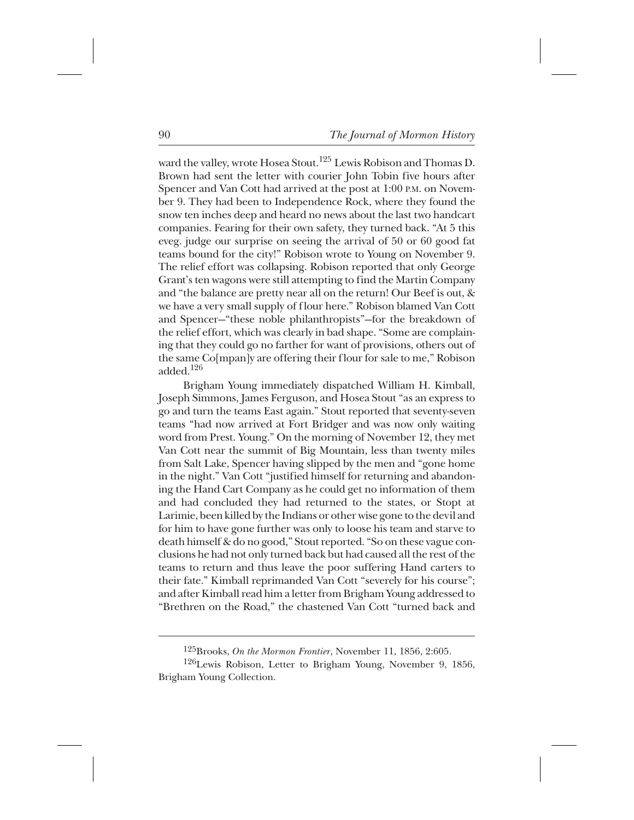ward the valley, wrote Hosea Stout.<sup>125</sup> Lewis Robison and Thomas D. Brown had sent the letter with courier John Tobin five hours after Spencer and Van Cott had arrived at the post at 1:00 P.M. on November 9. They had been to Independence Rock, where they found the snow ten inches deep and heard no news about the last two handcart companies. Fearing for their own safety, they turned back. "At 5 this eveg. judge our surprise on seeing the arrival of 50 or 60 good fat teams bound for the city!" Robison wrote to Young on November 9. The relief effort was collapsing. Robison reported that only George Grant's ten wagons were still attempting to find the Martin Company and "the balance are pretty near all on the return! Our Beef is out, & we have a very small supply of flour here." Robison blamed Van Cott and Spencer—"these noble philanthropists"—for the breakdown of the relief effort, which was clearly in bad shape. "Some are complaining that they could go no farther for want of provisions, others out of the same Co[mpan]y are offering their flour for sale to me," Robison added. $126$ 

Brigham Young immediately dispatched William H. Kimball, Joseph Simmons, James Ferguson, and Hosea Stout "as an express to go and turn the teams East again." Stout reported that seventy-seven teams "had now arrived at Fort Bridger and was now only waiting word from Prest. Young." On the morning of November 12, they met Van Cott near the summit of Big Mountain, less than twenty miles from Salt Lake, Spencer having slipped by the men and "gone home in the night." Van Cott "justified himself for returning and abandoning the Hand Cart Company as he could get no information of them and had concluded they had returned to the states, or Stopt at Larimie, been killed by the Indians or other wise gone to the devil and for him to have gone further was only to loose his team and starve to death himself & do no good," Stout reported. "So on these vague conclusions he had not only turned back but had caused all the rest of the teams to return and thus leave the poor suffering Hand carters to their fate." Kimball reprimanded Van Cott "severely for his course"; and after Kimball read him a letter from Brigham Young addressed to "Brethren on the Road," the chastened Van Cott "turned back and

<sup>+</sup> 125Brooks, *On the Mormon Frontier*, November 11, 1856, 2:605.

 $126$ Lewis Robison, Letter to Brigham Young, November 9, 1856, Brigham Young Collection.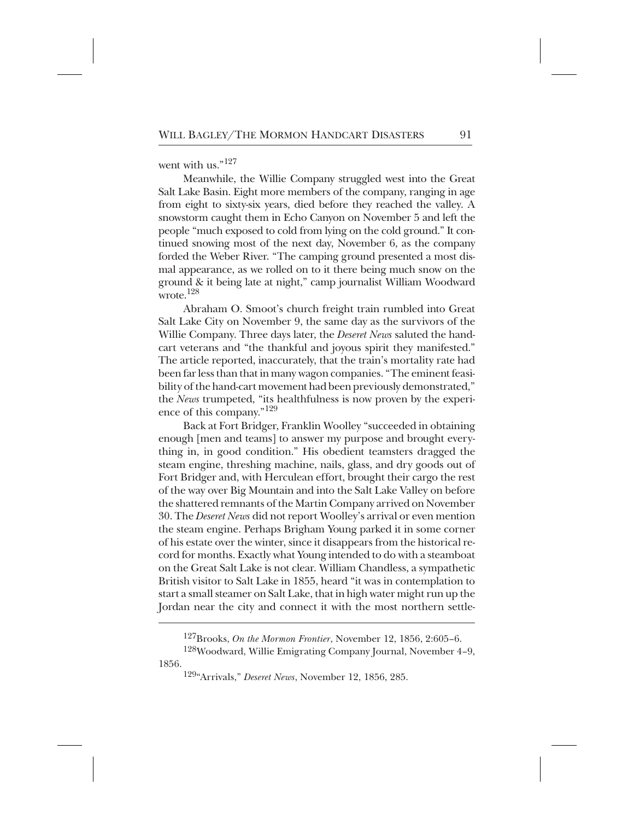went with us." $127$ 

Meanwhile, the Willie Company struggled west into the Great Salt Lake Basin. Eight more members of the company, ranging in age from eight to sixty-six years, died before they reached the valley. A snowstorm caught them in Echo Canyon on November 5 and left the people "much exposed to cold from lying on the cold ground." It continued snowing most of the next day, November 6, as the company forded the Weber River. "The camping ground presented a most dismal appearance, as we rolled on to it there being much snow on the ground & it being late at night," camp journalist William Woodward wrote. $128$ 

Abraham O. Smoot's church freight train rumbled into Great Salt Lake City on November 9, the same day as the survivors of the Willie Company. Three days later, the *Deseret News* saluted the handcart veterans and "the thankful and joyous spirit they manifested." The article reported, inaccurately, that the train's mortality rate had been far less than that in many wagon companies. "The eminent feasibility of the hand-cart movement had been previously demonstrated," the *News* trumpeted, "its healthfulness is now proven by the experience of this company."<sup>129</sup>

Back at Fort Bridger, Franklin Woolley "succeeded in obtaining enough [men and teams] to answer my purpose and brought everything in, in good condition." His obedient teamsters dragged the steam engine, threshing machine, nails, glass, and dry goods out of Fort Bridger and, with Herculean effort, brought their cargo the rest of the way over Big Mountain and into the Salt Lake Valley on before the shattered remnants of the Martin Company arrived on November 30. The *Deseret News* did not report Woolley's arrival or even mention the steam engine. Perhaps Brigham Young parked it in some corner of his estate over the winter, since it disappears from the historical record for months. Exactly what Young intended to do with a steamboat on the Great Salt Lake is not clear. William Chandless, a sympathetic British visitor to Salt Lake in 1855, heard "it was in contemplation to start a small steamer on Salt Lake, that in high water might run up the Jordan near the city and connect it with the most northern settle-

<sup>&</sup>lt;sup>127</sup>Brooks, *On the Mormon Frontier*, November 12, 1856, 2:605–6.

<sup>&</sup>lt;sup>128</sup>Woodward, Willie Emigrating Company Journal, November 4-9, 1856.

<sup>\*</sup> 129"Arrivals," *Deseret News*, November 12, 1856, 285.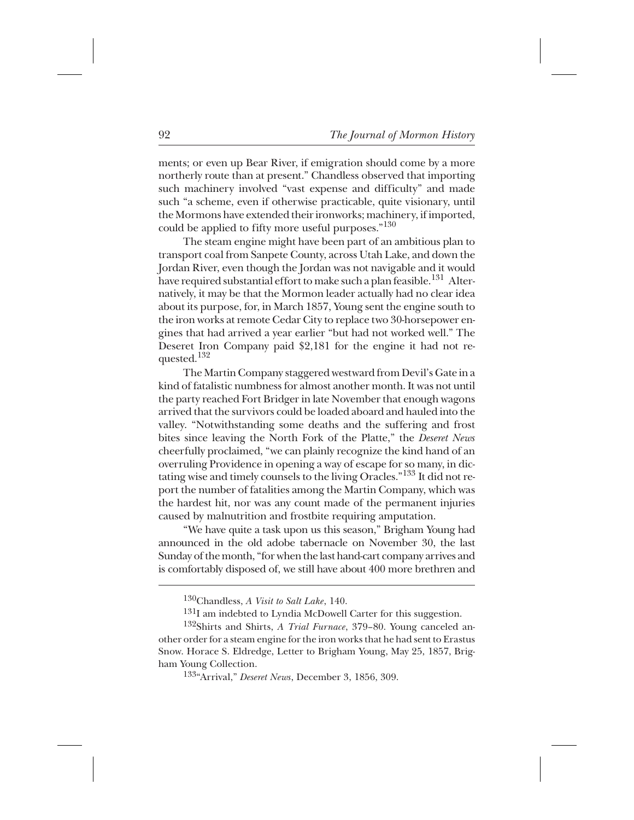ments; or even up Bear River, if emigration should come by a more northerly route than at present." Chandless observed that importing such machinery involved "vast expense and difficulty" and made such "a scheme, even if otherwise practicable, quite visionary, until the Mormons have extended their ironworks; machinery, if imported, could be applied to fifty more useful purposes." $130^{\circ}$ 

The steam engine might have been part of an ambitious plan to transport coal from Sanpete County, across Utah Lake, and down the Jordan River, even though the Jordan was not navigable and it would have required substantial effort to make such a plan feasible. $^{131}\,$  Alternatively, it may be that the Mormon leader actually had no clear idea about its purpose, for, in March 1857, Young sent the engine south to the iron works at remote Cedar City to replace two 30-horsepower engines that had arrived a year earlier "but had not worked well." The Deseret Iron Company paid \$2,181 for the engine it had not requested.<sup>132</sup>

The Martin Company staggered westward from Devil's Gate in a kind of fatalistic numbness for almost another month. It was not until the party reached Fort Bridger in late November that enough wagons arrived that the survivors could be loaded aboard and hauled into the valley. "Notwithstanding some deaths and the suffering and frost bites since leaving the North Fork of the Platte," the *Deseret News* cheerfully proclaimed, "we can plainly recognize the kind hand of an overruling Providence in opening a way of escape for so many, in dictating wise and timely counsels to the living Oracles." <sup>133</sup> It did not report the number of fatalities among the Martin Company, which was the hardest hit, nor was any count made of the permanent injuries caused by malnutrition and frostbite requiring amputation.

"We have quite a task upon us this season," Brigham Young had announced in the old adobe tabernacle on November 30, the last Sunday of the month, "for when the last hand-cart company arrives and is comfortably disposed of, we still have about 400 more brethren and

<sup>130</sup>Chandless, *A Visit to Salt Lake*, 140.

 $^{131}$ I am indebted to Lyndia McDowell Carter for this suggestion.

<sup>+</sup> 133"Arrival," *Deseret News*, December 3, 1856, 309.

<sup>&</sup>lt;sup>132</sup>Shirts and Shirts, *A Trial Furnace*, 379-80. Young canceled another order for a steam engine for the iron works that he had sent to Erastus Snow. Horace S. Eldredge, Letter to Brigham Young, May 25, 1857, Brigham Young Collection.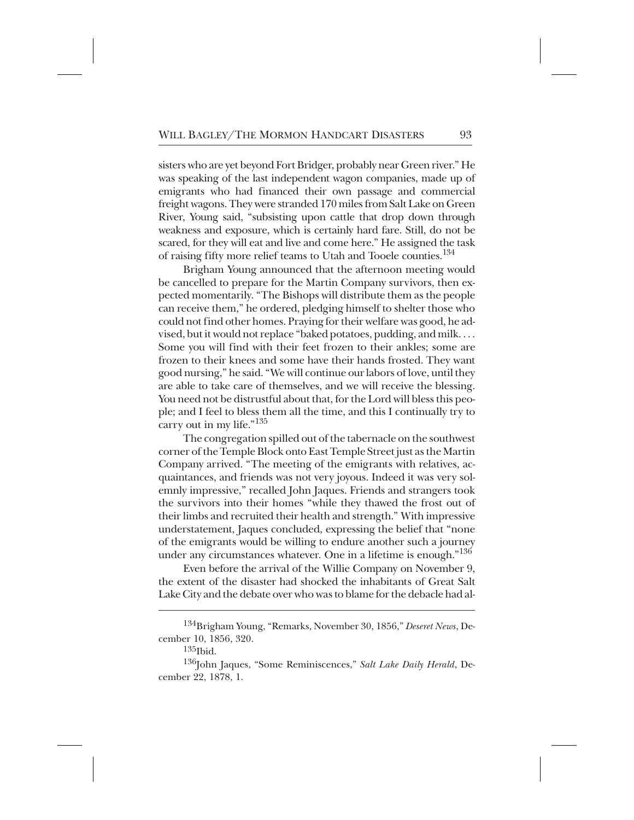sisters who are yet beyond Fort Bridger, probably near Green river." He was speaking of the last independent wagon companies, made up of emigrants who had financed their own passage and commercial freight wagons. They were stranded 170 miles from Salt Lake on Green River, Young said, "subsisting upon cattle that drop down through weakness and exposure, which is certainly hard fare. Still, do not be scared, for they will eat and live and come here." He assigned the task of raising fifty more relief teams to Utah and Tooele counties.<sup>134</sup>

Brigham Young announced that the afternoon meeting would be cancelled to prepare for the Martin Company survivors, then expected momentarily. "The Bishops will distribute them as the people can receive them," he ordered, pledging himself to shelter those who could not find other homes. Praying for their welfare was good, he advised, but it would not replace "baked potatoes, pudding, and milk. . . . Some you will find with their feet frozen to their ankles; some are frozen to their knees and some have their hands frosted. They want good nursing," he said. "We will continue our labors of love, until they are able to take care of themselves, and we will receive the blessing. You need not be distrustful about that, for the Lord will bless this people; and I feel to bless them all the time, and this I continually try to carry out in my life."<sup>135</sup>

The congregation spilled out of the tabernacle on the southwest corner of the Temple Block onto East Temple Street just as the Martin Company arrived. "The meeting of the emigrants with relatives, acquaintances, and friends was not very joyous. Indeed it was very solemnly impressive," recalled John Jaques. Friends and strangers took the survivors into their homes "while they thawed the frost out of their limbs and recruited their health and strength." With impressive understatement, Jaques concluded, expressing the belief that "none of the emigrants would be willing to endure another such a journey under any circumstances whatever. One in a lifetime is enough."<sup>136</sup>

Even before the arrival of the Willie Company on November 9, the extent of the disaster had shocked the inhabitants of Great Salt Lake City and the debate over who was to blame for the debacle had al-

<sup>++</sup> 134Brigham Young, "Remarks, November 30, 1856," *Deseret News*, December 10, 1856, 320.

 $135$ Ibid.

<sup>&</sup>lt;sup>136</sup>John Jaques, "Some Reminiscences," Salt Lake Daily Herald, December 22, 1878, 1.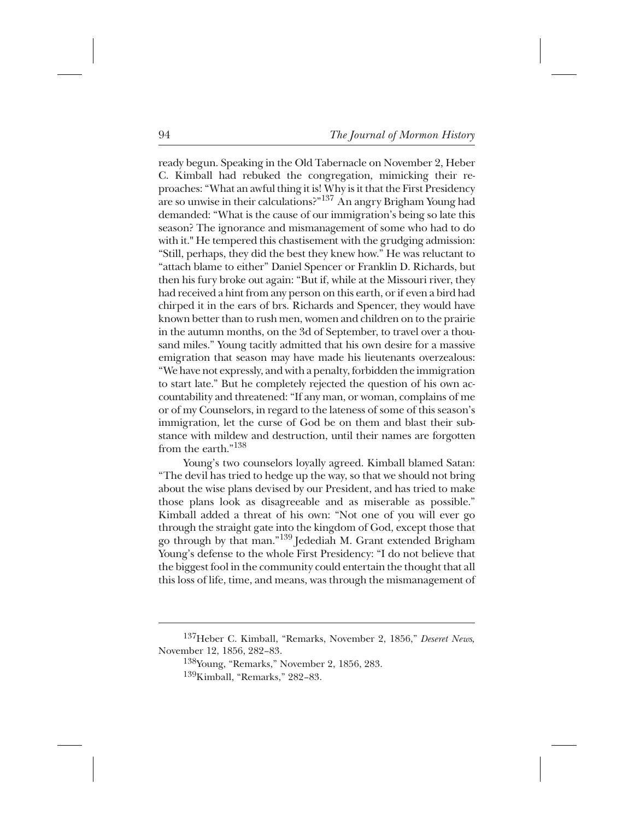ready begun. Speaking in the Old Tabernacle on November 2, Heber C. Kimball had rebuked the congregation, mimicking their reproaches: "What an awful thing it is! Why is it that the First Presidency are so unwise in their calculations?"<sup>137</sup> An angry Brigham Young had demanded: "What is the cause of our immigration's being so late this season? The ignorance and mismanagement of some who had to do with it." He tempered this chastisement with the grudging admission: "Still, perhaps, they did the best they knew how." He was reluctant to "attach blame to either" Daniel Spencer or Franklin D. Richards, but then his fury broke out again: "But if, while at the Missouri river, they had received a hint from any person on this earth, or if even a bird had chirped it in the ears of brs. Richards and Spencer, they would have known better than to rush men, women and children on to the prairie in the autumn months, on the 3d of September, to travel over a thousand miles." Young tacitly admitted that his own desire for a massive emigration that season may have made his lieutenants overzealous: "We have not expressly, and with a penalty, forbidden the immigration to start late." But he completely rejected the question of his own accountability and threatened: "If any man, or woman, complains of me or of my Counselors, in regard to the lateness of some of this season's immigration, let the curse of God be on them and blast their substance with mildew and destruction, until their names are forgotten from the earth."<sup>138</sup>

Young's two counselors loyally agreed. Kimball blamed Satan: "The devil has tried to hedge up the way, so that we should not bring about the wise plans devised by our President, and has tried to make those plans look as disagreeable and as miserable as possible." Kimball added a threat of his own: "Not one of you will ever go through the straight gate into the kingdom of God, except those that go through by that man."<sup>139</sup> Jedediah M. Grant extended Brigham Young's defense to the whole First Presidency: "I do not believe that the biggest fool in the community could entertain the thought that all this loss of life, time, and means, was through the mismanagement of

 $138$ Young, "Remarks," November 2, 1856, 283.  $^{139}$ Kimball, "Remarks," 282–83.

<sup>\*</sup> 137Heber C. Kimball, "Remarks, November 2, 1856," *Deseret News,* November 12, 1856, 282–83.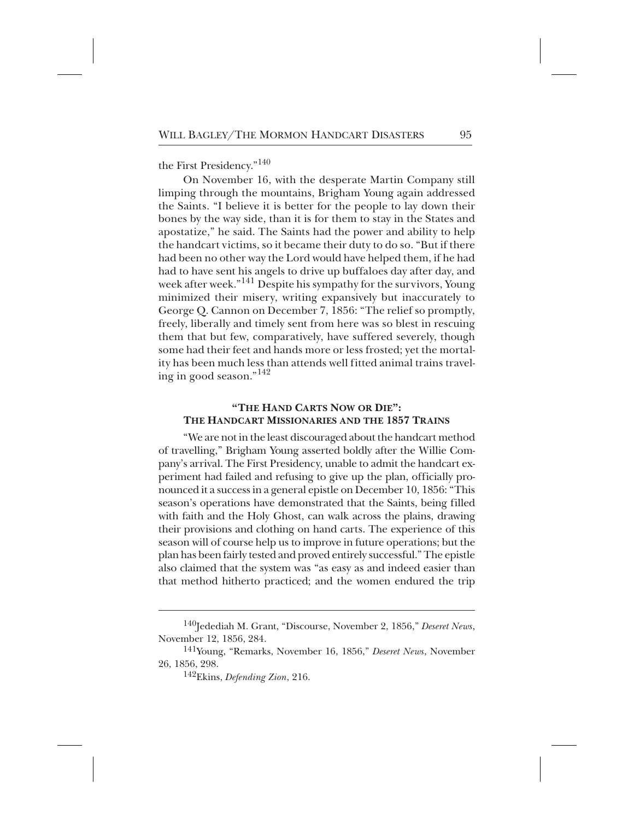the First Presidency."<sup>140</sup>

On November 16, with the desperate Martin Company still limping through the mountains, Brigham Young again addressed the Saints. "I believe it is better for the people to lay down their bones by the way side, than it is for them to stay in the States and apostatize," he said. The Saints had the power and ability to help the handcart victims, so it became their duty to do so. "But if there had been no other way the Lord would have helped them, if he had had to have sent his angels to drive up buffaloes day after day, and week after week."<sup>141</sup> Despite his sympathy for the survivors, Young minimized their misery, writing expansively but inaccurately to George Q. Cannon on December 7, 1856: "The relief so promptly, freely, liberally and timely sent from here was so blest in rescuing them that but few, comparatively, have suffered severely, though some had their feet and hands more or less frosted; yet the mortality has been much less than attends well fitted animal trains traveling in good season."<sup>142</sup>

## **"THE HAND CARTS NOW OR DIE": THE HANDCART MISSIONARIES AND THE 1857 TRAINS**

"We are not in the least discouraged about the handcart method of travelling," Brigham Young asserted boldly after the Willie Company's arrival. The First Presidency, unable to admit the handcart experiment had failed and refusing to give up the plan, officially pronounced it a success in a general epistle on December 10, 1856: "This season's operations have demonstrated that the Saints, being filled with faith and the Holy Ghost, can walk across the plains, drawing their provisions and clothing on hand carts. The experience of this season will of course help us to improve in future operations; but the plan has been fairly tested and proved entirely successful." The epistle also claimed that the system was "as easy as and indeed easier than that method hitherto practiced; and the women endured the trip

<sup>&</sup>lt;sup>140</sup>Jedediah M. Grant, "Discourse, November 2, 1856," *Deseret News*, November 12, 1856, 284.

<sup>+</sup> 141Young, "Remarks, November 16, 1856," *Deseret News*, November 26, 1856, 298.

<sup>++</sup> 142Ekins, *Defending Zion*, 216.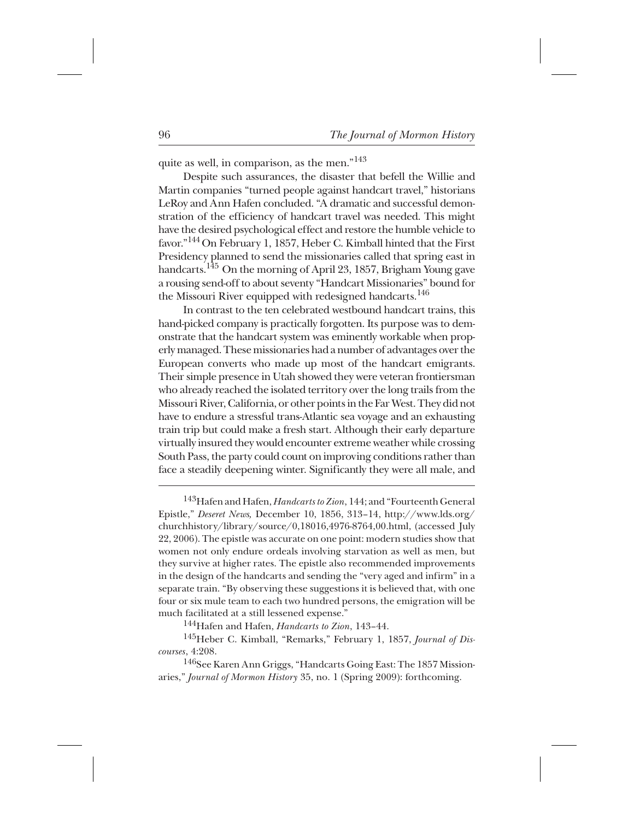quite as well, in comparison, as the men."<sup>143</sup>

Despite such assurances, the disaster that befell the Willie and Martin companies "turned people against handcart travel," historians LeRoy and Ann Hafen concluded. "A dramatic and successful demonstration of the efficiency of handcart travel was needed. This might have the desired psychological effect and restore the humble vehicle to favor."<sup>144</sup> On February 1, 1857, Heber C. Kimball hinted that the First Presidency planned to send the missionaries called that spring east in handcarts.<sup>145</sup> On the morning of April 23, 1857, Brigham Young gave a rousing send-off to about seventy "Handcart Missionaries" bound for the Missouri River equipped with redesigned handcarts.<sup>146</sup>

In contrast to the ten celebrated westbound handcart trains, this hand-picked company is practically forgotten. Its purpose was to demonstrate that the handcart system was eminently workable when properly managed. These missionaries had a number of advantages over the European converts who made up most of the handcart emigrants. Their simple presence in Utah showed they were veteran frontiersman who already reached the isolated territory over the long trails from the Missouri River, California, or other points in the Far West. They did not have to endure a stressful trans-Atlantic sea voyage and an exhausting train trip but could make a fresh start. Although their early departure virtually insured they would encounter extreme weather while crossing South Pass, the party could count on improving conditions rather than face a steadily deepening winter. Significantly they were all male, and

<sup>143</sup>Hafen and Hafen, *Handcarts to Zion*, 144; and "Fourteenth General Epistle," *Deseret News,* December 10, 1856, 313–14, http://www.lds.org/ churchhistory/library/source/0,18016,4976-8764,00.html, (accessed July 22, 2006). The epistle was accurate on one point: modern studies show that women not only endure ordeals involving starvation as well as men, but they survive at higher rates. The epistle also recommended improvements in the design of the handcarts and sending the "very aged and infirm" in a separate train. "By observing these suggestions it is believed that, with one four or six mule team to each two hundred persons, the emigration will be much facilitated at a still lessened expense."

<sup>144</sup>Hafen and Hafen, *Handcarts to Zion*, 143-44.

<sup>145</sup>Heber C. Kimball, "Remarks," February 1, 1857, *Journal of Discourses*, 4:208.

<sup>146</sup>See Karen Ann Griggs, "Handcarts Going East: The 1857 Missionaries," *Journal of Mormon History* 35, no. 1 (Spring 2009): forthcoming.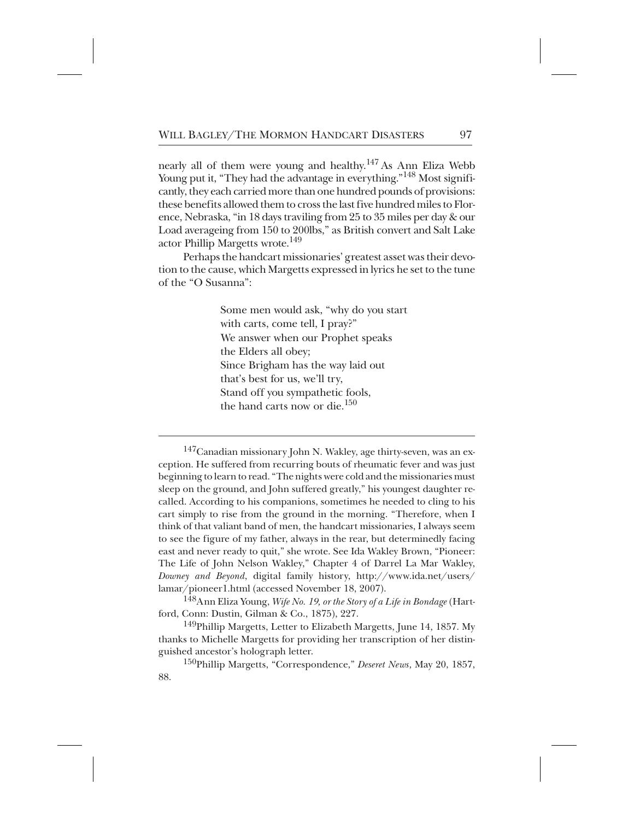nearly all of them were young and healthy.<sup>147</sup> As Ann Eliza Webb Young put it, "They had the advantage in everything." <sup>148</sup> Most significantly, they each carried more than one hundred pounds of provisions: these benefits allowed them to cross the last five hundred miles to Florence, Nebraska, "in 18 days traviling from 25 to 35 miles per day & our Load averageing from 150 to 200lbs," as British convert and Salt Lake actor Phillip Margetts wrote.<sup>149</sup>

Perhaps the handcart missionaries' greatest asset was their devotion to the cause, which Margetts expressed in lyrics he set to the tune of the "O Susanna":

> Some men would ask, "why do you start with carts, come tell, I pray?" We answer when our Prophet speaks the Elders all obey; Since Brigham has the way laid out that's best for us, we'll try, Stand off you sympathetic fools, the hand carts now or die.<sup>150</sup>

 $^{147}$ Canadian missionary John N. Wakley, age thirty-seven, was an exception. He suffered from recurring bouts of rheumatic fever and was just beginning to learn to read. "The nights were cold and the missionaries must sleep on the ground, and John suffered greatly," his youngest daughter recalled. According to his companions, sometimes he needed to cling to his cart simply to rise from the ground in the morning. "Therefore, when I think of that valiant band of men, the handcart missionaries, I always seem to see the figure of my father, always in the rear, but determinedly facing east and never ready to quit," she wrote. See Ida Wakley Brown, "Pioneer: The Life of John Nelson Wakley," Chapter 4 of Darrel La Mar Wakley, *Downey and Beyond*, digital family history, http://www.ida.net/users/ lamar/pioneer1.html (accessed November 18, 2007).

<sup>148</sup>Ann Eliza Young, *Wife No. 19, or the Story of a Life in Bondage* (Hartford, Conn: Dustin, Gilman & Co., 1875), 227.

<sup>149</sup>Phillip Margetts, Letter to Elizabeth Margetts, June 14, 1857. My thanks to Michelle Margetts for providing her transcription of her distinguished ancestor's holograph letter.

<sup>150</sup>Phillip Margetts, "Correspondence," *Deseret News*, May 20, 1857, 88.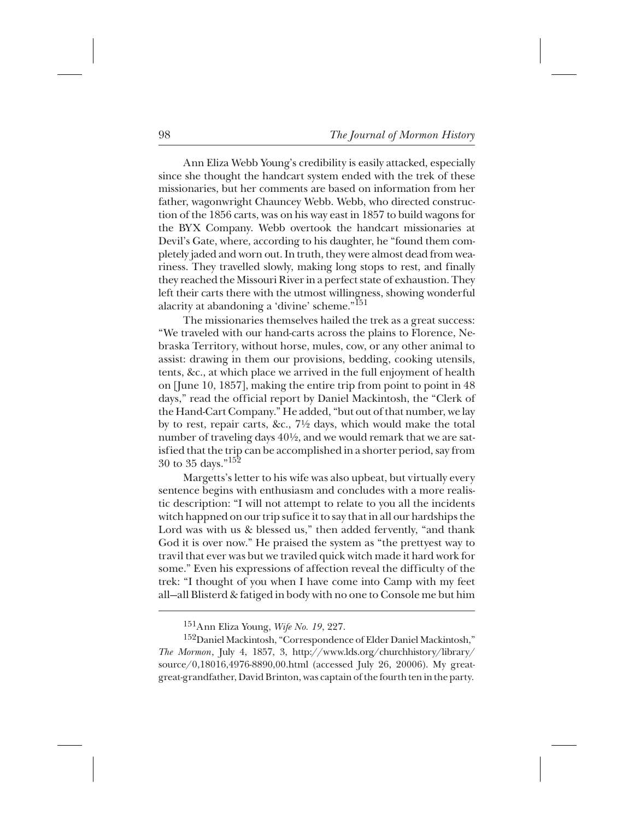Ann Eliza Webb Young's credibility is easily attacked, especially since she thought the handcart system ended with the trek of these missionaries, but her comments are based on information from her father, wagonwright Chauncey Webb. Webb, who directed construction of the 1856 carts, was on his way east in 1857 to build wagons for the BYX Company. Webb overtook the handcart missionaries at Devil's Gate, where, according to his daughter, he "found them completely jaded and worn out. In truth, they were almost dead from weariness. They travelled slowly, making long stops to rest, and finally they reached the Missouri River in a perfect state of exhaustion. They left their carts there with the utmost willingness, showing wonderful alacrity at abandoning a 'divine' scheme."<sup>151</sup>

The missionaries themselves hailed the trek as a great success: "We traveled with our hand-carts across the plains to Florence, Nebraska Territory, without horse, mules, cow, or any other animal to assist: drawing in them our provisions, bedding, cooking utensils, tents, &c., at which place we arrived in the full enjoyment of health on [June 10, 1857], making the entire trip from point to point in 48 days," read the official report by Daniel Mackintosh, the "Clerk of the Hand-Cart Company." He added, "but out of that number, we lay by to rest, repair carts, &c., 7½ days, which would make the total number of traveling days 40½, and we would remark that we are satisfied that the trip can be accomplished in a shorter period, say from 30 to 35 days." $152$ 

Margetts's letter to his wife was also upbeat, but virtually every sentence begins with enthusiasm and concludes with a more realistic description: "I will not attempt to relate to you all the incidents witch happned on our trip sufice it to say that in all our hardships the Lord was with us & blessed us," then added fervently, "and thank God it is over now." He praised the system as "the prettyest way to travil that ever was but we traviled quick witch made it hard work for some." Even his expressions of affection reveal the difficulty of the trek: "I thought of you when I have come into Camp with my feet all—all Blisterd & fatiged in body with no one to Console me but him

<sup>+++</sup> 151Ann Eliza Young, *Wife No. 19*, 227.

<sup>&</sup>lt;sup>152</sup>Daniel Mackintosh, "Correspondence of Elder Daniel Mackintosh," *The Mormon*, July 4, 1857, 3, http://www.lds.org/churchhistory/library/ source/0,18016,4976-8890,00.html (accessed July 26, 20006). My greatgreat-grandfather, David Brinton, was captain of the fourth ten in the party.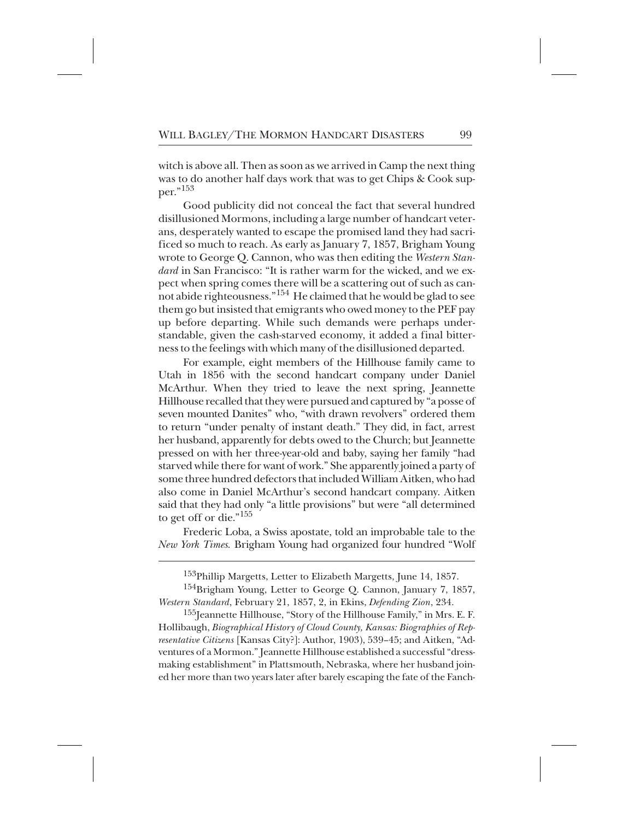witch is above all. Then as soon as we arrived in Camp the next thing was to do another half days work that was to get Chips & Cook supper."153\*

Good publicity did not conceal the fact that several hundred disillusioned Mormons, including a large number of handcart veterans, desperately wanted to escape the promised land they had sacrificed so much to reach. As early as January 7, 1857, Brigham Young wrote to George Q. Cannon, who was then editing the *Western Standard* in San Francisco: "It is rather warm for the wicked, and we expect when spring comes there will be a scattering out of such as cannot abide righteousness." $^{154}$  He claimed that he would be glad to see them go but insisted that emigrants who owed money to the PEF pay up before departing. While such demands were perhaps understandable, given the cash-starved economy, it added a final bitterness to the feelings with which many of the disillusioned departed.

For example, eight members of the Hillhouse family came to Utah in 1856 with the second handcart company under Daniel McArthur. When they tried to leave the next spring, Jeannette Hillhouse recalled that they were pursued and captured by "a posse of seven mounted Danites" who, "with drawn revolvers" ordered them to return "under penalty of instant death." They did, in fact, arrest her husband, apparently for debts owed to the Church; but Jeannette pressed on with her three-year-old and baby, saying her family "had starved while there for want of work." She apparently joined a party of some three hundred defectors that included William Aitken, who had also come in Daniel McArthur's second handcart company. Aitken said that they had only "a little provisions" but were "all determined to get off or die."<sup>155</sup>

Frederic Loba, a Swiss apostate, told an improbable tale to the *New York Times.* Brigham Young had organized four hundred "Wolf

 $^{153}$ Phillip Margetts, Letter to Elizabeth Margetts, June 14, 1857.

<sup>&</sup>lt;sup>154</sup>Brigham Young, Letter to George Q. Cannon, January 7, 1857, *Western Standard*, February 21, 1857, 2, in Ekins, *Defending Zion*, 234.

<sup>&</sup>lt;sup>155</sup>Jeannette Hillhouse, "Story of the Hillhouse Family," in Mrs. E. F. Hollibaugh, *Biographical History of Cloud County, Kansas: Biographies of Representative Citizens* [Kansas City?]: Author, 1903), 539–45; and Aitken, "Adventures of a Mormon." Jeannette Hillhouse established a successful "dressmaking establishment" in Plattsmouth, Nebraska, where her husband joined her more than two years later after barely escaping the fate of the Fanch-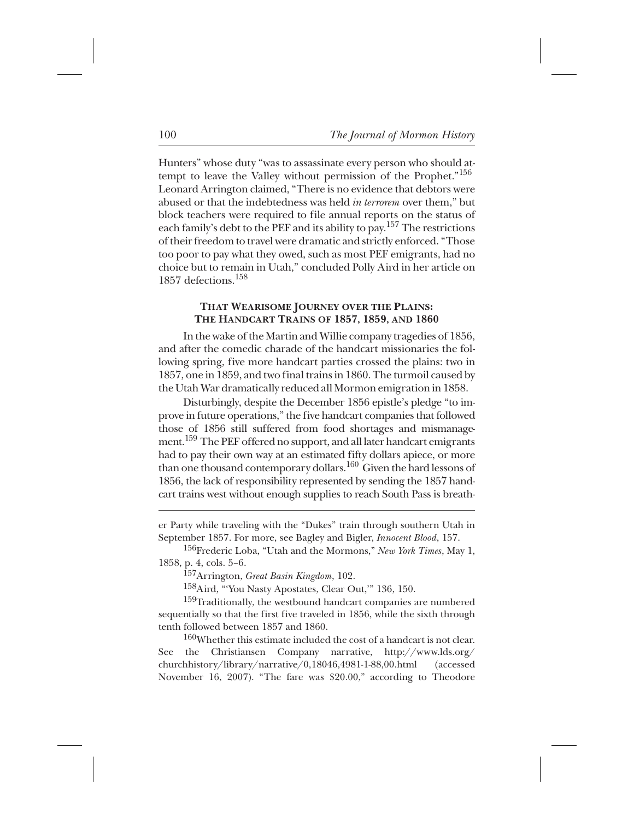Hunters" whose duty "was to assassinate every person who should attempt to leave the Valley without permission of the Prophet."<sup>156</sup> Leonard Arrington claimed, "There is no evidence that debtors were abused or that the indebtedness was held *in terrorem* over them," but block teachers were required to file annual reports on the status of each family's debt to the PEF and its ability to pay.<sup>157</sup> The restrictions of their freedom to travel were dramatic and strictly enforced. "Those too poor to pay what they owed, such as most PEF emigrants, had no choice but to remain in Utah," concluded Polly Aird in her article on 1857 defections. $158$ 

## **THAT WEARISOME JOURNEY OVER THE PLAINS: THE HANDCART TRAINS OF 1857, 1859, AND 1860**

In the wake of the Martin and Willie company tragedies of 1856, and after the comedic charade of the handcart missionaries the following spring, five more handcart parties crossed the plains: two in 1857, one in 1859, and two final trains in 1860. The turmoil caused by the Utah War dramatically reduced all Mormon emigration in 1858.

Disturbingly, despite the December 1856 epistle's pledge "to improve in future operations," the five handcart companies that followed those of 1856 still suffered from food shortages and mismanagement.  $^{159}$  The PEF offered no support, and all later handcart emigrants had to pay their own way at an estimated fifty dollars apiece, or more than one thousand contemporary dollars. <sup>160</sup> Given the hard lessons of 1856, the lack of responsibility represented by sending the 1857 handcart trains west without enough supplies to reach South Pass is breath-

<sup>+</sup> 157Arrington, *Great Basin Kingdom*, 102.

<sup>158</sup>Aird, "'You Nasty Apostates, Clear Out," 136, 150.

 $159$ Traditionally, the westbound handcart companies are numbered sequentially so that the first five traveled in 1856, while the sixth through tenth followed between 1857 and 1860.

 $160$ Whether this estimate included the cost of a handcart is not clear. See the Christiansen Company narrative, http://www.lds.org/ churchhistory/library/narrative/0,18046,4981-1-88,00.html (accessed November 16, 2007). "The fare was \$20.00," according to Theodore

er Party while traveling with the "Dukes" train through southern Utah in September 1857. For more, see Bagley and Bigler, *Innocent Blood*, 157.

<sup>&</sup>lt;sup>156</sup>Frederic Loba, "Utah and the Mormons," *New York Times*, May 1, 1858, p. 4, cols. 5–6.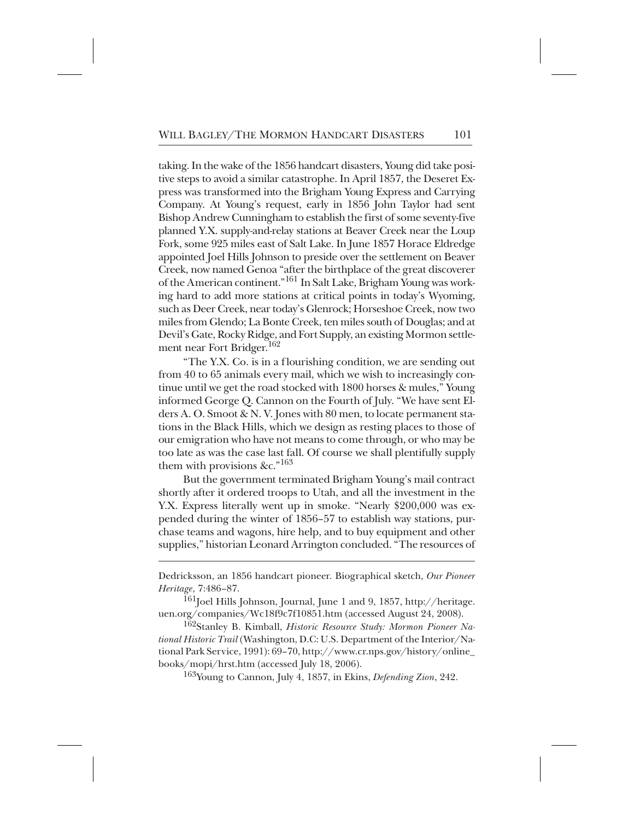taking. In the wake of the 1856 handcart disasters, Young did take positive steps to avoid a similar catastrophe. In April 1857, the Deseret Express was transformed into the Brigham Young Express and Carrying Company. At Young's request, early in 1856 John Taylor had sent Bishop Andrew Cunningham to establish the first of some seventy-five planned Y.X. supply-and-relay stations at Beaver Creek near the Loup Fork, some 925 miles east of Salt Lake. In June 1857 Horace Eldredge appointed Joel Hills Johnson to preside over the settlement on Beaver Creek, now named Genoa "after the birthplace of the great discoverer of the American continent."<sup>161</sup> In Salt Lake, Brigham Young was working hard to add more stations at critical points in today's Wyoming, such as Deer Creek, near today's Glenrock; Horseshoe Creek, now two miles from Glendo; La Bonte Creek, ten miles south of Douglas; and at Devil's Gate, Rocky Ridge, and Fort Supply, an existing Mormon settlement near Fort Bridger.<sup>162</sup>

"The Y.X. Co. is in a flourishing condition, we are sending out from 40 to 65 animals every mail, which we wish to increasingly continue until we get the road stocked with 1800 horses & mules," Young informed George Q. Cannon on the Fourth of July. "We have sent Elders A. O. Smoot & N. V. Jones with 80 men, to locate permanent stations in the Black Hills, which we design as resting places to those of our emigration who have not means to come through, or who may be too late as was the case last fall. Of course we shall plentifully supply them with provisions &c."<sup>163</sup>

But the government terminated Brigham Young's mail contract shortly after it ordered troops to Utah, and all the investment in the Y.X. Express literally went up in smoke. "Nearly \$200,000 was expended during the winter of 1856–57 to establish way stations, purchase teams and wagons, hire help, and to buy equipment and other supplies," historian Leonard Arrington concluded. "The resources of

Dedricksson, an 1856 handcart pioneer. Biographical sketch, *Our Pioneer Heritage*, 7:486–87.

 $^{161}$ Joel Hills Johnson, Journal, June 1 and 9, 1857, http://heritage. uen.org/companies/Wc18f9c7f10851.htm (accessed August 24, 2008).

<sup>162</sup>Stanley B. Kimball, *Historic Resource Study: Mormon Pioneer National Historic Trail* (Washington, D.C: U.S. Department of the Interior/National Park Service, 1991): 69–70, http://www.cr.nps.gov/history/online\_ books/mopi/hrst.htm (accessed July 18, 2006).

<sup>163</sup>Young to Cannon, July 4, 1857, in Ekins, *Defending Zion*, 242.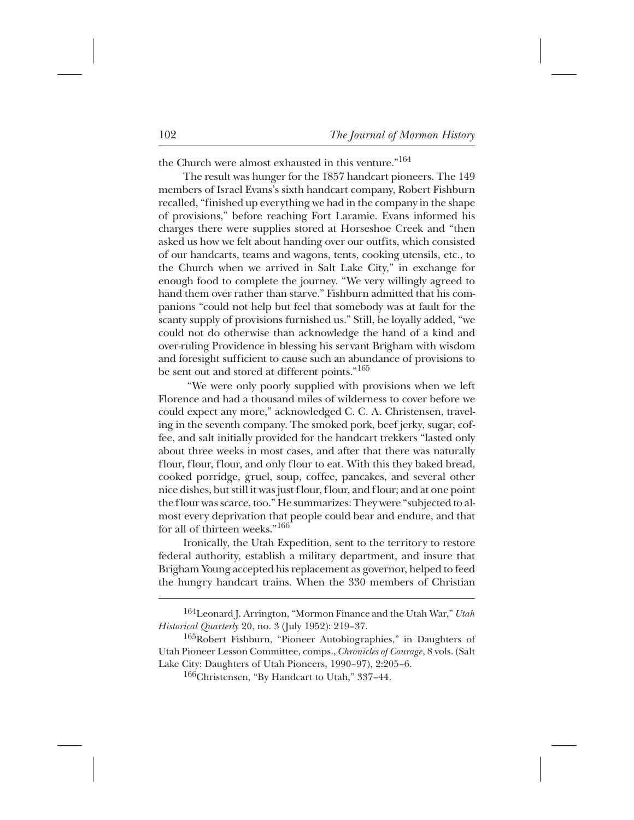the Church were almost exhausted in this venture."<sup>164</sup>

The result was hunger for the 1857 handcart pioneers. The 149 members of Israel Evans's sixth handcart company, Robert Fishburn recalled, "finished up everything we had in the company in the shape of provisions," before reaching Fort Laramie. Evans informed his charges there were supplies stored at Horseshoe Creek and "then asked us how we felt about handing over our outfits, which consisted of our handcarts, teams and wagons, tents, cooking utensils, etc., to the Church when we arrived in Salt Lake City," in exchange for enough food to complete the journey. "We very willingly agreed to hand them over rather than starve." Fishburn admitted that his companions "could not help but feel that somebody was at fault for the scanty supply of provisions furnished us." Still, he loyally added, "we could not do otherwise than acknowledge the hand of a kind and over-ruling Providence in blessing his servant Brigham with wisdom and foresight sufficient to cause such an abundance of provisions to be sent out and stored at different points."<sup>165</sup>

"We were only poorly supplied with provisions when we left Florence and had a thousand miles of wilderness to cover before we could expect any more," acknowledged C. C. A. Christensen, traveling in the seventh company. The smoked pork, beef jerky, sugar, coffee, and salt initially provided for the handcart trekkers "lasted only about three weeks in most cases, and after that there was naturally flour, flour, flour, and only flour to eat. With this they baked bread, cooked porridge, gruel, soup, coffee, pancakes, and several other nice dishes, but still it was just flour, flour, and flour; and at one point the flour was scarce, too." He summarizes: They were "subjected to almost every deprivation that people could bear and endure, and that for all of thirteen weeks."<sup>166</sup>

Ironically, the Utah Expedition, sent to the territory to restore federal authority, establish a military department, and insure that Brigham Young accepted his replacement as governor, helped to feed the hungry handcart trains. When the 330 members of Christian

<sup>&</sup>lt;sup>164</sup>Leonard J. Arrington, "Mormon Finance and the Utah War," *Utah Historical Quarterly* 20, no. 3 (July 1952): 219–37.

 $165Robert Fishburn, "Pioneer Autobiographies," in Daughters of$ Utah Pioneer Lesson Committee, comps., *Chronicles of Courage*, 8 vols. (Salt Lake City: Daughters of Utah Pioneers, 1990–97), 2:205–6.

 $166$ Christensen, "By Handcart to Utah," 337–44.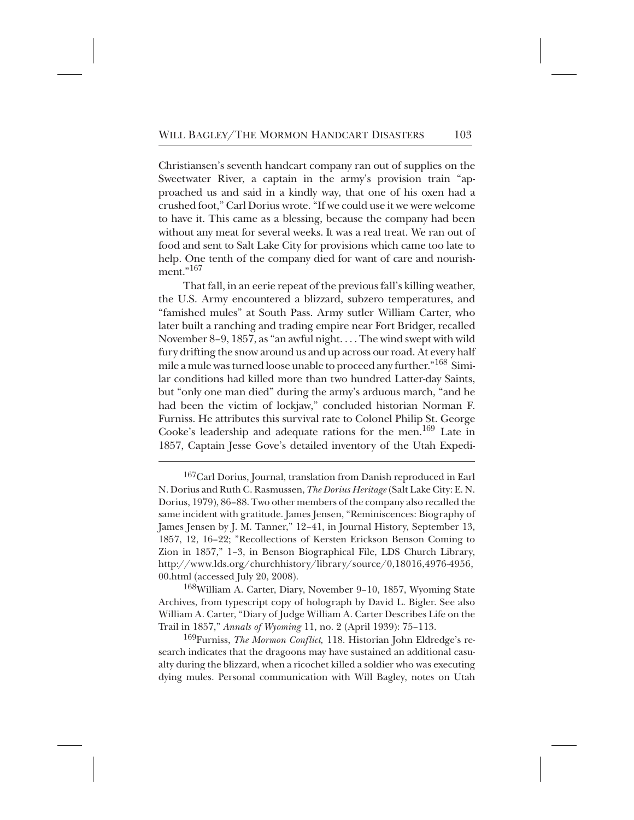Christiansen's seventh handcart company ran out of supplies on the Sweetwater River, a captain in the army's provision train "approached us and said in a kindly way, that one of his oxen had a crushed foot," Carl Dorius wrote. "If we could use it we were welcome to have it. This came as a blessing, because the company had been without any meat for several weeks. It was a real treat. We ran out of food and sent to Salt Lake City for provisions which came too late to help. One tenth of the company died for want of care and nourishment $, 167$ 

That fall, in an eerie repeat of the previous fall's killing weather, the U.S. Army encountered a blizzard, subzero temperatures, and "famished mules" at South Pass. Army sutler William Carter, who later built a ranching and trading empire near Fort Bridger, recalled November 8–9, 1857, as "an awful night. . . . The wind swept with wild fury drifting the snow around us and up across our road. At every half mile a mule was turned loose unable to proceed any further." <sup>168</sup> Similar conditions had killed more than two hundred Latter-day Saints, but "only one man died" during the army's arduous march, "and he had been the victim of lockjaw," concluded historian Norman F. Furniss. He attributes this survival rate to Colonel Philip St. George Cooke's leadership and adequate rations for the men.<sup>169</sup> Late in 1857, Captain Jesse Gove's detailed inventory of the Utah Expedi-

 $168$ William A. Carter, Diary, November 9–10, 1857, Wyoming State Archives, from typescript copy of holograph by David L. Bigler. See also William A. Carter, "Diary of Judge William A. Carter Describes Life on the Trail in 1857," *Annals of Wyoming* 11, no. 2 (April 1939): 75–113.

<sup>169</sup>Furniss, *The Mormon Conflict*, 118. Historian John Eldredge's research indicates that the dragoons may have sustained an additional casualty during the blizzard, when a ricochet killed a soldier who was executing dying mules. Personal communication with Will Bagley, notes on Utah

 $^{167}$ Carl Dorius, Journal, translation from Danish reproduced in Earl N. Dorius and Ruth C. Rasmussen, *The Dorius Heritage*(Salt Lake City: E. N. Dorius, 1979), 86–88. Two other members of the company also recalled the same incident with gratitude. James Jensen, "Reminiscences: Biography of James Jensen by J. M. Tanner," 12–41, in Journal History, September 13, 1857, 12, 16–22; "Recollections of Kersten Erickson Benson Coming to Zion in 1857," 1–3, in Benson Biographical File, LDS Church Library, http://www.lds.org/churchhistory/library/source/0,18016,4976-4956, 00.html (accessed July 20, 2008).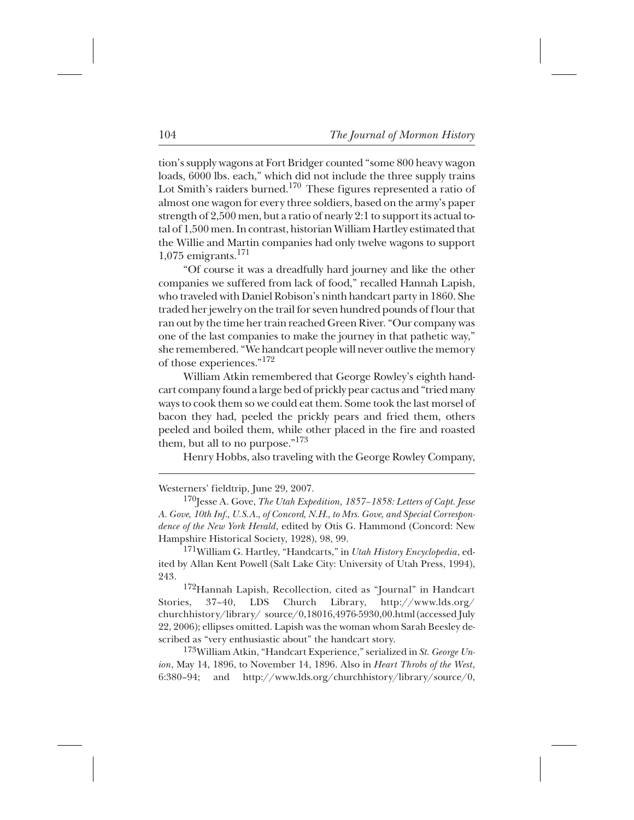tion's supply wagons at Fort Bridger counted "some 800 heavy wagon loads, 6000 lbs. each," which did not include the three supply trains Lot Smith's raiders burned.<sup>170</sup> These figures represented a ratio of almost one wagon for every three soldiers, based on the army's paper strength of 2,500 men, but a ratio of nearly 2:1 to support its actual total of 1,500 men. In contrast, historian William Hartley estimated that the Willie and Martin companies had only twelve wagons to support 1,075 emigrants. $^{171}$ 

"Of course it was a dreadfully hard journey and like the other companies we suffered from lack of food," recalled Hannah Lapish, who traveled with Daniel Robison's ninth handcart party in 1860. She traded her jewelry on the trail for seven hundred pounds of flour that ran out by the time her train reached Green River. "Our company was one of the last companies to make the journey in that pathetic way," she remembered. "We handcart people will never outlive the memory of those experiences."<sup>172</sup>

William Atkin remembered that George Rowley's eighth handcart company found a large bed of prickly pear cactus and "tried many ways to cook them so we could eat them. Some took the last morsel of bacon they had, peeled the prickly pears and fried them, others peeled and boiled them, while other placed in the fire and roasted them, but all to no purpose." $173$ 

Henry Hobbs, also traveling with the George Rowley Company,

Westerners' fieldtrip, June 29, 2007.

<sup>170</sup>Jesse A. Gove, *The Utah Expedition, 1857–1858: Letters of Capt. Jesse A. Gove, 10th Inf., U.S.A., of Concord, N.H., to Mrs. Gove, and Special Correspondence of the New York Herald*, edited by Otis G. Hammond (Concord: New Hampshire Historical Society, 1928), 98, 99.

<sup>171</sup> William G. Hartley, "Handcarts," in *Utah History Encyclopedia*, edited by Allan Kent Powell (Salt Lake City: University of Utah Press, 1994), 243.

<sup>172</sup>Hannah Lapish, Recollection, cited as "Journal" in Handcart Stories, 37–40, LDS Church Library, http://www.lds.org/ churchhistory/library/ source/0,18016,4976-5930,00.html (accessed July 22, 2006); ellipses omitted. Lapish was the woman whom Sarah Beesley described as "very enthusiastic about" the handcart story.

<sup>173</sup>William Atkin, "Handcart Experience," serialized in *St. George Union*, May 14, 1896, to November 14, 1896. Also in *Heart Throbs of the West*, 6:380–94; and http://www.lds.org/churchhistory/library/source/0,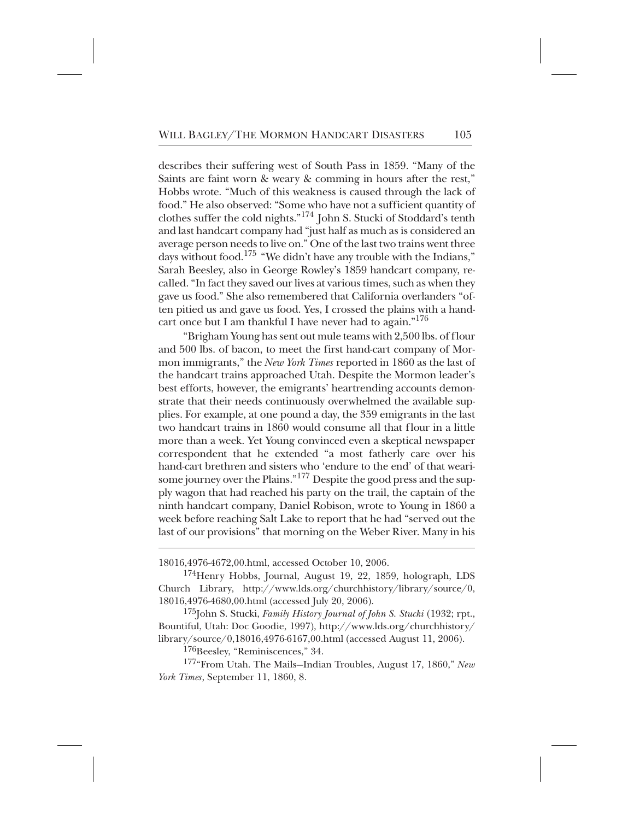describes their suffering west of South Pass in 1859. "Many of the Saints are faint worn & weary & comming in hours after the rest," Hobbs wrote. "Much of this weakness is caused through the lack of food." He also observed: "Some who have not a sufficient quantity of clothes suffer the cold nights."<sup>174</sup> John S. Stucki of Stoddard's tenth and last handcart company had "just half as much as is considered an average person needs to live on." One of the last two trains went three days without food. $175$  "We didn't have any trouble with the Indians," Sarah Beesley, also in George Rowley's 1859 handcart company, recalled. "In fact they saved our lives at various times, such as when they gave us food." She also remembered that California overlanders "often pitied us and gave us food. Yes, I crossed the plains with a handcart once but I am thankful I have never had to again."<sup>176</sup>

"Brigham Young has sent out mule teams with 2,500 lbs. of flour and 500 lbs. of bacon, to meet the first hand-cart company of Mormon immigrants," the *New York Times* reported in 1860 as the last of the handcart trains approached Utah. Despite the Mormon leader's best efforts, however, the emigrants' heartrending accounts demonstrate that their needs continuously overwhelmed the available supplies. For example, at one pound a day, the 359 emigrants in the last two handcart trains in 1860 would consume all that flour in a little more than a week. Yet Young convinced even a skeptical newspaper correspondent that he extended "a most fatherly care over his hand-cart brethren and sisters who 'endure to the end' of that wearisome journey over the Plains." <sup>177</sup> Despite the good press and the supply wagon that had reached his party on the trail, the captain of the ninth handcart company, Daniel Robison, wrote to Young in 1860 a week before reaching Salt Lake to report that he had "served out the last of our provisions" that morning on the Weber River. Many in his

<sup>18016,4976-4672,00.</sup>html, accessed October 10, 2006.

<sup>&</sup>lt;sup>174</sup>Henry Hobbs, Journal, August 19, 22, 1859, holograph, LDS Church Library, http://www.lds.org/churchhistory/library/source/0, 18016,4976-4680,00.html (accessed July 20, 2006).

<sup>&</sup>lt;sup>175</sup>John S. Stucki, *Family History Journal of John S. Stucki* (1932; rpt., Bountiful, Utah: Doc Goodie, 1997), http://www.lds.org/churchhistory/ library/source/0,18016,4976-6167,00.html (accessed August 11, 2006).

<sup>&</sup>lt;sup>176</sup>Beesley, "Reminiscences," 34.

<sup>&</sup>lt;sup>177</sup>"From Utah. The Mails-Indian Troubles, August 17, 1860," *New York Times*, September 11, 1860, 8.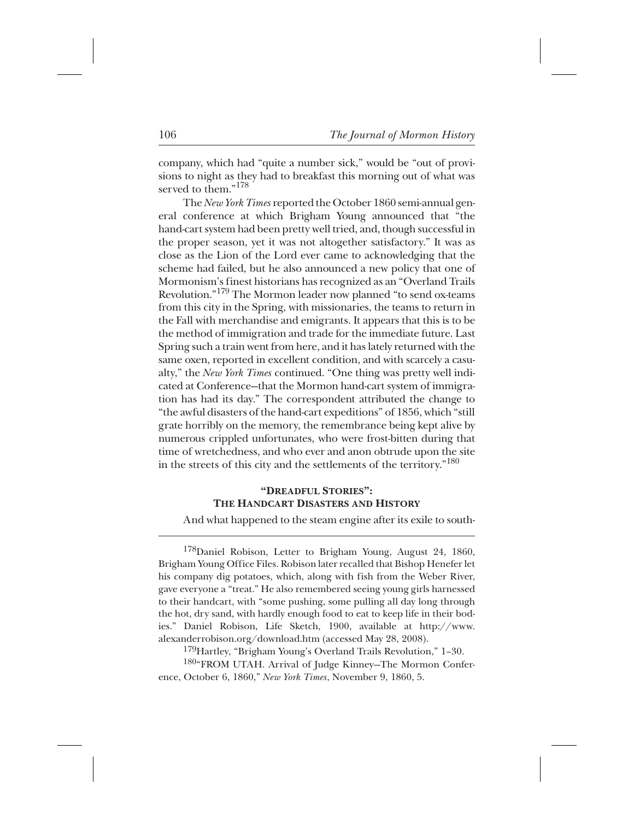company, which had "quite a number sick," would be "out of provisions to night as they had to breakfast this morning out of what was served to them." $178$ 

The *New York Times* reported the October 1860 semi-annual general conference at which Brigham Young announced that "the hand-cart system had been pretty well tried, and, though successful in the proper season, yet it was not altogether satisfactory." It was as close as the Lion of the Lord ever came to acknowledging that the scheme had failed, but he also announced a new policy that one of Mormonism's finest historians has recognized as an "Overland Trails Revolution."<sup>179</sup> The Mormon leader now planned "to send ox-teams from this city in the Spring, with missionaries, the teams to return in the Fall with merchandise and emigrants. It appears that this is to be the method of immigration and trade for the immediate future. Last Spring such a train went from here, and it has lately returned with the same oxen, reported in excellent condition, and with scarcely a casualty," the *New York Times* continued. "One thing was pretty well indicated at Conference—that the Mormon hand-cart system of immigration has had its day." The correspondent attributed the change to "the awful disasters of the hand-cart expeditions" of 1856, which "still grate horribly on the memory, the remembrance being kept alive by numerous crippled unfortunates, who were frost-bitten during that time of wretchedness, and who ever and anon obtrude upon the site in the streets of this city and the settlements of the territory."<sup>180</sup>

## **"DREADFUL STORIES": THE HANDCART DISASTERS AND HISTORY**

And what happened to the steam engine after its exile to south-

<sup>178</sup>Daniel Robison, Letter to Brigham Young, August 24, 1860, Brigham Young Office Files. Robison later recalled that Bishop Henefer let his company dig potatoes, which, along with fish from the Weber River, gave everyone a "treat." He also remembered seeing young girls harnessed to their handcart, with "some pushing, some pulling all day long through the hot, dry sand, with hardly enough food to eat to keep life in their bodies." Daniel Robison, Life Sketch, 1900, available at http://www. alexanderrobison.org/download.htm (accessed May 28, 2008).

 $^{179}$ Hartley, "Brigham Young's Overland Trails Revolution," 1–30.

180"FROM UTAH. Arrival of Judge Kinney-The Mormon Conference, October 6, 1860," *New York Times*, November 9, 1860, 5.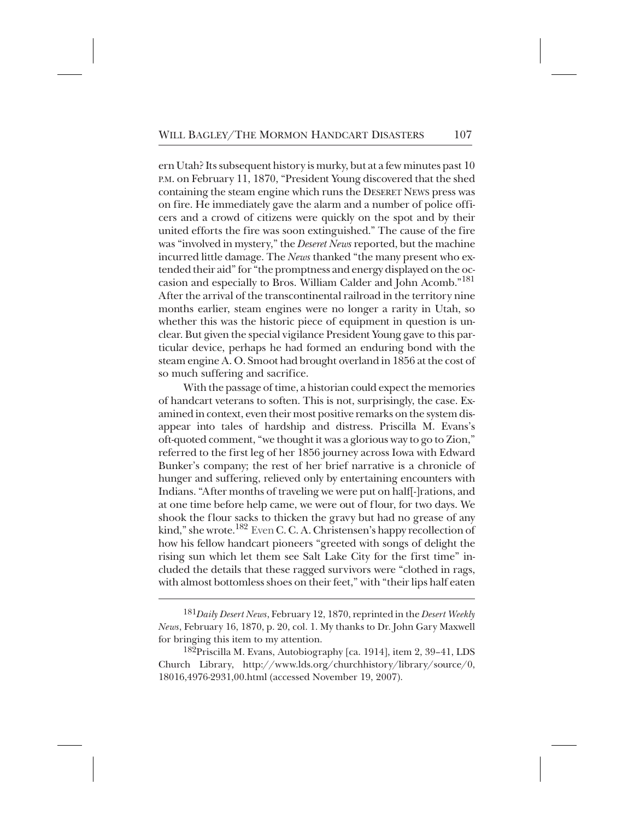ern Utah? Its subsequent history is murky, but at a few minutes past 10 P.M. on February 11, 1870, "President Young discovered that the shed containing the steam engine which runs the DESERET NEWS press was on fire. He immediately gave the alarm and a number of police officers and a crowd of citizens were quickly on the spot and by their united efforts the fire was soon extinguished." The cause of the fire was "involved in mystery," the *Deseret News* reported, but the machine incurred little damage. The *News* thanked "the many present who extended their aid" for "the promptness and energy displayed on the occasion and especially to Bros. William Calder and John Acomb."181+ After the arrival of the transcontinental railroad in the territory nine months earlier, steam engines were no longer a rarity in Utah, so whether this was the historic piece of equipment in question is unclear. But given the special vigilance President Young gave to this particular device, perhaps he had formed an enduring bond with the steam engine A. O. Smoot had brought overland in 1856 at the cost of so much suffering and sacrifice.

With the passage of time, a historian could expect the memories of handcart veterans to soften. This is not, surprisingly, the case. Examined in context, even their most positive remarks on the system disappear into tales of hardship and distress. Priscilla M. Evans's oft-quoted comment, "we thought it was a glorious way to go to Zion," referred to the first leg of her 1856 journey across Iowa with Edward Bunker's company; the rest of her brief narrative is a chronicle of hunger and suffering, relieved only by entertaining encounters with Indians. "After months of traveling we were put on half[-]rations, and at one time before help came, we were out of flour, for two days. We shook the flour sacks to thicken the gravy but had no grease of any kind," she wrote.<sup>182</sup> Even C. C. A. Christensen's happy recollection of how his fellow handcart pioneers "greeted with songs of delight the rising sun which let them see Salt Lake City for the first time" included the details that these ragged survivors were "clothed in rags, with almost bottomless shoes on their feet," with "their lips half eaten

<sup>+</sup> <sup>181</sup>*Daily Desert News*, February 12, 1870, reprinted in the *Desert Weekly News*, February 16, 1870, p. 20, col. 1. My thanks to Dr. John Gary Maxwell for bringing this item to my attention.

 $^{182}$ Priscilla M. Evans, Autobiography [ca. 1914], item 2, 39–41, LDS Church Library, http://www.lds.org/churchhistory/library/source/0, 18016,4976-2931,00.html (accessed November 19, 2007).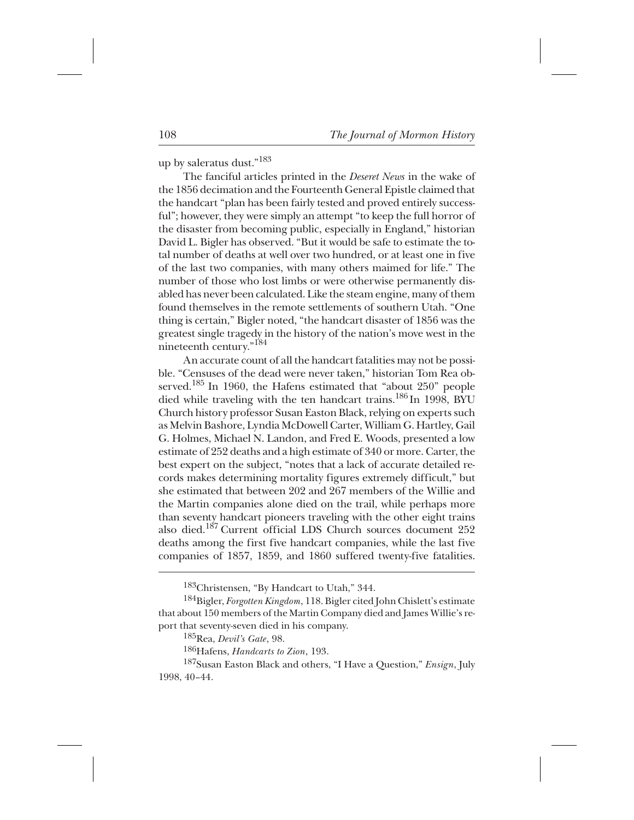up by saleratus dust."<sup>183</sup>

The fanciful articles printed in the *Deseret News* in the wake of the 1856 decimation and the Fourteenth General Epistle claimed that the handcart "plan has been fairly tested and proved entirely successful"; however, they were simply an attempt "to keep the full horror of the disaster from becoming public, especially in England," historian David L. Bigler has observed. "But it would be safe to estimate the total number of deaths at well over two hundred, or at least one in five of the last two companies, with many others maimed for life." The number of those who lost limbs or were otherwise permanently disabled has never been calculated. Like the steam engine, many of them found themselves in the remote settlements of southern Utah. "One thing is certain," Bigler noted, "the handcart disaster of 1856 was the greatest single tragedy in the history of the nation's move west in the nineteenth century."<sup>184</sup>

An accurate count of all the handcart fatalities may not be possible. "Censuses of the dead were never taken," historian Tom Rea observed.<sup>185</sup> In 1960, the Hafens estimated that "about 250" people died while traveling with the ten handcart trains.<sup>186</sup> In 1998, BYU Church history professor Susan Easton Black, relying on experts such as Melvin Bashore, Lyndia McDowell Carter, William G. Hartley, Gail G. Holmes, Michael N. Landon, and Fred E. Woods, presented a low estimate of 252 deaths and a high estimate of 340 or more. Carter, the best expert on the subject, "notes that a lack of accurate detailed records makes determining mortality figures extremely difficult," but she estimated that between 202 and 267 members of the Willie and the Martin companies alone died on the trail, while perhaps more than seventy handcart pioneers traveling with the other eight trains also died.<sup>187</sup> Current official LDS Church sources document 252 deaths among the first five handcart companies, while the last five companies of 1857, 1859, and 1860 suffered twenty-five fatalities.

<sup>&</sup>lt;sup>183</sup>Christensen, "By Handcart to Utah," 344.

<sup>&</sup>lt;sup>184</sup>Bigler, *Forgotten Kingdom*, 118. Bigler cited John Chislett's estimate that about 150 members of the Martin Company died and James Willie's report that seventy-seven died in his company.

<sup>\*</sup> 185Rea, *Devil's Gate*, 98.

<sup>&</sup>lt;sup>186</sup>Hafens, *Handcarts to Zion*, 193.

<sup>&</sup>lt;sup>187</sup>Susan Easton Black and others, "I Have a Question," *Ensign*, July 1998, 40–44.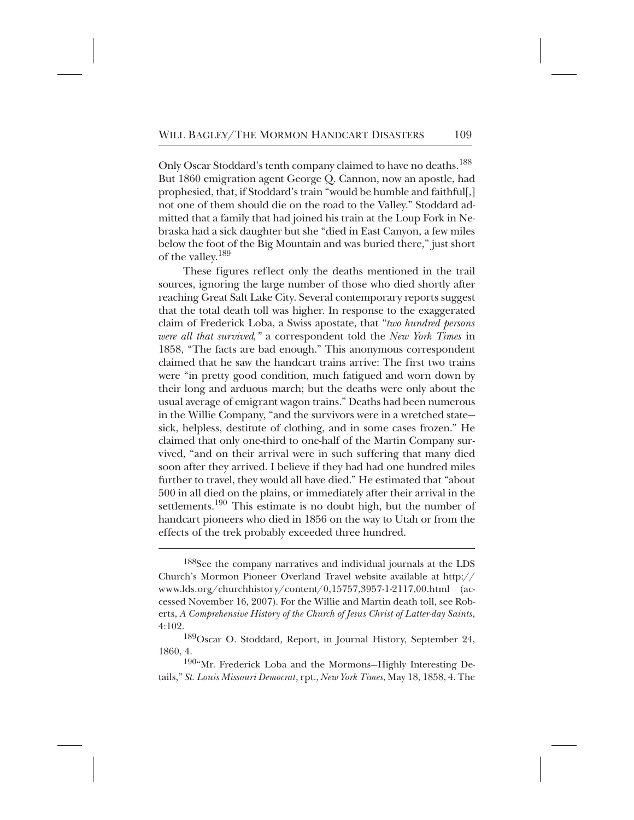Only Oscar Stoddard's tenth company claimed to have no deaths.<sup>188</sup> But 1860 emigration agent George Q. Cannon, now an apostle, had prophesied, that, if Stoddard's train "would be humble and faithful[,] not one of them should die on the road to the Valley." Stoddard admitted that a family that had joined his train at the Loup Fork in Nebraska had a sick daughter but she "died in East Canyon, a few miles below the foot of the Big Mountain and was buried there," just short of the valley.<sup>189</sup>

These figures reflect only the deaths mentioned in the trail sources, ignoring the large number of those who died shortly after reaching Great Salt Lake City. Several contemporary reports suggest that the total death toll was higher. In response to the exaggerated claim of Frederick Loba, a Swiss apostate, that "*two hundred persons were all that survived,"* a correspondent told the *New York Times* in 1858, "The facts are bad enough." This anonymous correspondent claimed that he saw the handcart trains arrive: The first two trains were "in pretty good condition, much fatigued and worn down by their long and arduous march; but the deaths were only about the usual average of emigrant wagon trains." Deaths had been numerous in the Willie Company, "and the survivors were in a wretched state sick, helpless, destitute of clothing, and in some cases frozen." He claimed that only one-third to one-half of the Martin Company survived, "and on their arrival were in such suffering that many died soon after they arrived. I believe if they had had one hundred miles further to travel, they would all have died." He estimated that "about 500 in all died on the plains, or immediately after their arrival in the settlements.<sup>190</sup> This estimate is no doubt high, but the number of handcart pioneers who died in 1856 on the way to Utah or from the effects of the trek probably exceeded three hundred.

 $188$ See the company narratives and individual journals at the LDS Church's Mormon Pioneer Overland Travel website available at http:// www.lds.org/churchhistory/content/0,15757,3957-1-2117,00.html (accessed November 16, 2007). For the Willie and Martin death toll, see Roberts, *A Comprehensive History of the Church of Jesus Christ of Latter-day Saints*, 4:102.

<sup>&</sup>lt;sup>189</sup>Oscar O. Stoddard, Report, in Journal History, September 24, 1860, 4.

<sup>190&</sup>quot;Mr. Frederick Loba and the Mormons-Highly Interesting Details," *St. Louis Missouri Democrat*, rpt., *New York Times*, May 18, 1858, 4. The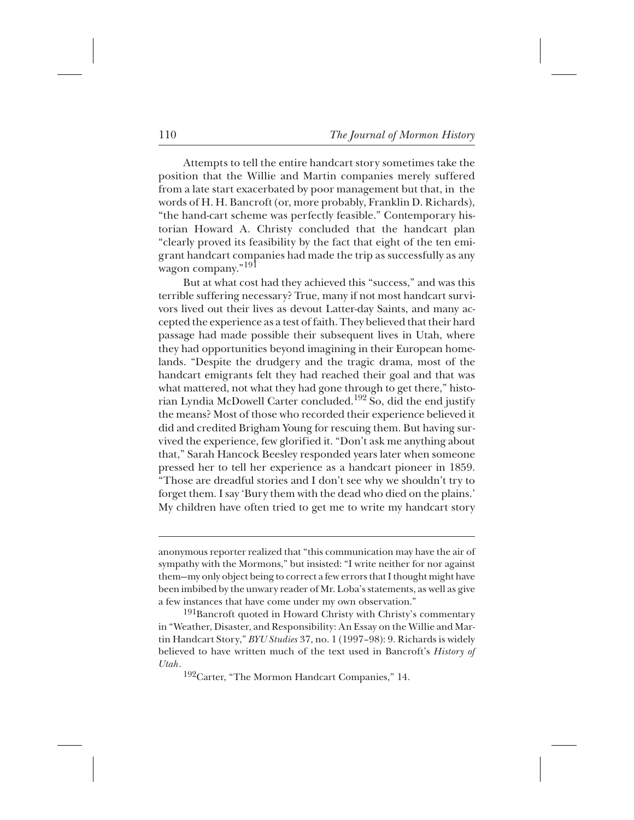Attempts to tell the entire handcart story sometimes take the position that the Willie and Martin companies merely suffered from a late start exacerbated by poor management but that, in the words of H. H. Bancroft (or, more probably, Franklin D. Richards), "the hand-cart scheme was perfectly feasible." Contemporary historian Howard A. Christy concluded that the handcart plan "clearly proved its feasibility by the fact that eight of the ten emigrant handcart companies had made the trip as successfully as any wagon company."<sup>191</sup>

But at what cost had they achieved this "success," and was this terrible suffering necessary? True, many if not most handcart survivors lived out their lives as devout Latter-day Saints, and many accepted the experience as a test of faith. They believed that their hard passage had made possible their subsequent lives in Utah, where they had opportunities beyond imagining in their European homelands. "Despite the drudgery and the tragic drama, most of the handcart emigrants felt they had reached their goal and that was what mattered, not what they had gone through to get there," historian Lyndia McDowell Carter concluded.<sup>192</sup> So, did the end justify the means? Most of those who recorded their experience believed it did and credited Brigham Young for rescuing them. But having survived the experience, few glorified it. "Don't ask me anything about that," Sarah Hancock Beesley responded years later when someone pressed her to tell her experience as a handcart pioneer in 1859. "Those are dreadful stories and I don't see why we shouldn't try to forget them. I say 'Bury them with the dead who died on the plains.' My children have often tried to get me to write my handcart story

anonymous reporter realized that "this communication may have the air of sympathy with the Mormons," but insisted: "I write neither for nor against them—my only object being to correct a few errors that I thought might have been imbibed by the unwary reader of Mr. Loba's statements, as well as give a few instances that have come under my own observation."

 $^{191}$ Bancroft quoted in Howard Christy with Christy's commentary in "Weather, Disaster, and Responsibility: An Essay on the Willie and Martin Handcart Story," *BYU Studies* 37, no. 1 (1997–98): 9. Richards is widely believed to have written much of the text used in Bancroft's *History of Utah*.

<sup>192</sup>Carter, "The Mormon Handcart Companies," 14.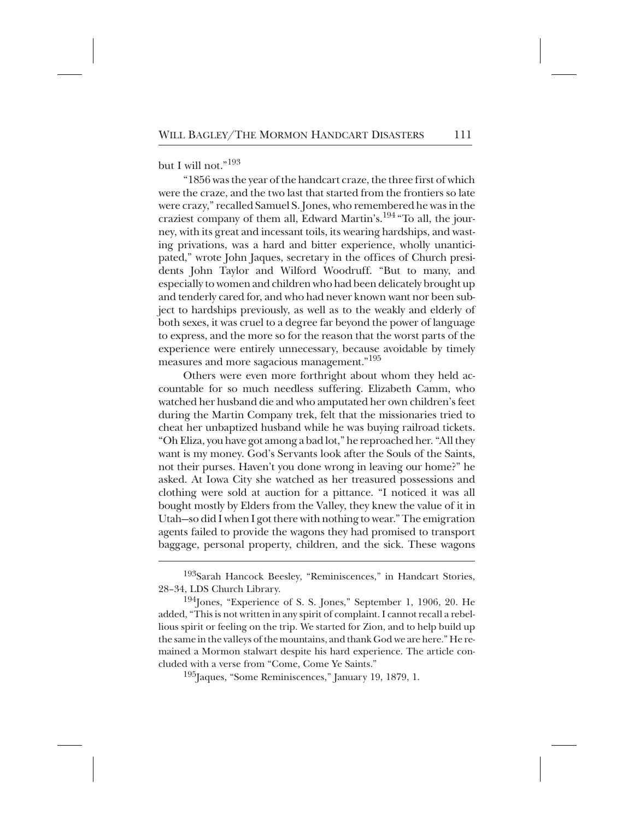but I will not."<sup>193</sup>

"1856 was the year of the handcart craze, the three first of which were the craze, and the two last that started from the frontiers so late were crazy," recalled Samuel S. Jones, who remembered he was in the craziest company of them all, Edward Martin's.<sup>194</sup> "To all, the journey, with its great and incessant toils, its wearing hardships, and wasting privations, was a hard and bitter experience, wholly unanticipated," wrote John Jaques, secretary in the offices of Church presidents John Taylor and Wilford Woodruff. "But to many, and especially to women and children who had been delicately brought up and tenderly cared for, and who had never known want nor been subject to hardships previously, as well as to the weakly and elderly of both sexes, it was cruel to a degree far beyond the power of language to express, and the more so for the reason that the worst parts of the experience were entirely unnecessary, because avoidable by timely measures and more sagacious management."<sup>195</sup>

Others were even more forthright about whom they held accountable for so much needless suffering. Elizabeth Camm, who watched her husband die and who amputated her own children's feet during the Martin Company trek, felt that the missionaries tried to cheat her unbaptized husband while he was buying railroad tickets. "Oh Eliza, you have got among a bad lot," he reproached her. "All they want is my money. God's Servants look after the Souls of the Saints, not their purses. Haven't you done wrong in leaving our home?" he asked. At Iowa City she watched as her treasured possessions and clothing were sold at auction for a pittance. "I noticed it was all bought mostly by Elders from the Valley, they knew the value of it in Utah—so did I when I got there with nothing to wear." The emigration agents failed to provide the wagons they had promised to transport baggage, personal property, children, and the sick. These wagons

 $^{195}$ Jaques, "Some Reminiscences," January 19, 1879, 1.

<sup>&</sup>lt;sup>193</sup>Sarah Hancock Beesley, "Reminiscences," in Handcart Stories, 28–34, LDS Church Library.

 $^{194}$ Jones, "Experience of S. S. Jones," September 1, 1906, 20. He added, "This is not written in any spirit of complaint. I cannot recall a rebellious spirit or feeling on the trip. We started for Zion, and to help build up the same in the valleys of the mountains, and thank God we are here." He remained a Mormon stalwart despite his hard experience. The article concluded with a verse from "Come, Come Ye Saints."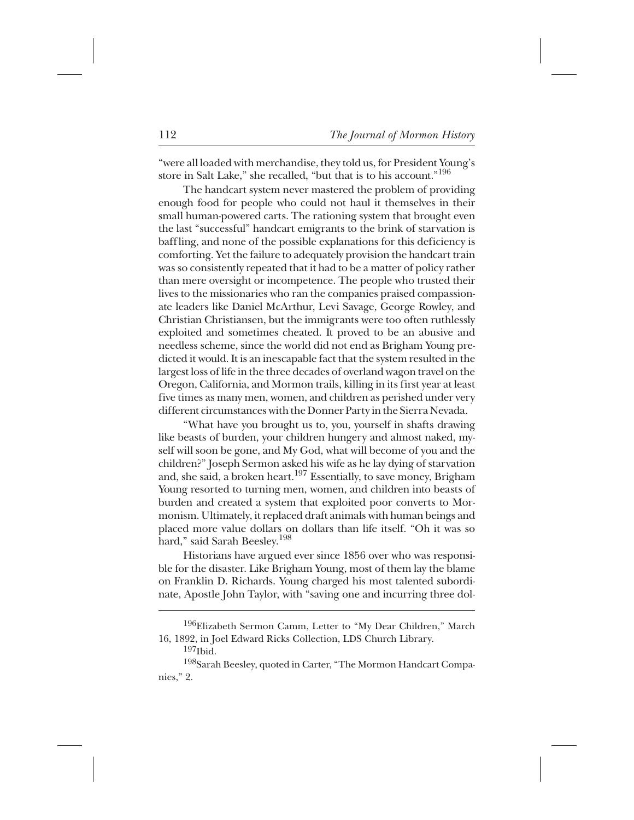"were all loaded with merchandise, they told us, for President Young's store in Salt Lake," she recalled, "but that is to his account."<sup>196</sup>

The handcart system never mastered the problem of providing enough food for people who could not haul it themselves in their small human-powered carts. The rationing system that brought even the last "successful" handcart emigrants to the brink of starvation is baffling, and none of the possible explanations for this deficiency is comforting. Yet the failure to adequately provision the handcart train was so consistently repeated that it had to be a matter of policy rather than mere oversight or incompetence. The people who trusted their lives to the missionaries who ran the companies praised compassionate leaders like Daniel McArthur, Levi Savage, George Rowley, and Christian Christiansen, but the immigrants were too often ruthlessly exploited and sometimes cheated. It proved to be an abusive and needless scheme, since the world did not end as Brigham Young predicted it would. It is an inescapable fact that the system resulted in the largest loss of life in the three decades of overland wagon travel on the Oregon, California, and Mormon trails, killing in its first year at least five times as many men, women, and children as perished under very different circumstances with the Donner Party in the Sierra Nevada.

"What have you brought us to, you, yourself in shafts drawing like beasts of burden, your children hungery and almost naked, myself will soon be gone, and My God, what will become of you and the children?" Joseph Sermon asked his wife as he lay dying of starvation and, she said, a broken heart.<sup>197</sup> Essentially, to save money, Brigham Young resorted to turning men, women, and children into beasts of burden and created a system that exploited poor converts to Mormonism. Ultimately, it replaced draft animals with human beings and placed more value dollars on dollars than life itself. "Oh it was so hard," said Sarah Beesley.<sup>198</sup>

Historians have argued ever since 1856 over who was responsible for the disaster. Like Brigham Young, most of them lay the blame on Franklin D. Richards. Young charged his most talented subordinate, Apostle John Taylor, with "saving one and incurring three dol-

<sup>&</sup>lt;sup>196</sup>Elizabeth Sermon Camm, Letter to "My Dear Children," March 16, 1892, in Joel Edward Ricks Collection, LDS Church Library.

 $197$ Ibid.

<sup>198</sup>Sarah Beesley, quoted in Carter, "The Mormon Handcart Companies," 2.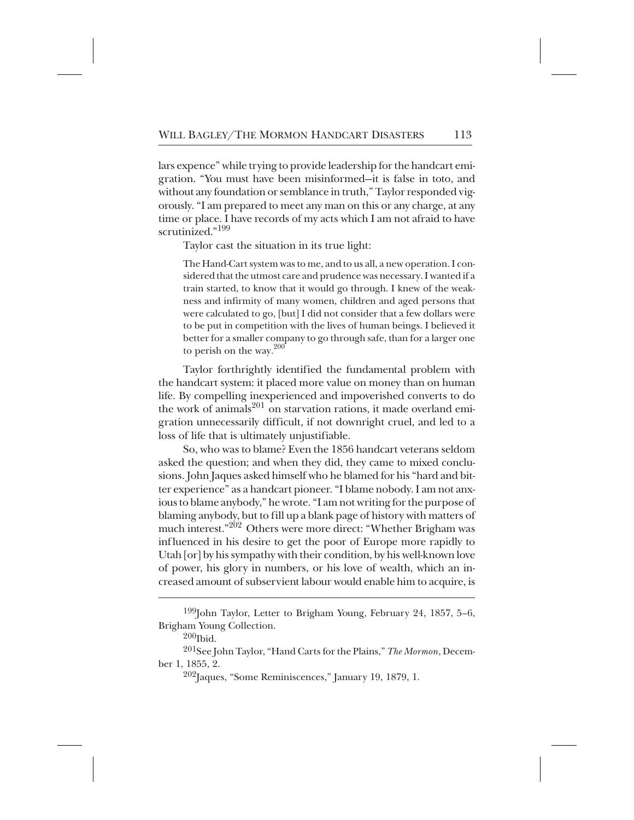lars expence" while trying to provide leadership for the handcart emigration. "You must have been misinformed—it is false in toto, and without any foundation or semblance in truth," Taylor responded vigorously. "I am prepared to meet any man on this or any charge, at any time or place. I have records of my acts which I am not afraid to have scrutinized."<sup>199</sup>

Taylor cast the situation in its true light:

The Hand-Cart system was to me, and to us all, a new operation. I considered that the utmost care and prudence was necessary. I wanted if a train started, to know that it would go through. I knew of the weakness and infirmity of many women, children and aged persons that were calculated to go, [but] I did not consider that a few dollars were to be put in competition with the lives of human beings. I believed it better for a smaller company to go through safe, than for a larger one to perish on the way. $200$ 

Taylor forthrightly identified the fundamental problem with the handcart system: it placed more value on money than on human life. By compelling inexperienced and impoverished converts to do the work of animals<sup>201</sup> on starvation rations, it made overland emigration unnecessarily difficult, if not downright cruel, and led to a loss of life that is ultimately unjustifiable.

So, who was to blame? Even the 1856 handcart veterans seldom asked the question; and when they did, they came to mixed conclusions. John Jaques asked himself who he blamed for his "hard and bitter experience" as a handcart pioneer. "I blame nobody. I am not anxious to blame anybody," he wrote. "I am not writing for the purpose of blaming anybody, but to fill up a blank page of history with matters of much interest."<sup>202</sup> Others were more direct: "Whether Brigham was influenced in his desire to get the poor of Europe more rapidly to Utah [or] by his sympathy with their condition, by his well-known love of power, his glory in numbers, or his love of wealth, which an increased amount of subservient labour would enable him to acquire, is

<sup>&</sup>lt;sup>199</sup>John Taylor, Letter to Brigham Young, February 24, 1857, 5–6, Brigham Young Collection.

 $\rm ^{200}Ibid.$ 

<sup>&</sup>lt;sup>201</sup>See John Taylor, "Hand Carts for the Plains," *The Mormon*, December 1, 1855, 2.

 $^{202}$ Jaques, "Some Reminiscences," January 19, 1879, 1.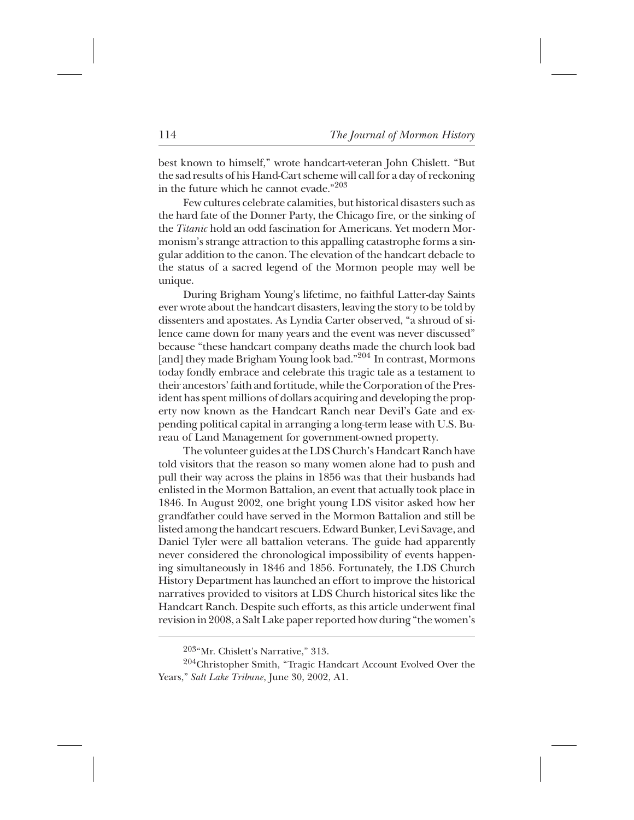best known to himself," wrote handcart-veteran John Chislett. "But the sad results of his Hand-Cart scheme will call for a day of reckoning in the future which he cannot evade." $203$ 

Few cultures celebrate calamities, but historical disasters such as the hard fate of the Donner Party, the Chicago fire, or the sinking of the *Titanic* hold an odd fascination for Americans. Yet modern Mormonism's strange attraction to this appalling catastrophe forms a singular addition to the canon. The elevation of the handcart debacle to the status of a sacred legend of the Mormon people may well be unique.

During Brigham Young's lifetime, no faithful Latter-day Saints ever wrote about the handcart disasters, leaving the story to be told by dissenters and apostates. As Lyndia Carter observed, "a shroud of silence came down for many years and the event was never discussed" because "these handcart company deaths made the church look bad [and] they made Brigham Young look bad."<sup>204</sup> In contrast, Mormons today fondly embrace and celebrate this tragic tale as a testament to their ancestors' faith and fortitude, while the Corporation of the President has spent millions of dollars acquiring and developing the property now known as the Handcart Ranch near Devil's Gate and expending political capital in arranging a long-term lease with U.S. Bureau of Land Management for government-owned property.

The volunteer guides at the LDS Church's Handcart Ranch have told visitors that the reason so many women alone had to push and pull their way across the plains in 1856 was that their husbands had enlisted in the Mormon Battalion, an event that actually took place in 1846. In August 2002, one bright young LDS visitor asked how her grandfather could have served in the Mormon Battalion and still be listed among the handcart rescuers. Edward Bunker, Levi Savage, and Daniel Tyler were all battalion veterans. The guide had apparently never considered the chronological impossibility of events happening simultaneously in 1846 and 1856. Fortunately, the LDS Church History Department has launched an effort to improve the historical narratives provided to visitors at LDS Church historical sites like the Handcart Ranch. Despite such efforts, as this article underwent final revision in 2008, a Salt Lake paper reported how during "the women's

 $203*$  Mr. Chislett's Narrative," 313.

<sup>&</sup>lt;sup>204</sup>Christopher Smith, "Tragic Handcart Account Evolved Over the Years," *Salt Lake Tribune*, June 30, 2002, A1.